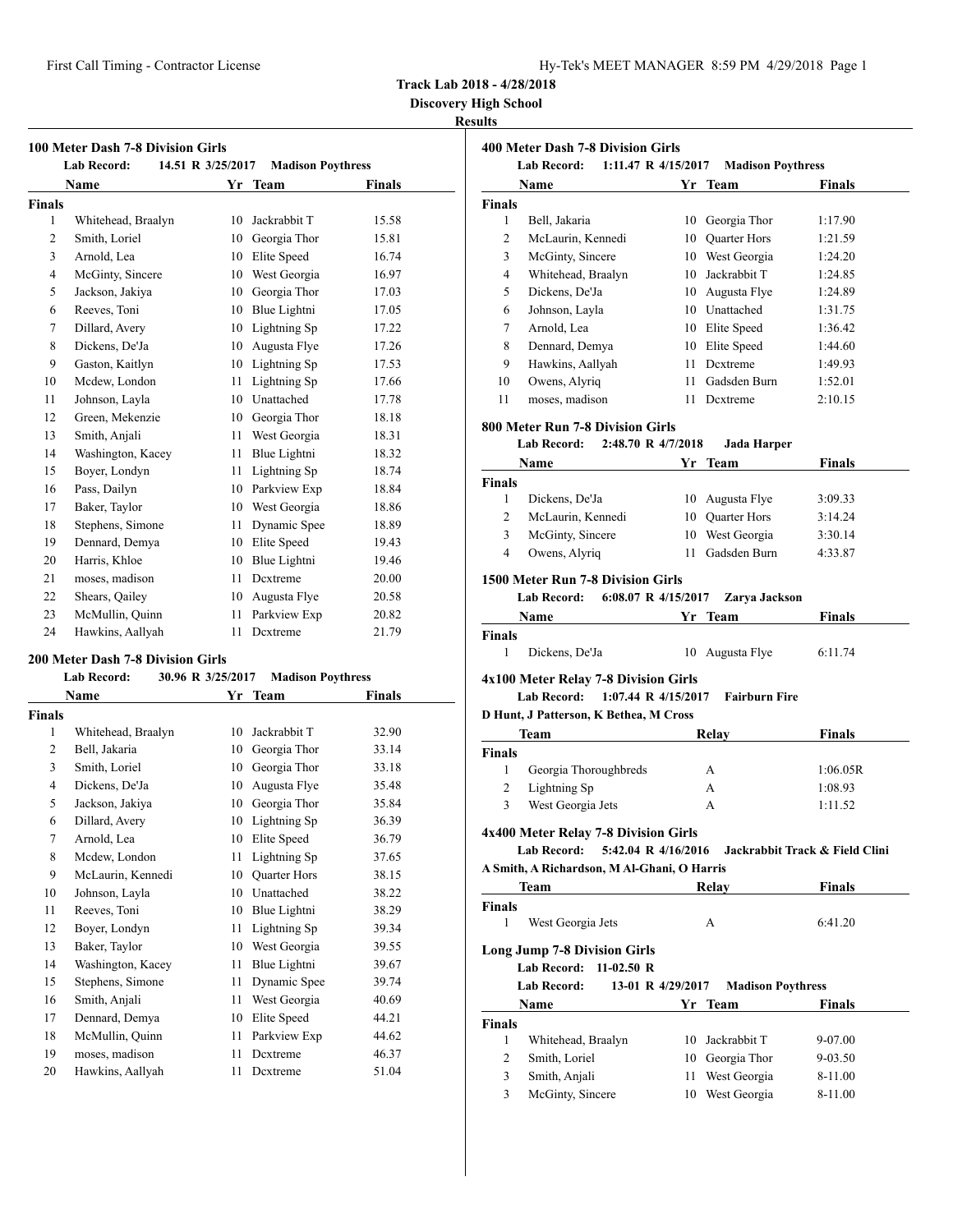| Hy-Tek's MEET MANAGER 8:59 PM 4/29/2018 Page 1 |  |  |  |  |
|------------------------------------------------|--|--|--|--|
|------------------------------------------------|--|--|--|--|

**Discovery High School**

|                | <b>100 Meter Dash 7-8 Division Girls</b><br><b>Lab Record:</b> | 14.51 R 3/25/2017 | <b>Madison Poythress</b> |        |
|----------------|----------------------------------------------------------------|-------------------|--------------------------|--------|
|                | Name                                                           |                   | Yr Team                  | Finals |
| <b>Finals</b>  |                                                                |                   |                          |        |
| 1              | Whitehead, Braalyn                                             | 10                | Jackrabbit T             | 15.58  |
| $\overline{2}$ | Smith, Loriel                                                  | 10                | Georgia Thor             | 15.81  |
| 3              | Arnold, Lea                                                    | 10                | Elite Speed              | 16.74  |
| $\overline{4}$ | McGinty, Sincere                                               | 10                | West Georgia             | 16.97  |
| 5              | Jackson, Jakiya                                                | 10                | Georgia Thor             | 17.03  |
| 6              | Reeves, Toni                                                   | 10                | Blue Lightni             | 17.05  |
| 7              | Dillard, Avery                                                 | 10                | Lightning Sp             | 17.22  |
| 8              | Dickens, De'Ja                                                 | 10                | Augusta Flye             | 17.26  |
| 9              | Gaston, Kaitlyn                                                | 10                | Lightning Sp             | 17.53  |
| 10             | Mcdew, London                                                  | 11                | Lightning Sp             | 17.66  |
| 11             | Johnson, Layla                                                 | 10                | Unattached               | 17.78  |
| 12             | Green, Mekenzie                                                | 10                | Georgia Thor             | 18.18  |
| 13             | Smith, Anjali                                                  | 11                | West Georgia             | 18.31  |
| 14             | Washington, Kacey                                              | 11                | Blue Lightni             | 18.32  |
| 15             | Boyer, Londyn                                                  | 11                | Lightning Sp             | 18.74  |
| 16             | Pass, Dailyn                                                   | 10                | Parkview Exp             | 18.84  |
| 17             | Baker, Taylor                                                  | 10                | West Georgia             | 18.86  |
| 18             | Stephens, Simone                                               | 11                | Dynamic Spee             | 18.89  |
| 19             | Dennard, Demya                                                 | 10                | Elite Speed              | 19.43  |
| 20             | Harris, Khloe                                                  | 10                | Blue Lightni             | 19.46  |
| 21             | moses, madison                                                 | 11                | Dextreme                 | 20.00  |
| 22             | Shears, Qailey                                                 | 10                | Augusta Flye             | 20.58  |
| 23             | McMullin, Quinn                                                | 11                | Parkview Exp             | 20.82  |
| 24             | Hawkins, Aallyah                                               | 11                | Dextreme                 | 21.79  |
|                | <b>200 Meter Dash 7-8 Division Girls</b>                       |                   |                          |        |

| <b>Lab Record:</b> |    | <b>Madison Poythress</b> |                   |
|--------------------|----|--------------------------|-------------------|
| Name               | Yr | Team                     | <b>Finals</b>     |
| <b>Finals</b>      |    |                          |                   |
| Whitehead, Braalyn | 10 | Jackrabbit T             | 32.90             |
| Bell, Jakaria      | 10 | Georgia Thor             | 33.14             |
| Smith, Loriel      | 10 | Georgia Thor             | 33.18             |
| Dickens, De'Ja     | 10 | Augusta Flye             | 35.48             |
| Jackson, Jakiya    | 10 | Georgia Thor             | 35.84             |
| Dillard, Avery     | 10 | Lightning Sp             | 36.39             |
| Arnold, Lea        | 10 | Elite Speed              | 36.79             |
| Mcdew, London      | 11 | Lightning Sp             | 37.65             |
| McLaurin, Kennedi  | 10 | <b>Ouarter Hors</b>      | 38.15             |
| Johnson, Layla     | 10 | Unattached               | 38.22             |
| Reeves, Toni       | 10 | Blue Lightni             | 38.29             |
| Boyer, Londyn      | 11 | Lightning Sp             | 39.34             |
| Baker, Taylor      | 10 | West Georgia             | 39.55             |
| Washington, Kacey  | 11 | Blue Lightni             | 39.67             |
| Stephens, Simone   | 11 | Dynamic Spee             | 39.74             |
| Smith, Anjali      | 11 | West Georgia             | 40.69             |
| Dennard, Demya     | 10 | Elite Speed              | 44.21             |
| McMullin, Quinn    | 11 | Parkview Exp             | 44.62             |
| moses, madison     | 11 | Dextreme                 | 46.37             |
| Hawkins, Aallyah   | 11 | Dextreme                 | 51.04             |
|                    |    |                          | 30.96 R 3/25/2017 |

|                                                         | Lab Record: 1:11.47 R 4/15/2017 Madison Poythress                                 |    |                                 |                                                    |
|---------------------------------------------------------|-----------------------------------------------------------------------------------|----|---------------------------------|----------------------------------------------------|
|                                                         | <b>Name</b>                                                                       |    | Yr Team                         | Finals                                             |
| <b>Finals</b>                                           |                                                                                   |    |                                 |                                                    |
| 1                                                       | Bell, Jakaria                                                                     |    | 10 Georgia Thor                 | 1:17.90                                            |
| 2                                                       | McLaurin, Kennedi                                                                 |    | 10 Quarter Hors                 | 1:21.59                                            |
| 3                                                       | McGinty, Sincere                                                                  |    | 10 West Georgia                 | 1:24.20                                            |
| $\overline{4}$                                          | Whitehead, Braalyn                                                                |    | 10 Jackrabbit T                 | 1:24.85                                            |
| 5                                                       | Dickens, De'Ja                                                                    |    | 10 Augusta Flye                 | 1:24.89                                            |
| 6                                                       | Johnson, Layla                                                                    |    | 10 Unattached                   | 1:31.75                                            |
| 7                                                       | Arnold, Lea                                                                       |    | 10 Elite Speed                  | 1:36.42                                            |
| 8                                                       | Dennard, Demya                                                                    |    | 10 Elite Speed                  | 1:44.60                                            |
| 9                                                       | Hawkins, Aallyah                                                                  |    | 11 Dextreme                     | 1:49.93                                            |
| 10                                                      | Owens, Alyriq                                                                     |    | 11 Gadsden Burn                 | 1:52.01                                            |
| 11                                                      | moses, madison                                                                    | 11 | Dextreme                        | 2:10.15                                            |
|                                                         | 800 Meter Run 7-8 Division Girls                                                  |    |                                 |                                                    |
|                                                         | Lab Record: 2:48.70 R 4/7/2018                                                    |    | Jada Harper                     |                                                    |
|                                                         | Name                                                                              |    | Yr Team                         | Finals                                             |
| <b>Finals</b>                                           |                                                                                   |    |                                 |                                                    |
| 1                                                       | Dickens, De'Ja                                                                    |    | 10 Augusta Flye                 | 3:09.33                                            |
| 2                                                       | McLaurin, Kennedi                                                                 |    | 10 Ouarter Hors                 | 3:14.24                                            |
| 3                                                       | McGinty, Sincere                                                                  |    | 10 West Georgia                 | 3:30.14                                            |
| 4                                                       | Owens, Alyriq                                                                     | 11 | Gadsden Burn                    | 4:33.87                                            |
|                                                         | 1500 Meter Run 7-8 Division Girls                                                 |    |                                 |                                                    |
|                                                         | 6:08.07 R 4/15/2017<br>Lab Record:                                                |    | Zarya Jackson                   |                                                    |
|                                                         |                                                                                   |    |                                 |                                                    |
|                                                         | <b>Name</b>                                                                       |    | Yr Team                         | Finals                                             |
|                                                         |                                                                                   |    |                                 |                                                    |
| 1                                                       | Dickens, De'Ja                                                                    |    | 10 Augusta Flye                 | 6:11.74                                            |
|                                                         |                                                                                   |    |                                 |                                                    |
|                                                         | 4x100 Meter Relay 7-8 Division Girls<br><b>Lab Record:</b><br>1:07.44 R 4/15/2017 |    | <b>Fairburn Fire</b>            |                                                    |
|                                                         | D Hunt, J Patterson, K Bethea, M Cross                                            |    |                                 |                                                    |
|                                                         | Team                                                                              |    | Relay                           | Finals                                             |
|                                                         |                                                                                   |    |                                 |                                                    |
| 1                                                       | Georgia Thoroughbreds                                                             |    | А                               | 1:06.05R                                           |
| 2                                                       | Lightning Sp                                                                      |    | А                               | 1:08.93                                            |
| 3                                                       | West Georgia Jets                                                                 |    | А                               | 1:11.52                                            |
|                                                         | 4x400 Meter Relay 7-8 Division Girls                                              |    |                                 |                                                    |
|                                                         | <b>Lab Record:</b>                                                                |    |                                 | 5:42.04 R 4/16/2016 Jackrabbit Track & Field Clini |
|                                                         | A Smith, A Richardson, M Al-Ghani, O Harris                                       |    |                                 |                                                    |
|                                                         | Team                                                                              |    | Relay                           | <b>Finals</b>                                      |
|                                                         |                                                                                   |    |                                 |                                                    |
| 1                                                       | West Georgia Jets                                                                 |    | А                               | 6:41.20                                            |
|                                                         |                                                                                   |    |                                 |                                                    |
|                                                         | <b>Long Jump 7-8 Division Girls</b><br><b>Lab Record:</b><br>$11-02.50$ R         |    |                                 |                                                    |
|                                                         | <b>Lab Record:</b><br>13-01 R 4/29/2017                                           |    | <b>Madison Poythress</b>        |                                                    |
|                                                         | Name                                                                              |    | Yr Team                         | Finals                                             |
|                                                         |                                                                                   |    |                                 |                                                    |
| 1                                                       |                                                                                   | 10 | Jackrabbit T                    | 9-07.00                                            |
| 2                                                       | Whitehead, Braalyn                                                                |    |                                 |                                                    |
| <b>Finals</b><br><b>Finals</b><br>Finals<br>Finals<br>3 | Smith, Loriel<br>Smith, Anjali                                                    | 11 | 10 Georgia Thor<br>West Georgia | 9-03.50<br>8-11.00                                 |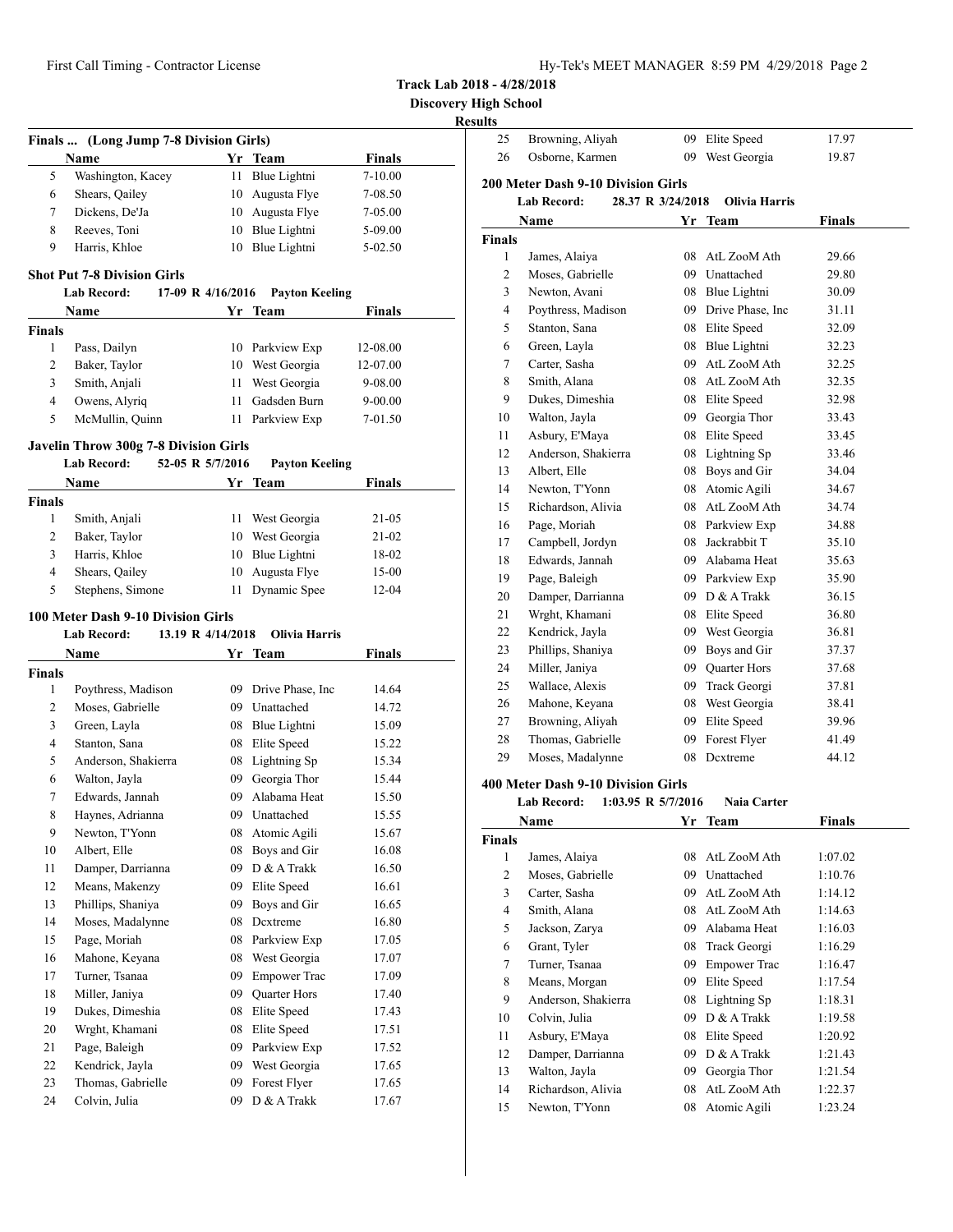|  |  |  | Hy-Tek's MEET MANAGER 8:59 PM 4/29/2018 Page 2 |  |  |  |
|--|--|--|------------------------------------------------|--|--|--|
|--|--|--|------------------------------------------------|--|--|--|

**Discovery High School**

#### **Results**

| Finals  (Long Jump 7-8 Division Girls) |                                              |                   |                       |               |  |
|----------------------------------------|----------------------------------------------|-------------------|-----------------------|---------------|--|
|                                        | Name                                         |                   | Yr Team               | <b>Finals</b> |  |
| 5                                      | Washington, Kacey                            | 11                | Blue Lightni          | 7-10.00       |  |
| 6                                      | Shears, Qailey                               | 10                | Augusta Flye          | 7-08.50       |  |
| 7                                      | Dickens, De'Ja                               | 10                | Augusta Flye          | 7-05.00       |  |
| 8                                      | Reeves, Toni                                 | 10                | Blue Lightni          | 5-09.00       |  |
| 9                                      | Harris, Khloe                                |                   | 10 Blue Lightni       | 5-02.50       |  |
|                                        | <b>Shot Put 7-8 Division Girls</b>           |                   |                       |               |  |
|                                        | Lab Record:                                  | 17-09 R 4/16/2016 | <b>Payton Keeling</b> |               |  |
|                                        | Name                                         |                   | Yr Team               | Finals        |  |
| <b>Finals</b>                          |                                              |                   |                       |               |  |
| 1                                      | Pass, Dailyn                                 |                   | 10 Parkview Exp       | 12-08.00      |  |
| 2                                      | Baker, Taylor                                |                   | 10 West Georgia       | 12-07.00      |  |
| 3                                      | Smith, Anjali                                | 11 -              | West Georgia          | 9-08.00       |  |
| $\overline{4}$                         | Owens, Alyriq                                | 11                | Gadsden Burn          | $9 - 00.00$   |  |
| 5                                      | McMullin, Quinn                              |                   | 11 Parkview Exp       | 7-01.50       |  |
|                                        |                                              |                   |                       |               |  |
|                                        | <b>Javelin Throw 300g 7-8 Division Girls</b> |                   |                       |               |  |
|                                        | <b>Lab Record:</b>                           | 52-05 R 5/7/2016  | <b>Payton Keeling</b> |               |  |
|                                        | <b>Name</b>                                  |                   | Yr Team               | <b>Finals</b> |  |
| <b>Finals</b>                          |                                              |                   |                       |               |  |
| 1                                      | Smith, Anjali                                | 11                | West Georgia          | 21-05         |  |
| 2                                      | Baker, Taylor                                |                   | 10 West Georgia       | 21-02         |  |
| 3                                      | Harris, Khloe                                |                   | 10 Blue Lightni       | 18-02         |  |
| $\overline{4}$                         | Shears, Qailey                               | 10                | Augusta Flye          | 15-00         |  |
| 5                                      | Stephens, Simone                             | 11                | Dynamic Spee          | $12 - 04$     |  |
|                                        |                                              |                   |                       |               |  |
|                                        | 100 Meter Dash 9-10 Division Girls           |                   |                       |               |  |
|                                        | <b>Lab Record:</b>                           | 13.19 R 4/14/2018 | <b>Olivia Harris</b>  |               |  |
|                                        | <b>Name</b>                                  |                   | Yr Team               | <b>Finals</b> |  |
| <b>Finals</b>                          |                                              |                   |                       |               |  |
| 1                                      | Poythress, Madison                           | 09.               | Drive Phase, Inc.     | 14.64         |  |
| 2                                      | Moses, Gabrielle                             |                   | 09 Unattached         | 14.72         |  |
| 3                                      | Green, Layla                                 | 08                | Blue Lightni          | 15.09         |  |
| 4                                      | Stanton, Sana                                | 08                | Elite Speed           | 15.22         |  |
| 5                                      | Anderson, Shakierra                          | 08                | Lightning Sp          | 15.34         |  |
| 6                                      | Walton, Jayla                                | 09                | Georgia Thor          | 15.44         |  |
| 7                                      | Edwards, Jannah                              | 09                | Alabama Heat          | 15.50         |  |
| 8                                      | Haynes, Adrianna                             | 09                | Unattached            | 15.55         |  |
| 9                                      | Newton, T'Yonn                               | 08                | Atomic Agili          | 15.67         |  |
| 10                                     | Albert, Elle                                 | 08                | Boys and Gir          | 16.08         |  |
| 11                                     | Damper, Darrianna                            | 09                | D & A Trakk           | 16.50         |  |
| 12                                     | Means, Makenzy                               | 09                | Elite Speed           | 16.61         |  |
| 13                                     | Phillips, Shaniya                            | 09                | Boys and Gir          | 16.65         |  |
| 14                                     |                                              | 08                | Dextreme              | 16.80         |  |
| 15                                     | Moses, Madalynne<br>Page, Moriah             | 08                | Parkview Exp          | 17.05         |  |
| 16                                     | Mahone, Keyana                               | 08                | West Georgia          | 17.07         |  |
| 17                                     | Turner, Tsanaa                               | 09                | <b>Empower Trac</b>   | 17.09         |  |
| 18                                     | Miller, Janiya                               | 09                | <b>Ouarter Hors</b>   | 17.40         |  |
| 19                                     | Dukes, Dimeshia                              | 08                | Elite Speed           | 17.43         |  |
| 20                                     |                                              | 08                | Elite Speed           | 17.51         |  |
| 21                                     | Wrght, Khamani<br>Page, Baleigh              | 09                | Parkview Exp          | 17.52         |  |
| 22                                     |                                              | 09                | West Georgia          | 17.65         |  |
| 23                                     | Kendrick, Jayla<br>Thomas, Gabrielle         | 09                | Forest Flyer          | 17.65         |  |

| 25             | Browning, Aliyah                           | 09                | Elite Speed          | 17.97         |  |
|----------------|--------------------------------------------|-------------------|----------------------|---------------|--|
| 26             | Osborne, Karmen                            |                   | 09 West Georgia      | 19.87         |  |
|                | <b>200 Meter Dash 9-10 Division Girls</b>  |                   |                      |               |  |
|                | <b>Lab Record:</b>                         | 28.37 R 3/24/2018 | <b>Olivia Harris</b> |               |  |
|                | Name                                       |                   | Yr Team              | <b>Finals</b> |  |
| <b>Finals</b>  |                                            |                   |                      |               |  |
| 1              | James, Alaiya                              | 08.               | AtL ZooM Ath         | 29.66         |  |
| $\overline{2}$ | Moses, Gabrielle                           |                   | 09 Unattached        | 29.80         |  |
| 3              | Newton, Avani                              |                   | 08 Blue Lightni      | 30.09         |  |
| 4              | Poythress, Madison                         |                   | 09 Drive Phase, Inc  | 31.11         |  |
| 5              | Stanton, Sana                              | 08                | Elite Speed          | 32.09         |  |
| 6              | Green, Layla                               | 08                | Blue Lightni         | 32.23         |  |
| 7              | Carter, Sasha                              | 09                | AtL ZooM Ath         | 32.25         |  |
| 8              | Smith, Alana                               | 08                | AtL ZooM Ath         | 32.35         |  |
| 9              | Dukes, Dimeshia                            | 08                | Elite Speed          | 32.98         |  |
| 10             | Walton, Jayla                              |                   | 09 Georgia Thor      | 33.43         |  |
| 11             | Asbury, E'Maya                             |                   | 08 Elite Speed       | 33.45         |  |
| 12             | Anderson, Shakierra                        |                   | 08 Lightning Sp      | 33.46         |  |
| 13             | Albert, Elle                               | 08                | Boys and Gir         | 34.04         |  |
| 14             | Newton, T'Yonn                             | 08                | Atomic Agili         | 34.67         |  |
| 15             | Richardson, Alivia                         | 08                | AtL ZooM Ath         | 34.74         |  |
| 16             | Page, Moriah                               | 08                | Parkview Exp         | 34.88         |  |
| 17             | Campbell, Jordyn                           | 08                | Jackrabbit T         | 35.10         |  |
| 18             | Edwards, Jannah                            | 09.               | Alabama Heat         | 35.63         |  |
| 19             | Page, Baleigh                              |                   | 09 Parkview Exp      | 35.90         |  |
| 20             | Damper, Darrianna                          | 09                | D & A Trakk          | 36.15         |  |
| 21             | Wrght, Khamani                             | 08                | Elite Speed          | 36.80         |  |
| 22             | Kendrick, Jayla                            |                   | 09 West Georgia      | 36.81         |  |
| 23             | Phillips, Shaniya                          |                   | 09 Boys and Gir      | 37.37         |  |
| 24             | Miller, Janiya                             | 09                | Quarter Hors         | 37.68         |  |
| 25             | Wallace, Alexis                            |                   | 09 Track Georgi      | 37.81         |  |
| 26             | Mahone, Keyana                             |                   | 08 West Georgia      | 38.41         |  |
| 27             | Browning, Aliyah                           | 09                | Elite Speed          | 39.96         |  |
| 28             | Thomas, Gabrielle                          | 09.               | Forest Flyer         | 41.49         |  |
| 29             | Moses, Madalynne                           | 08                | Dextreme             | 44.12         |  |
|                | 400 Meter Dash 9-10 Division Girls         |                   |                      |               |  |
|                | <b>Lab Record:</b><br>1:03.95 R $5/7/2016$ |                   | <b>Naia Carter</b>   |               |  |
|                | Name                                       | Yr                | Team                 | Finals        |  |
| <b>Finals</b>  |                                            |                   |                      |               |  |
| 1              | James, Alaiya                              |                   | 08 AtL ZooM Ath      | 1:07.02       |  |
| 2              | Moses, Gabrielle                           |                   | 09 Unattached        | 1:10.76       |  |
| 3              | Carter, Sasha                              | 09                | AtL ZooM Ath         | 1:14.12       |  |

 Smith, Alana 08 AtL ZooM Ath 1:14.63 Jackson, Zarya 09 Alabama Heat 1:16.03 Grant, Tyler 08 Track Georgi 1:16.29 Turner, Tsanaa 09 Empower Trac 1:16.47 8 Means, Morgan 09 Elite Speed 1:17.54 Anderson, Shakierra 08 Lightning Sp 1:18.31 Colvin, Julia 09 D & A Trakk 1:19.58 Asbury, E'Maya 08 Elite Speed 1:20.92 12 Damper, Darrianna 09 D & A Trakk 1:21.43 Walton, Jayla 09 Georgia Thor 1:21.54 Richardson, Alivia 08 AtL ZooM Ath 1:22.37 Newton, T'Yonn 08 Atomic Agili 1:23.24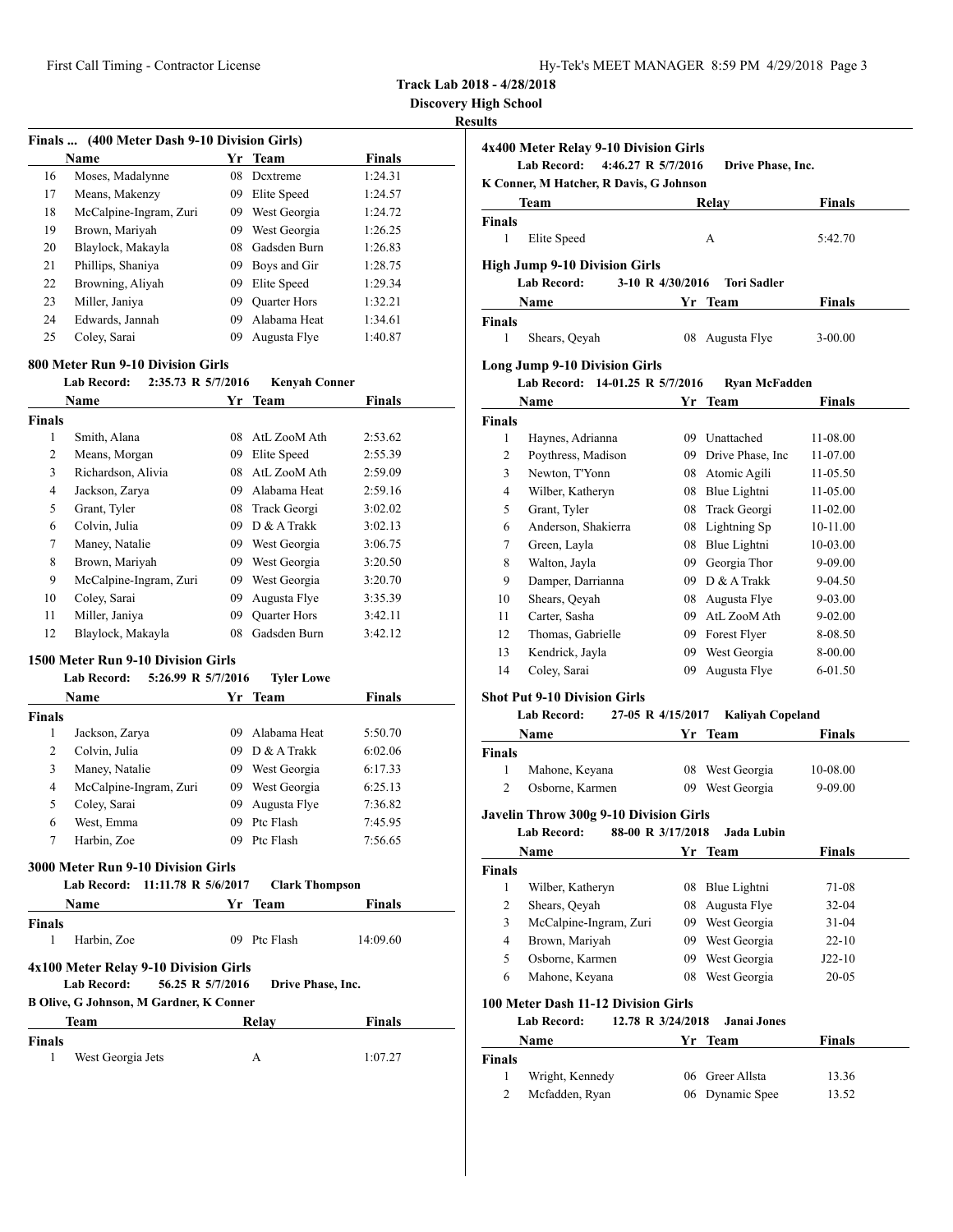| Hy-Tek's MEET MANAGER 8:59 PM 4/29/2018 Page 3 |  |  |  |
|------------------------------------------------|--|--|--|
|------------------------------------------------|--|--|--|

**Discovery High School**

| Finals  (400 Meter Dash 9-10 Division Girls) |                        |    |                     |               |
|----------------------------------------------|------------------------|----|---------------------|---------------|
|                                              | Name                   |    | Yr Team             | <b>Finals</b> |
| 16                                           | Moses, Madalynne       | 08 | Dextreme            | 1:24.31       |
| 17                                           | Means, Makenzy         | 09 | Elite Speed         | 1:24.57       |
| 18                                           | McCalpine-Ingram, Zuri | 09 | West Georgia        | 1:24.72       |
| 19                                           | Brown, Mariyah         | 09 | West Georgia        | 1:26.25       |
| 20                                           | Blaylock, Makayla      | 08 | Gadsden Burn        | 1:26.83       |
| 21                                           | Phillips, Shaniya      | 09 | Boys and Gir        | 1:28.75       |
| 22                                           | Browning, Aliyah       | 09 | Elite Speed         | 1:29.34       |
| 23                                           | Miller, Janiya         | 09 | <b>Ouarter Hors</b> | 1:32.21       |
| 24                                           | Edwards, Jannah        | 09 | Alabama Heat        | 1:34.61       |
| 25                                           | Coley, Sarai           | 09 | Augusta Flye        | 1:40.87       |

| 800 Meter Run 9-10 Division Girls<br>2:35.73 R 5/7/2016<br><b>Lab Record:</b><br><b>Kenyah Conner</b> |                        |    |                     |         |
|-------------------------------------------------------------------------------------------------------|------------------------|----|---------------------|---------|
|                                                                                                       | Name                   | Yr | Team                | Finals  |
| <b>Finals</b>                                                                                         |                        |    |                     |         |
| 1                                                                                                     | Smith, Alana           | 08 | AtL ZooM Ath        | 2:53.62 |
| 2                                                                                                     | Means, Morgan          | 09 | Elite Speed         | 2:55.39 |
| 3                                                                                                     | Richardson, Alivia     | 08 | AtL ZooM Ath        | 2:59.09 |
| 4                                                                                                     | Jackson, Zarya         | 09 | Alabama Heat        | 2:59.16 |
| 5                                                                                                     | Grant, Tyler           | 08 | Track Georgi        | 3:02.02 |
| 6                                                                                                     | Colvin, Julia          | 09 | D & A Trakk         | 3:02.13 |
| 7                                                                                                     | Maney, Natalie         | 09 | West Georgia        | 3:06.75 |
| 8                                                                                                     | Brown, Mariyah         | 09 | West Georgia        | 3:20.50 |
| 9                                                                                                     | McCalpine-Ingram, Zuri | 09 | West Georgia        | 3:20.70 |
| 10                                                                                                    | Coley, Sarai           | 09 | Augusta Flye        | 3:35.39 |
| 11                                                                                                    | Miller, Janiya         | 09 | <b>Quarter Hors</b> | 3:42.11 |
| 12                                                                                                    | Blaylock, Makayla      | 08 | Gadsden Burn        | 3:42.12 |

# **1500 Meter Run 9-10 Division Girls**

|        | 5:26.99 R 5/7/2016<br><b>Lab Record:</b> |    | <b>Tyler Lowe</b> |               |  |
|--------|------------------------------------------|----|-------------------|---------------|--|
|        | Name                                     |    | Yr Team           | <b>Finals</b> |  |
| Finals |                                          |    |                   |               |  |
| 1      | Jackson, Zarya                           | 09 | Alabama Heat      | 5:50.70       |  |
| 2      | Colvin, Julia                            | 09 | D & A Trakk       | 6:02.06       |  |
| 3      | Maney, Natalie                           | 09 | West Georgia      | 6:17.33       |  |
| 4      | McCalpine-Ingram, Zuri                   | 09 | West Georgia      | 6:25.13       |  |
| 5      | Coley, Sarai                             | 09 | Augusta Flye      | 7:36.82       |  |
| 6      | West, Emma                               | 09 | Ptc Flash         | 7:45.95       |  |
| 7      | Harbin, Zoe                              | 09 | Ptc Flash         | 7:56.65       |  |
|        |                                          |    |                   |               |  |

# **3000 Meter Run 9-10 Division Girls**

| Lab Record: 11:11.78 R 5/6/2017                | <b>Clark Thompson</b>                 |               |
|------------------------------------------------|---------------------------------------|---------------|
| Name                                           | Yr Team                               | <b>Finals</b> |
| <b>Finals</b>                                  |                                       |               |
| Harbin, Zoe<br>1                               | Ptc Flash<br>09                       | 14:09.60      |
| 4x100 Meter Relay 9-10 Division Girls          |                                       |               |
| Lab Record:                                    | 56.25 R 5/7/2016<br>Drive Phase, Inc. |               |
| <b>B Olive, G Johnson, M Gardner, K Conner</b> |                                       |               |
| Team                                           | Relay                                 | <b>Finals</b> |
| <b>Finals</b>                                  |                                       |               |
| West Georgia Jets<br>1                         | А                                     | 1:07.27       |
|                                                |                                       |               |

| K Conner, M Hatcher, R Davis, G Johnson<br>Team<br>Relay<br>1<br>A<br>Elite Speed<br><b>High Jump 9-10 Division Girls</b><br>3-10 R 4/30/2016<br><b>Lab Record:</b><br><b>Tori Sadler</b><br><b>Name</b><br>Yr Team<br>$\mathbf{1}$<br>Shears, Qeyah<br>08 Augusta Flye<br><b>Long Jump 9-10 Division Girls</b><br>Lab Record: 14-01.25 R 5/7/2016<br><b>Ryan McFadden</b><br>Name<br>Yr Team<br>$\mathbf{1}$<br>Haynes, Adrianna<br>09 Unattached<br>2<br>Poythress, Madison<br>09 Drive Phase, Inc<br>3<br>Newton, T'Yonn<br>08 Atomic Agili<br>Wilber, Katheryn<br>4<br>08 Blue Lightni<br>5<br>08 Track Georgi<br>Grant, Tyler<br>Anderson, Shakierra<br>08 Lightning Sp<br>6<br>08 Blue Lightni<br>7<br>Green, Layla<br>8<br>Walton, Jayla<br>09 Georgia Thor<br>09 D & A Trakk<br>9<br>Damper, Darrianna<br>10<br>Shears, Qeyah<br>08 Augusta Flye<br>Carter, Sasha<br>09 AtL ZooM Ath<br>11<br>12<br>Thomas, Gabrielle<br>09 Forest Flyer<br>West Georgia<br>13<br>Kendrick, Jayla<br>09<br>09<br>Augusta Flye<br>14<br>Coley, Sarai<br><b>Shot Put 9-10 Division Girls</b><br>Lab Record: 27-05 R 4/15/2017<br><b>Kaliyah Copeland</b><br><b>Name</b><br>Yr Team<br>1<br>Mahone, Keyana<br>08 West Georgia<br>Osborne, Karmen<br>2<br>09 West Georgia<br><b>Javelin Throw 300g 9-10 Division Girls</b><br><b>Lab Record:</b><br>88-00 R 3/17/2018<br><b>Jada Lubin</b><br>Name<br>Yr Team<br>1<br>Wilber, Katheryn<br>08 Blue Lightni |               |  | Drive Phase, Inc. |
|-----------------------------------------------------------------------------------------------------------------------------------------------------------------------------------------------------------------------------------------------------------------------------------------------------------------------------------------------------------------------------------------------------------------------------------------------------------------------------------------------------------------------------------------------------------------------------------------------------------------------------------------------------------------------------------------------------------------------------------------------------------------------------------------------------------------------------------------------------------------------------------------------------------------------------------------------------------------------------------------------------------------------------------------------------------------------------------------------------------------------------------------------------------------------------------------------------------------------------------------------------------------------------------------------------------------------------------------------------------------------------------------------------------------------------------------------|---------------|--|-------------------|
|                                                                                                                                                                                                                                                                                                                                                                                                                                                                                                                                                                                                                                                                                                                                                                                                                                                                                                                                                                                                                                                                                                                                                                                                                                                                                                                                                                                                                                               |               |  | <b>Finals</b>     |
|                                                                                                                                                                                                                                                                                                                                                                                                                                                                                                                                                                                                                                                                                                                                                                                                                                                                                                                                                                                                                                                                                                                                                                                                                                                                                                                                                                                                                                               | <b>Finals</b> |  |                   |
|                                                                                                                                                                                                                                                                                                                                                                                                                                                                                                                                                                                                                                                                                                                                                                                                                                                                                                                                                                                                                                                                                                                                                                                                                                                                                                                                                                                                                                               |               |  | 5:42.70           |
|                                                                                                                                                                                                                                                                                                                                                                                                                                                                                                                                                                                                                                                                                                                                                                                                                                                                                                                                                                                                                                                                                                                                                                                                                                                                                                                                                                                                                                               |               |  |                   |
|                                                                                                                                                                                                                                                                                                                                                                                                                                                                                                                                                                                                                                                                                                                                                                                                                                                                                                                                                                                                                                                                                                                                                                                                                                                                                                                                                                                                                                               |               |  |                   |
|                                                                                                                                                                                                                                                                                                                                                                                                                                                                                                                                                                                                                                                                                                                                                                                                                                                                                                                                                                                                                                                                                                                                                                                                                                                                                                                                                                                                                                               |               |  | <b>Finals</b>     |
|                                                                                                                                                                                                                                                                                                                                                                                                                                                                                                                                                                                                                                                                                                                                                                                                                                                                                                                                                                                                                                                                                                                                                                                                                                                                                                                                                                                                                                               | <b>Finals</b> |  |                   |
|                                                                                                                                                                                                                                                                                                                                                                                                                                                                                                                                                                                                                                                                                                                                                                                                                                                                                                                                                                                                                                                                                                                                                                                                                                                                                                                                                                                                                                               |               |  | $3 - 00.00$       |
|                                                                                                                                                                                                                                                                                                                                                                                                                                                                                                                                                                                                                                                                                                                                                                                                                                                                                                                                                                                                                                                                                                                                                                                                                                                                                                                                                                                                                                               |               |  |                   |
|                                                                                                                                                                                                                                                                                                                                                                                                                                                                                                                                                                                                                                                                                                                                                                                                                                                                                                                                                                                                                                                                                                                                                                                                                                                                                                                                                                                                                                               |               |  |                   |
|                                                                                                                                                                                                                                                                                                                                                                                                                                                                                                                                                                                                                                                                                                                                                                                                                                                                                                                                                                                                                                                                                                                                                                                                                                                                                                                                                                                                                                               |               |  | <b>Finals</b>     |
|                                                                                                                                                                                                                                                                                                                                                                                                                                                                                                                                                                                                                                                                                                                                                                                                                                                                                                                                                                                                                                                                                                                                                                                                                                                                                                                                                                                                                                               | <b>Finals</b> |  |                   |
|                                                                                                                                                                                                                                                                                                                                                                                                                                                                                                                                                                                                                                                                                                                                                                                                                                                                                                                                                                                                                                                                                                                                                                                                                                                                                                                                                                                                                                               |               |  | 11-08.00          |
|                                                                                                                                                                                                                                                                                                                                                                                                                                                                                                                                                                                                                                                                                                                                                                                                                                                                                                                                                                                                                                                                                                                                                                                                                                                                                                                                                                                                                                               |               |  | 11-07.00          |
|                                                                                                                                                                                                                                                                                                                                                                                                                                                                                                                                                                                                                                                                                                                                                                                                                                                                                                                                                                                                                                                                                                                                                                                                                                                                                                                                                                                                                                               |               |  | 11-05.50          |
|                                                                                                                                                                                                                                                                                                                                                                                                                                                                                                                                                                                                                                                                                                                                                                                                                                                                                                                                                                                                                                                                                                                                                                                                                                                                                                                                                                                                                                               |               |  | 11-05.00          |
|                                                                                                                                                                                                                                                                                                                                                                                                                                                                                                                                                                                                                                                                                                                                                                                                                                                                                                                                                                                                                                                                                                                                                                                                                                                                                                                                                                                                                                               |               |  | 11-02.00          |
|                                                                                                                                                                                                                                                                                                                                                                                                                                                                                                                                                                                                                                                                                                                                                                                                                                                                                                                                                                                                                                                                                                                                                                                                                                                                                                                                                                                                                                               |               |  | 10-11.00          |
|                                                                                                                                                                                                                                                                                                                                                                                                                                                                                                                                                                                                                                                                                                                                                                                                                                                                                                                                                                                                                                                                                                                                                                                                                                                                                                                                                                                                                                               |               |  | 10-03.00          |
|                                                                                                                                                                                                                                                                                                                                                                                                                                                                                                                                                                                                                                                                                                                                                                                                                                                                                                                                                                                                                                                                                                                                                                                                                                                                                                                                                                                                                                               |               |  | 9-09.00           |
|                                                                                                                                                                                                                                                                                                                                                                                                                                                                                                                                                                                                                                                                                                                                                                                                                                                                                                                                                                                                                                                                                                                                                                                                                                                                                                                                                                                                                                               |               |  | 9-04.50           |
|                                                                                                                                                                                                                                                                                                                                                                                                                                                                                                                                                                                                                                                                                                                                                                                                                                                                                                                                                                                                                                                                                                                                                                                                                                                                                                                                                                                                                                               |               |  | $9 - 03.00$       |
|                                                                                                                                                                                                                                                                                                                                                                                                                                                                                                                                                                                                                                                                                                                                                                                                                                                                                                                                                                                                                                                                                                                                                                                                                                                                                                                                                                                                                                               |               |  | $9 - 02.00$       |
|                                                                                                                                                                                                                                                                                                                                                                                                                                                                                                                                                                                                                                                                                                                                                                                                                                                                                                                                                                                                                                                                                                                                                                                                                                                                                                                                                                                                                                               |               |  | 8-08.50           |
|                                                                                                                                                                                                                                                                                                                                                                                                                                                                                                                                                                                                                                                                                                                                                                                                                                                                                                                                                                                                                                                                                                                                                                                                                                                                                                                                                                                                                                               |               |  | 8-00.00           |
|                                                                                                                                                                                                                                                                                                                                                                                                                                                                                                                                                                                                                                                                                                                                                                                                                                                                                                                                                                                                                                                                                                                                                                                                                                                                                                                                                                                                                                               |               |  | 6-01.50           |
|                                                                                                                                                                                                                                                                                                                                                                                                                                                                                                                                                                                                                                                                                                                                                                                                                                                                                                                                                                                                                                                                                                                                                                                                                                                                                                                                                                                                                                               |               |  |                   |
|                                                                                                                                                                                                                                                                                                                                                                                                                                                                                                                                                                                                                                                                                                                                                                                                                                                                                                                                                                                                                                                                                                                                                                                                                                                                                                                                                                                                                                               |               |  |                   |
|                                                                                                                                                                                                                                                                                                                                                                                                                                                                                                                                                                                                                                                                                                                                                                                                                                                                                                                                                                                                                                                                                                                                                                                                                                                                                                                                                                                                                                               |               |  | Finals            |
|                                                                                                                                                                                                                                                                                                                                                                                                                                                                                                                                                                                                                                                                                                                                                                                                                                                                                                                                                                                                                                                                                                                                                                                                                                                                                                                                                                                                                                               | <b>Finals</b> |  |                   |
|                                                                                                                                                                                                                                                                                                                                                                                                                                                                                                                                                                                                                                                                                                                                                                                                                                                                                                                                                                                                                                                                                                                                                                                                                                                                                                                                                                                                                                               |               |  | 10-08.00          |
|                                                                                                                                                                                                                                                                                                                                                                                                                                                                                                                                                                                                                                                                                                                                                                                                                                                                                                                                                                                                                                                                                                                                                                                                                                                                                                                                                                                                                                               |               |  | 9-09.00           |
|                                                                                                                                                                                                                                                                                                                                                                                                                                                                                                                                                                                                                                                                                                                                                                                                                                                                                                                                                                                                                                                                                                                                                                                                                                                                                                                                                                                                                                               |               |  |                   |
|                                                                                                                                                                                                                                                                                                                                                                                                                                                                                                                                                                                                                                                                                                                                                                                                                                                                                                                                                                                                                                                                                                                                                                                                                                                                                                                                                                                                                                               |               |  |                   |
|                                                                                                                                                                                                                                                                                                                                                                                                                                                                                                                                                                                                                                                                                                                                                                                                                                                                                                                                                                                                                                                                                                                                                                                                                                                                                                                                                                                                                                               |               |  | <b>Finals</b>     |
|                                                                                                                                                                                                                                                                                                                                                                                                                                                                                                                                                                                                                                                                                                                                                                                                                                                                                                                                                                                                                                                                                                                                                                                                                                                                                                                                                                                                                                               | <b>Finals</b> |  |                   |
|                                                                                                                                                                                                                                                                                                                                                                                                                                                                                                                                                                                                                                                                                                                                                                                                                                                                                                                                                                                                                                                                                                                                                                                                                                                                                                                                                                                                                                               |               |  | 71-08             |

| 2      | Shears, Qeyah                                                                          | 08 | Augusta Flye           | $32-04$       |
|--------|----------------------------------------------------------------------------------------|----|------------------------|---------------|
| 3      | McCalpine-Ingram, Zuri                                                                 | 09 | West Georgia           | $31 - 04$     |
| 4      | Brown, Mariyah                                                                         | 09 | West Georgia           | $22 - 10$     |
| 5      | Osborne, Karmen                                                                        | 09 | West Georgia           | $J22-10$      |
| 6      | Mahone, Keyana                                                                         | 08 | West Georgia           | $20 - 05$     |
|        | 100 Meter Dash 11-12 Division Girls<br>12.78 R 3/24/2018<br><b>Lab Record:</b><br>Name |    | Janai Jones<br>Yr Team | <b>Finals</b> |
| Finals |                                                                                        |    |                        |               |

| ıals |                 |                 |       |
|------|-----------------|-----------------|-------|
|      | Wright, Kennedy | 06 Greer Allsta | 13.36 |
|      | Mcfadden, Ryan  | 06 Dynamic Spee | 13.52 |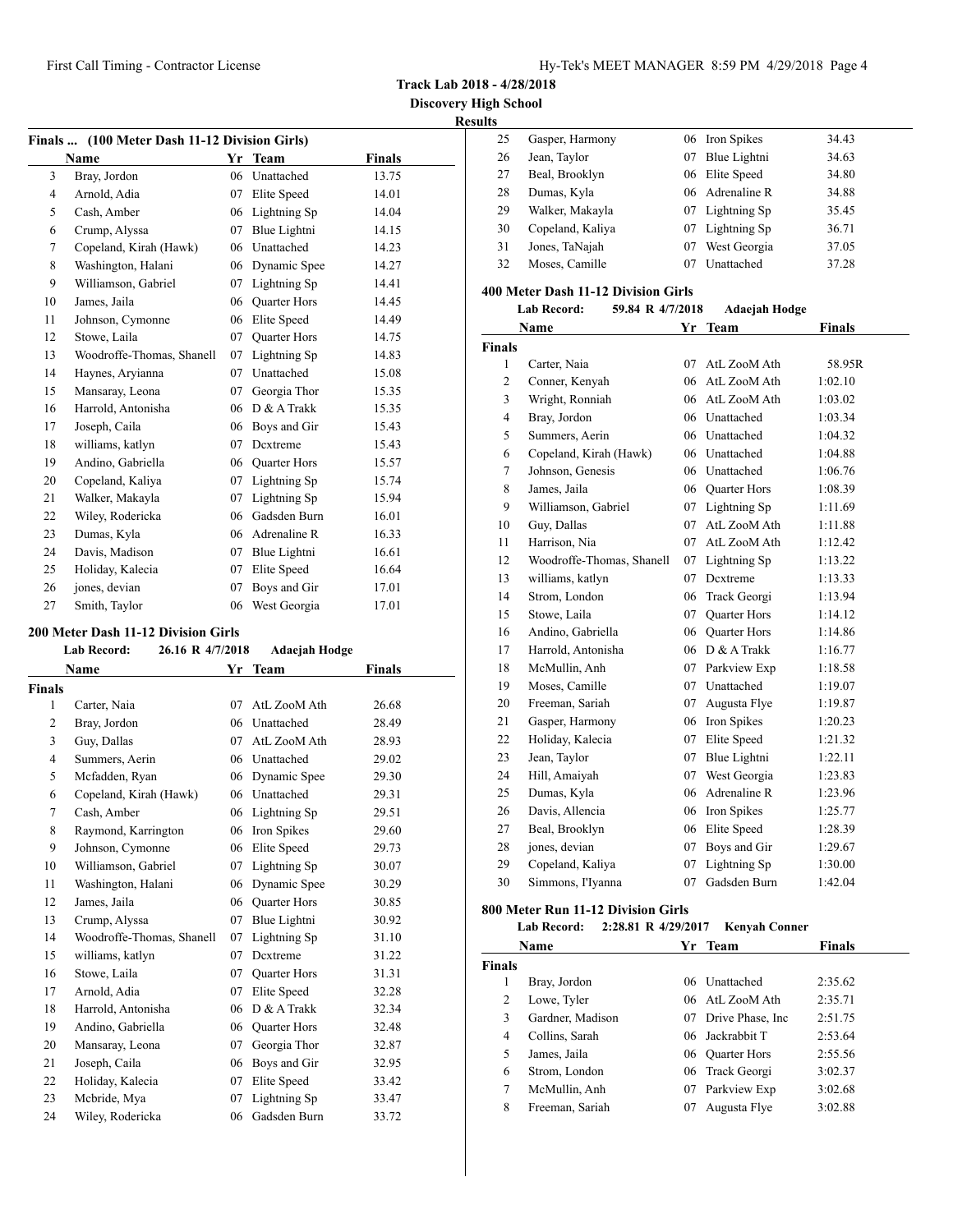**Discovery High School Results**

| Finals  (100 Meter Dash 11-12 Division Girls) |                           |    |                     |               |  |
|-----------------------------------------------|---------------------------|----|---------------------|---------------|--|
|                                               | <b>Name</b>               | Yr | <b>Team</b>         | <b>Finals</b> |  |
| 3                                             | Bray, Jordon              | 06 | Unattached          | 13.75         |  |
| $\overline{4}$                                | Arnold, Adia              | 07 | Elite Speed         | 14.01         |  |
| 5                                             | Cash, Amber               | 06 | Lightning Sp        | 14.04         |  |
| 6                                             | Crump, Alyssa             | 07 | Blue Lightni        | 14.15         |  |
| 7                                             | Copeland, Kirah (Hawk)    | 06 | Unattached          | 14.23         |  |
| 8                                             | Washington, Halani        | 06 | Dynamic Spee        | 14.27         |  |
| 9                                             | Williamson, Gabriel       | 07 | Lightning Sp        | 14.41         |  |
| 10                                            | James, Jaila              | 06 | <b>Ouarter Hors</b> | 14.45         |  |
| 11                                            | Johnson, Cymonne          | 06 | Elite Speed         | 14.49         |  |
| 12                                            | Stowe, Laila              | 07 | <b>Quarter Hors</b> | 14.75         |  |
| 13                                            | Woodroffe-Thomas, Shanell | 07 | Lightning Sp        | 14.83         |  |
| 14                                            | Haynes, Aryianna          | 07 | Unattached          | 15.08         |  |
| 15                                            | Mansaray, Leona           | 07 | Georgia Thor        | 15.35         |  |
| 16                                            | Harrold, Antonisha        | 06 | $D$ & A Trakk       | 15.35         |  |
| 17                                            | Joseph, Caila             | 06 | Boys and Gir        | 15.43         |  |
| 18                                            | williams, katlyn          | 07 | Dextreme            | 15.43         |  |
| 19                                            | Andino, Gabriella         | 06 | <b>Quarter Hors</b> | 15.57         |  |
| 20                                            | Copeland, Kaliya          | 07 | Lightning Sp        | 15.74         |  |
| 21                                            | Walker, Makayla           | 07 | Lightning Sp        | 15.94         |  |
| 22                                            | Wiley, Rodericka          | 06 | Gadsden Burn        | 16.01         |  |
| 23                                            | Dumas, Kyla               | 06 | Adrenaline R        | 16.33         |  |
| 24                                            | Davis, Madison            | 07 | Blue Lightni        | 16.61         |  |
| 25                                            | Holiday, Kalecia          | 07 | Elite Speed         | 16.64         |  |
| 26                                            | jones, devian             | 07 | Boys and Gir        | 17.01         |  |
| 27                                            | Smith, Taylor             | 06 | West Georgia        | 17.01         |  |

#### **200 Meter Dash 11-12 Division Girls**

|                | <b>Lab Record:</b><br>26.16 R 4/7/2018 |    | <b>Adaejah Hodge</b> |        |
|----------------|----------------------------------------|----|----------------------|--------|
|                | Name                                   | Yr | <b>Team</b>          | Finals |
| <b>Finals</b>  |                                        |    |                      |        |
| 1              | Carter, Naia                           | 07 | AtL ZooM Ath         | 26.68  |
| 2              | Bray, Jordon                           | 06 | Unattached           | 28.49  |
| 3              | Guy, Dallas                            | 07 | AtL ZooM Ath         | 28.93  |
| $\overline{4}$ | Summers, Aerin                         | 06 | Unattached           | 29.02  |
| 5              | Mcfadden, Ryan                         | 06 | Dynamic Spee         | 29.30  |
| 6              | Copeland, Kirah (Hawk)                 | 06 | Unattached           | 29.31  |
| 7              | Cash, Amber                            | 06 | Lightning Sp         | 29.51  |
| 8              | Raymond, Karrington                    | 06 | Iron Spikes          | 29.60  |
| 9              | Johnson, Cymonne                       | 06 | Elite Speed          | 29.73  |
| 10             | Williamson, Gabriel                    | 07 | Lightning Sp         | 30.07  |
| 11             | Washington, Halani                     | 06 | Dynamic Spee         | 30.29  |
| 12             | James, Jaila                           | 06 | Quarter Hors         | 30.85  |
| 13             | Crump, Alyssa                          | 07 | Blue Lightni         | 30.92  |
| 14             | Woodroffe-Thomas, Shanell              | 07 | Lightning Sp         | 31.10  |
| 15             | williams, katlyn                       | 07 | Dextreme             | 31.22  |
| 16             | Stowe, Laila                           | 07 | <b>Quarter Hors</b>  | 31.31  |
| 17             | Arnold, Adia                           | 07 | Elite Speed          | 32.28  |
| 18             | Harrold, Antonisha                     | 06 | D & A Trakk          | 32.34  |
| 19             | Andino, Gabriella                      | 06 | Quarter Hors         | 32.48  |
| 20             | Mansaray, Leona                        | 07 | Georgia Thor         | 32.87  |
| 21             | Joseph, Caila                          | 06 | Boys and Gir         | 32.95  |
| 22             | Holiday, Kalecia                       | 07 | Elite Speed          | 33.42  |
| 23             | Mcbride, Mya                           | 07 | Lightning Sp         | 33.47  |
| 24             | Wiley, Rodericka                       | 06 | Gadsden Burn         | 33.72  |

| ILS |                  |    |                 |       |
|-----|------------------|----|-----------------|-------|
| 25  | Gasper, Harmony  |    | 06 Iron Spikes  | 34.43 |
| 26  | Jean, Taylor     | 07 | Blue Lightni    | 34.63 |
| 27  | Beal, Brooklyn   |    | 06 Elite Speed  | 34.80 |
| 28  | Dumas, Kyla      |    | 06 Adrenaline R | 34.88 |
| 29  | Walker, Makayla  |    | 07 Lightning Sp | 35.45 |
| 30  | Copeland, Kaliya | 07 | Lightning Sp    | 36.71 |
| 31  | Jones, TaNajah   | 07 | West Georgia    | 37.05 |
| 32  | Moses, Camille   | 07 | Unattached      | 37.28 |
|     |                  |    |                 |       |

#### **400 Meter Dash 11-12 Division Girls**

|                | <b>Lab Record:</b><br>59.84 R 4/7/2018 |     | <b>Adaejah Hodge</b> |               |
|----------------|----------------------------------------|-----|----------------------|---------------|
|                | Name                                   | Yr  | <b>Team</b>          | <b>Finals</b> |
| <b>Finals</b>  |                                        |     |                      |               |
| 1              | Carter, Naia                           | 07  | AtL ZooM Ath         | 58.95R        |
| $\overline{c}$ | Conner, Kenyah                         | 06. | AtL ZooM Ath         | 1:02.10       |
| 3              | Wright, Ronniah                        |     | 06 AtL ZooM Ath      | 1:03.02       |
| $\overline{4}$ | Bray, Jordon                           |     | 06 Unattached        | 1:03.34       |
| 5              | Summers, Aerin                         |     | 06 Unattached        | 1:04.32       |
| 6              | Copeland, Kirah (Hawk)                 |     | 06 Unattached        | 1:04.88       |
| 7              | Johnson, Genesis                       |     | 06 Unattached        | 1:06.76       |
| 8              | James, Jaila                           |     | 06 Quarter Hors      | 1:08.39       |
| 9              | Williamson, Gabriel                    | 07  | Lightning Sp         | 1:11.69       |
| 10             | Guy, Dallas                            | 07  | AtL ZooM Ath         | 1:11.88       |
| 11             | Harrison, Nia                          | 07  | AtL ZooM Ath         | 1:12.42       |
| 12             | Woodroffe-Thomas, Shanell              | 07  | Lightning Sp         | 1:13.22       |
| 13             | williams, katlyn                       | 07  | Dextreme             | 1:13.33       |
| 14             | Strom, London                          | 06. | Track Georgi         | 1:13.94       |
| 15             | Stowe, Laila                           | 07  | Quarter Hors         | 1:14.12       |
| 16             | Andino, Gabriella                      |     | 06 Quarter Hors      | 1:14.86       |
| 17             | Harrold, Antonisha                     |     | $06$ D & A Trakk     | 1:16.77       |
| 18             | McMullin, Anh                          | 07  | Parkview Exp         | 1:18.58       |
| 19             | Moses, Camille                         | 07  | Unattached           | 1:19.07       |
| 20             | Freeman, Sariah                        | 07  | Augusta Flye         | 1:19.87       |
| 21             | Gasper, Harmony                        | 06  | Iron Spikes          | 1:20.23       |
| 22             | Holiday, Kalecia                       | 07  | Elite Speed          | 1:21.32       |
| 23             | Jean, Taylor                           | 07  | Blue Lightni         | 1:22.11       |
| 24             | Hill, Amaiyah                          |     | 07 West Georgia      | 1:23.83       |
| 25             | Dumas, Kyla                            | 06  | Adrenaline R         | 1:23.96       |
| 26             | Davis, Allencia                        | 06  | Iron Spikes          | 1:25.77       |
| 27             | Beal, Brooklyn                         | 06  | Elite Speed          | 1:28.39       |
| 28             | jones, devian                          | 07  | Boys and Gir         | 1:29.67       |
| 29             | Copeland, Kaliya                       | 07  | Lightning Sp         | 1:30.00       |
| 30             | Simmons, I'Iyanna                      | 07  | Gadsden Burn         | 1:42.04       |

#### **800 Meter Run 11-12 Division Girls**

**Lab Record: 2:28.81 R 4/29/2017 Kenyah Conner**

| Name   |                  | Yr. | Team              | Finals  |
|--------|------------------|-----|-------------------|---------|
| Finals |                  |     |                   |         |
|        | Bray, Jordon     | 06  | Unattached        | 2:35.62 |
| 2      | Lowe, Tyler      |     | 06 AtL ZooM Ath   | 2:35.71 |
| 3      | Gardner, Madison | 07  | Drive Phase, Inc. | 2:51.75 |
| 4      | Collins, Sarah   |     | 06 Jackrabbit T   | 2:53.64 |
| 5      | James, Jaila     |     | 06 Ouarter Hors   | 2:55.56 |
| 6      | Strom, London    |     | 06 Track Georgi   | 3:02.37 |
| 7      | McMullin, Anh    | 07  | Parkview Exp      | 3:02.68 |
| 8      | Freeman, Sariah  | 07  | Augusta Flye      | 3:02.88 |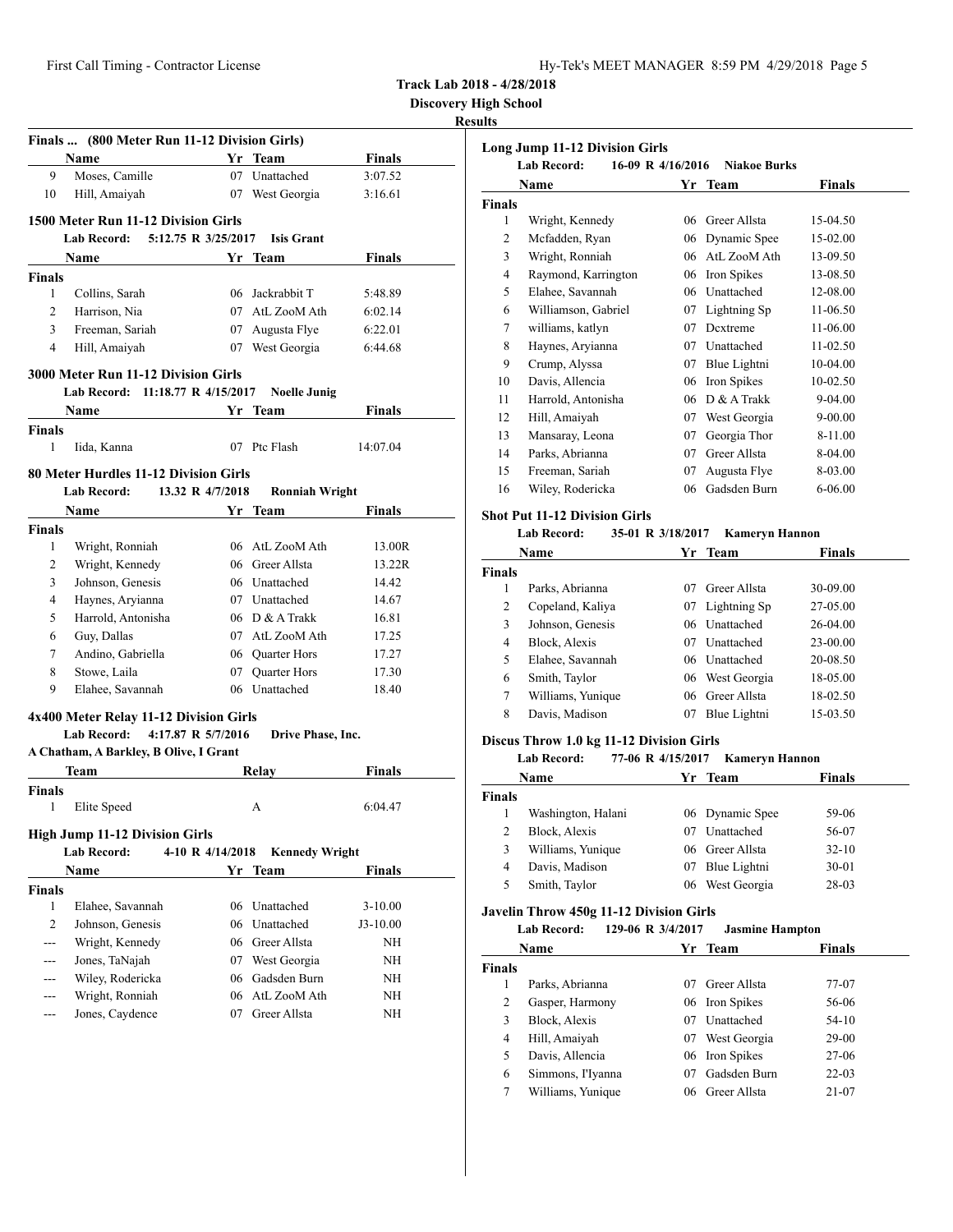**Discovery High School**

#### **Results**

|                                                                   | Finals  (800 Meter Run 11-12 Division Girls) |                  |                              |               |  |  |
|-------------------------------------------------------------------|----------------------------------------------|------------------|------------------------------|---------------|--|--|
|                                                                   | Name                                         |                  | Yr Team                      | <b>Finals</b> |  |  |
| 9                                                                 | Moses, Camille                               |                  | 07 Unattached                | 3:07.52       |  |  |
| 10                                                                | Hill, Amaiyah                                |                  | 07 West Georgia              | 3:16.61       |  |  |
|                                                                   | 1500 Meter Run 11-12 Division Girls          |                  |                              |               |  |  |
|                                                                   | 5:12.75 R 3/25/2017<br>Lab Record:           |                  | <b>Isis Grant</b>            |               |  |  |
|                                                                   | Name                                         |                  | Yr Team                      | Finals        |  |  |
| <b>Finals</b>                                                     |                                              |                  |                              |               |  |  |
| $\mathbf{1}$                                                      | Collins, Sarah                               |                  | 06 Jackrabbit T              | 5:48.89       |  |  |
| $\overline{2}$                                                    | Harrison, Nia                                |                  | 07 AtL ZooM Ath              | 6:02.14       |  |  |
| 3                                                                 | Freeman, Sariah                              |                  | 07 Augusta Flye              | 6:22.01       |  |  |
| 4                                                                 | Hill, Amaiyah                                |                  | 07 West Georgia              | 6:44.68       |  |  |
|                                                                   | <b>3000 Meter Run 11-12 Division Girls</b>   |                  |                              |               |  |  |
| <b>Lab Record:</b><br>11:18.77 R 4/15/2017<br><b>Noelle Junig</b> |                                              |                  |                              |               |  |  |
|                                                                   | Name                                         |                  | Yr Team                      | Finals        |  |  |
| <b>Finals</b>                                                     |                                              |                  |                              |               |  |  |
| 1                                                                 | Iida, Kanna                                  |                  | 07 Ptc Flash                 | 14:07.04      |  |  |
|                                                                   | 80 Meter Hurdles 11-12 Division Girls        |                  |                              |               |  |  |
|                                                                   | <b>Lab Record:</b><br>13.32 R 4/7/2018       |                  | <b>Ronniah Wright</b>        |               |  |  |
|                                                                   | <b>Name</b>                                  | Yr               | Team                         | Finals        |  |  |
| <b>Finals</b>                                                     |                                              |                  |                              |               |  |  |
| 1                                                                 | Wright, Ronniah                              |                  | 06 AtL ZooM Ath              | 13.00R        |  |  |
| 2                                                                 | Wright, Kennedy                              |                  | 06 Greer Allsta              | 13.22R        |  |  |
| 3                                                                 | Johnson, Genesis                             |                  | 06 Unattached                | 14.42         |  |  |
| 4                                                                 | Haynes, Aryianna                             |                  | 07 Unattached                | 14.67         |  |  |
| 5                                                                 | Harrold, Antonisha                           |                  | 06 D & A Trakk               | 16.81         |  |  |
| 6                                                                 | Guy, Dallas                                  |                  | 07 AtL ZooM Ath              | 17.25         |  |  |
| 7                                                                 | Andino, Gabriella                            |                  | 06 Quarter Hors              | 17.27         |  |  |
|                                                                   |                                              |                  | 07 Ouarter Hors              | 17.30         |  |  |
| 8                                                                 | Stowe, Laila                                 |                  |                              |               |  |  |
| 9                                                                 | Elahee, Savannah                             |                  | 06 Unattached                | 18.40         |  |  |
|                                                                   | 4x400 Meter Relay 11-12 Division Girls       |                  |                              |               |  |  |
|                                                                   | <b>Lab Record:</b><br>4:17.87 R 5/7/2016     |                  | Drive Phase, Inc.            |               |  |  |
|                                                                   | A Chatham, A Barkley, B Olive, I Grant       |                  |                              |               |  |  |
|                                                                   | <b>Team</b>                                  |                  | Relay                        | Finals        |  |  |
|                                                                   |                                              |                  |                              |               |  |  |
| 1                                                                 | Elite Speed                                  |                  | А                            | 6:04.47       |  |  |
| <b>Finals</b>                                                     | <b>High Jump 11-12 Division Girls</b>        |                  |                              |               |  |  |
|                                                                   | Lab Record:                                  | 4-10 R 4/14/2018 | <b>Kennedy Wright</b>        |               |  |  |
|                                                                   | <b>Name</b>                                  |                  | Yr Team                      | Finals        |  |  |
|                                                                   |                                              |                  |                              |               |  |  |
| 1                                                                 | Elahee, Savannah                             | 06               | Unattached                   | 3-10.00       |  |  |
| <b>Finals</b><br>2                                                | Johnson, Genesis                             | 06               | Unattached                   | J3-10.00      |  |  |
| ---                                                               | Wright, Kennedy                              | 06               | Greer Allsta                 | NH            |  |  |
| ---                                                               | Jones, TaNajah                               | 07               | West Georgia                 | NH            |  |  |
| ---                                                               | Wiley, Rodericka                             | 06               | Gadsden Burn                 | NΗ            |  |  |
| ---                                                               | Wright, Ronniah<br>Jones, Caydence           | 06               | AtL ZooM Ath<br>Greer Allsta | NΗ            |  |  |

|                | <b>Long Jump 11-12 Division Girls</b>   |    |                     |            |
|----------------|-----------------------------------------|----|---------------------|------------|
|                | <b>Lab Record:</b><br>16-09 R 4/16/2016 |    | <b>Niakoe Burks</b> |            |
|                | Name                                    |    | Yr Team             | Finals     |
| <b>Finals</b>  |                                         |    |                     |            |
| 1              | Wright, Kennedy                         | 06 | Greer Allsta        | 15-04.50   |
| $\overline{c}$ | Mcfadden, Ryan                          | 06 | Dynamic Spee        | 15-02.00   |
| 3              | Wright, Ronniah                         | 06 | AtL ZooM Ath        | 13-09.50   |
| 4              | Raymond, Karrington                     | 06 | Iron Spikes         | 13-08.50   |
| 5              | Elahee, Savannah                        | 06 | Unattached          | 12-08.00   |
| 6              | Williamson, Gabriel                     | 07 | Lightning Sp        | 11-06.50   |
| 7              | williams, katlyn                        | 07 | Dextreme            | 11-06.00   |
| 8              | Haynes, Aryianna                        | 07 | Unattached          | 11-02.50   |
| 9              | Crump, Alyssa                           | 07 | Blue Lightni        | 10-04.00   |
| 10             | Davis, Allencia                         | 06 | Iron Spikes         | $10-02.50$ |
| 11             | Harrold, Antonisha                      | 06 | $D$ & A Trakk       | 9-04.00    |
| 12             | Hill, Amaiyah                           | 07 | West Georgia        | 9-00.00    |
| 13             | Mansaray, Leona                         | 07 | Georgia Thor        | 8-11.00    |
| 14             | Parks, Abrianna                         | 07 | Greer Allsta        | 8-04.00    |
| 15             | Freeman, Sariah                         | 07 | Augusta Flye        | 8-03.00    |
| 16             | Wiley, Rodericka                        | 06 | Gadsden Burn        | 6-06.00    |
|                |                                         |    |                     |            |

# **Shot Put 11-12 Division Girls**

#### **Lab Record: 35-01 R 3/18/2017 Kameryn Hannon**

| Name          |                   |    | Yr Team           | Finals     |
|---------------|-------------------|----|-------------------|------------|
| <b>Finals</b> |                   |    |                   |            |
| 1             | Parks, Abrianna   | 07 | Greer Allsta      | 30-09.00   |
| 2             | Copeland, Kaliya  |    | 07 Lightning Sp   | 27-05.00   |
| 3             | Johnson, Genesis  | 06 | <b>Unattached</b> | $26-04.00$ |
| 4             | Block, Alexis     | 07 | Unattached        | 23-00.00   |
| 5             | Elahee, Savannah  | 06 | Unattached        | 20-08.50   |
| 6             | Smith, Taylor     | 06 | West Georgia      | 18-05.00   |
| 7             | Williams, Yunique | 06 | Greer Allsta      | 18-02.50   |
| 8             | Davis, Madison    | 07 | Blue Lightni      | 15-03.50   |

# **Discus Throw 1.0 kg 11-12 Division Girls**<br>Lab Record: 77-06 R 4/15/2017

#### **Lab Record: 77-06 R 4/15/2017 Kameryn Hannon**

| пар кологи.<br>$11$ - 00 IN $\pi/1$ $J/2$ 017<br>лханил ун гланнон |    |              |                                               |  |
|--------------------------------------------------------------------|----|--------------|-----------------------------------------------|--|
| Name                                                               |    |              | <b>Finals</b>                                 |  |
|                                                                    |    |              |                                               |  |
| Washington, Halani                                                 |    |              | 59-06                                         |  |
| <b>Block, Alexis</b>                                               | 07 | Unattached   | 56-07                                         |  |
| Williams, Yunique                                                  |    |              | $32 - 10$                                     |  |
| Davis, Madison                                                     | 07 | Blue Lightni | $30 - 01$                                     |  |
| Smith, Taylor                                                      | 06 | West Georgia | 28-03                                         |  |
|                                                                    |    |              | Yr Team<br>06 Dynamic Spee<br>06 Greer Allsta |  |

# **Javelin Throw 450g 11-12 Division Girls**

**Lab Record: 129-06 R 3/4/2017 Jasmine Hampton**

| Name          |                   |    | Yr Team        | Finals    |  |
|---------------|-------------------|----|----------------|-----------|--|
| <b>Finals</b> |                   |    |                |           |  |
|               | Parks, Abrianna   | 07 | Greer Allsta   | 77-07     |  |
| 2             | Gasper, Harmony   |    | 06 Iron Spikes | 56-06     |  |
| 3             | Block, Alexis     | 07 | Unattached     | 54-10     |  |
| 4             | Hill, Amaiyah     | 07 | West Georgia   | 29-00     |  |
| 5             | Davis, Allencia   |    | 06 Iron Spikes | 27-06     |  |
| 6             | Simmons, I'Iyanna | 07 | Gadsden Burn   | $22 - 03$ |  |
|               | Williams, Yunique | 06 | Greer Allsta   | 21-07     |  |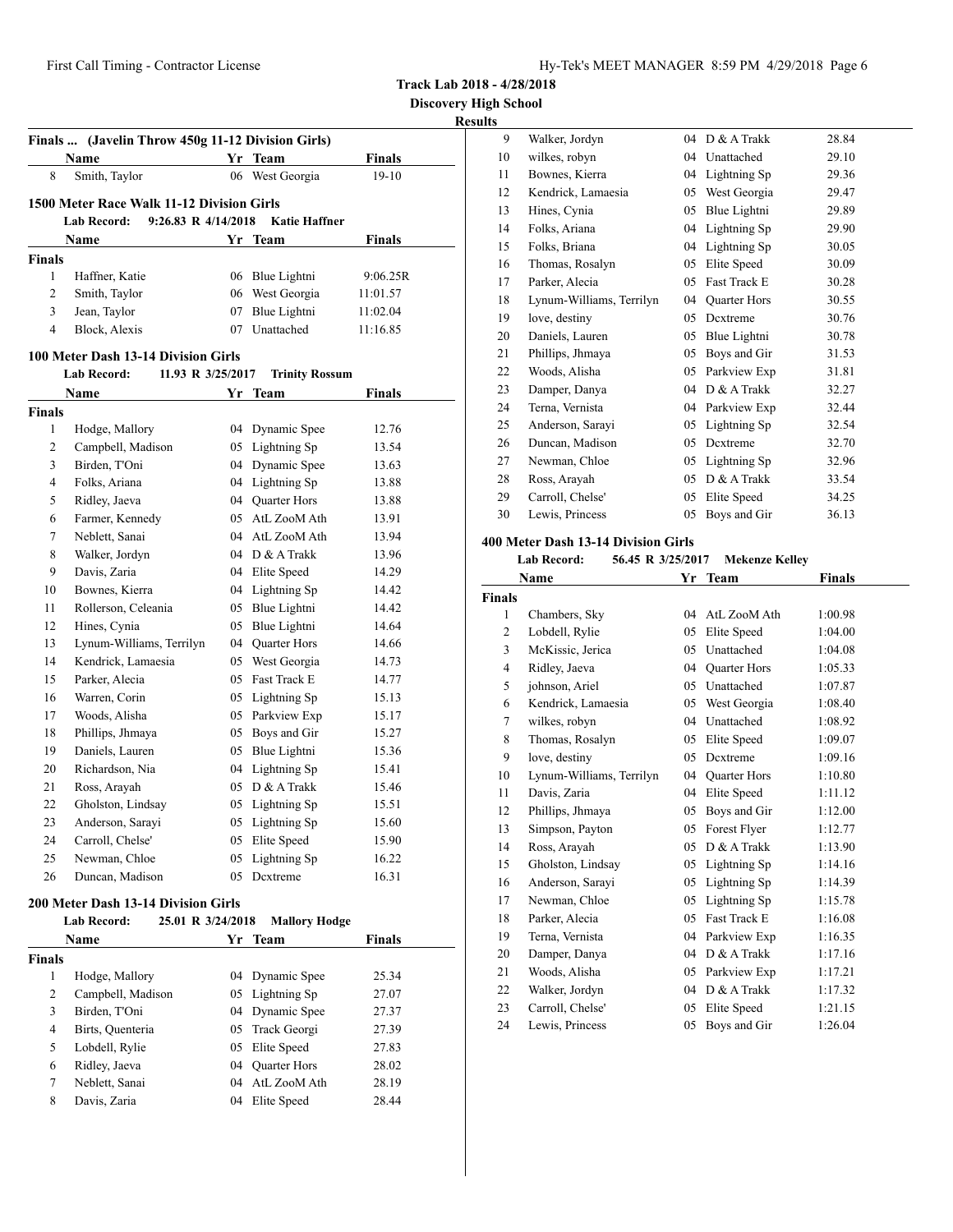**Discovery High School**

# **Results**

|                | Finals  (Javelin Throw 450g 11-12 Division Girls) |    |                       |               |
|----------------|---------------------------------------------------|----|-----------------------|---------------|
|                | Name                                              |    | Yr Team               | Finals        |
| 8              | Smith, Taylor                                     | 06 | West Georgia          | $19-10$       |
|                | 1500 Meter Race Walk 11-12 Division Girls         |    |                       |               |
|                | $9:26.83$ R $4/14/2018$<br><b>Lab Record:</b>     |    | <b>Katie Haffner</b>  |               |
|                | <b>Name</b>                                       |    | Yr Team               | Finals        |
| <b>Finals</b>  |                                                   |    |                       |               |
| $\mathbf{1}$   | Haffner, Katie                                    | 06 | Blue Lightni          | 9:06.25R      |
| 2              | Smith, Taylor                                     | 06 | West Georgia          | 11:01.57      |
| 3              | Jean, Taylor                                      | 07 | Blue Lightni          | 11:02.04      |
| $\overline{4}$ | <b>Block</b> , Alexis                             | 07 | Unattached            | 11:16.85      |
|                | 100 Meter Dash 13-14 Division Girls               |    |                       |               |
|                | <b>Lab Record:</b><br>11.93 R 3/25/2017           |    | <b>Trinity Rossum</b> |               |
|                | <b>Name</b>                                       |    | Yr Team               | <b>Finals</b> |
| <b>Finals</b>  |                                                   |    |                       |               |
| 1              | Hodge, Mallory                                    | 04 | Dynamic Spee          | 12.76         |
| 2              | Campbell, Madison                                 | 05 | Lightning Sp          | 13.54         |
| 3              | Birden, T'Oni                                     | 04 | Dynamic Spee          | 13.63         |
| $\overline{4}$ | Folks, Ariana                                     | 04 | Lightning Sp          | 13.88         |
| 5              | Ridley, Jaeva                                     | 04 | Quarter Hors          | 13.88         |
| 6              | Farmer, Kennedy                                   | 05 | AtL ZooM Ath          | 13.91         |
| 7              | Neblett, Sanai                                    | 04 | AtL ZooM Ath          | 13.94         |
| 8              | Walker, Jordyn                                    | 04 | D & A Trakk           | 13.96         |
| 9              | Davis, Zaria                                      | 04 | Elite Speed           | 14.29         |
| 10             | Bownes, Kierra                                    | 04 | Lightning Sp          | 14.42         |
| 11             | Rollerson, Celeania                               | 05 | Blue Lightni          | 14.42         |
| 12             | Hines, Cynia                                      | 05 | Blue Lightni          | 14.64         |
| 13             | Lynum-Williams, Terrilyn                          | 04 | <b>Ouarter Hors</b>   | 14.66         |
| 14             | Kendrick, Lamaesia                                | 05 | West Georgia          | 14.73         |
| 15             | Parker, Alecia                                    | 05 | Fast Track E          | 14.77         |
| 16             | Warren, Corin                                     | 05 | Lightning Sp          | 15.13         |
| 17             | Woods, Alisha                                     | 05 | Parkview Exp          | 15.17         |
| 18             | Phillips, Jhmaya                                  | 05 | Boys and Gir          | 15.27         |
| 19             | Daniels, Lauren                                   | 05 | Blue Lightni          | 15.36         |
| 20             | Richardson, Nia                                   | 04 | Lightning Sp          | 15.41         |
| 21             | Ross, Arayah                                      | 05 | D & A Trakk           | 15.46         |
| 22             | Gholston, Lindsay                                 | 05 | Lightning Sp          | 15.51         |
| 23             | Anderson, Sarayi                                  | 05 | Lightning Sp          | 15.60         |
| 24             | Carroll, Chelse'                                  | 05 | Elite Speed           | 15.90         |
| 25             | Newman, Chloe                                     | 05 | Lightning Sp          | 16.22         |
| 26             | Duncan, Madison                                   | 05 | Dextreme              | 16.31         |
|                | 200 Meter Dash 13-14 Division Girls               |    |                       |               |
|                | Lah Record: $25.01$ R $3/24/2018$                 |    | Mallary Hadge         |               |

|        | <b>Lab Record:</b> | 25.01 R 3/24/2018 | <b>Mallory Hodge</b> |               |  |
|--------|--------------------|-------------------|----------------------|---------------|--|
|        | Name               |                   | Yr Team              | <b>Finals</b> |  |
| Finals |                    |                   |                      |               |  |
| 1      | Hodge, Mallory     |                   | 04 Dynamic Spee      | 25.34         |  |
| 2      | Campbell, Madison  |                   | 05 Lightning Sp      | 27.07         |  |
| 3      | Birden, T'Oni      |                   | 04 Dynamic Spee      | 27.37         |  |
| 4      | Birts, Quenteria   |                   | 05 Track Georgi      | 27.39         |  |
| 5      | Lobdell, Rylie     |                   | 05 Elite Speed       | 27.83         |  |
| 6      | Ridley, Jaeva      |                   | 04 Ouarter Hors      | 28.02         |  |
| 7      | Neblett, Sanai     |                   | 04 AtL ZooM Ath      | 28.19         |  |
| 8      | Davis, Zaria       | 04                | Elite Speed          | 28.44         |  |
|        |                    |                   |                      |               |  |

| 9  | Walker, Jordyn           | 04 | $D$ & A Trakk       | 28.84 |
|----|--------------------------|----|---------------------|-------|
| 10 | wilkes, robyn            | 04 | Unattached          | 29.10 |
| 11 | Bownes, Kierra           | 04 | Lightning Sp        | 29.36 |
| 12 | Kendrick, Lamaesia       | 05 | West Georgia        | 29.47 |
| 13 | Hines, Cynia             | 05 | Blue Lightni        | 29.89 |
| 14 | Folks, Ariana            | 04 | Lightning Sp        | 29.90 |
| 15 | Folks, Briana            | 04 | Lightning Sp        | 30.05 |
| 16 | Thomas, Rosalyn          | 05 | Elite Speed         | 30.09 |
| 17 | Parker, Alecia           | 05 | Fast Track E        | 30.28 |
| 18 | Lynum-Williams, Terrilyn | 04 | <b>Quarter Hors</b> | 30.55 |
| 19 | love, destiny            | 05 | Dextreme            | 30.76 |
| 20 | Daniels, Lauren          | 05 | Blue Lightni        | 30.78 |
| 21 | Phillips, Jhmaya         | 05 | Boys and Gir        | 31.53 |
| 22 | Woods, Alisha            | 05 | Parkview Exp        | 31.81 |
| 23 | Damper, Danya            | 04 | D & A Trakk         | 32.27 |
| 24 | Terna, Vernista          | 04 | Parkview Exp        | 32.44 |
| 25 | Anderson, Sarayi         | 05 | Lightning Sp        | 32.54 |
| 26 | Duncan, Madison          | 05 | Dextreme            | 32.70 |
| 27 | Newman, Chloe            | 05 | Lightning Sp        | 32.96 |
| 28 | Ross, Arayah             | 05 | D & A Trakk         | 33.54 |
| 29 | Carroll, Chelse'         | 05 | Elite Speed         | 34.25 |
| 30 | Lewis, Princess          | 05 | Boys and Gir        | 36.13 |

# **400 Meter Dash 13-14 Division Girls**

| Lab Record: | 56.45 R 3/25/2017 | Mekenze Kelley |
|-------------|-------------------|----------------|
|-------------|-------------------|----------------|

|                | Name                     | Yr | <b>Team</b>         | <b>Finals</b> |
|----------------|--------------------------|----|---------------------|---------------|
| <b>Finals</b>  |                          |    |                     |               |
| 1              | Chambers, Sky            | 04 | AtL ZooM Ath        | 1:00.98       |
| $\overline{c}$ | Lobdell, Rylie           | 05 | Elite Speed         | 1:04.00       |
| 3              | McKissic, Jerica         | 05 | Unattached          | 1:04.08       |
| 4              | Ridley, Jaeva            | 04 | <b>Quarter Hors</b> | 1:05.33       |
| 5              | johnson, Ariel           | 05 | Unattached          | 1:07.87       |
| 6              | Kendrick, Lamaesia       | 05 | West Georgia        | 1:08.40       |
| 7              | wilkes, robyn            | 04 | Unattached          | 1:08.92       |
| 8              | Thomas, Rosalyn          | 05 | Elite Speed         | 1:09.07       |
| 9              | love, destiny            | 05 | Dextreme            | 1:09.16       |
| 10             | Lynum-Williams, Terrilyn | 04 | <b>Quarter Hors</b> | 1:10.80       |
| 11             | Davis, Zaria             | 04 | Elite Speed         | 1:11.12       |
| 12             | Phillips, Jhmaya         | 05 | Boys and Gir        | 1:12.00       |
| 13             | Simpson, Payton          | 05 | Forest Flyer        | 1:12.77       |
| 14             | Ross, Arayah             | 05 | D & A Trakk         | 1:13.90       |
| 15             | Gholston, Lindsay        | 05 | Lightning Sp        | 1:14.16       |
| 16             | Anderson, Sarayi         | 05 | Lightning Sp        | 1:14.39       |
| 17             | Newman, Chloe            | 05 | Lightning Sp        | 1:15.78       |
| 18             | Parker, Alecia           | 05 | <b>Fast Track E</b> | 1:16.08       |
| 19             | Terna, Vernista          | 04 | Parkview Exp        | 1:16.35       |
| 20             | Damper, Danya            | 04 | $D & A$ Trakk       | 1:17.16       |
| 21             | Woods, Alisha            | 05 | Parkview Exp        | 1:17.21       |
| 22             | Walker, Jordyn           | 04 | $D & A$ Trakk       | 1:17.32       |
| 23             | Carroll, Chelse'         | 05 | Elite Speed         | 1:21.15       |
| 24             | Lewis, Princess          | 05 | Boys and Gir        | 1:26.04       |
|                |                          |    |                     |               |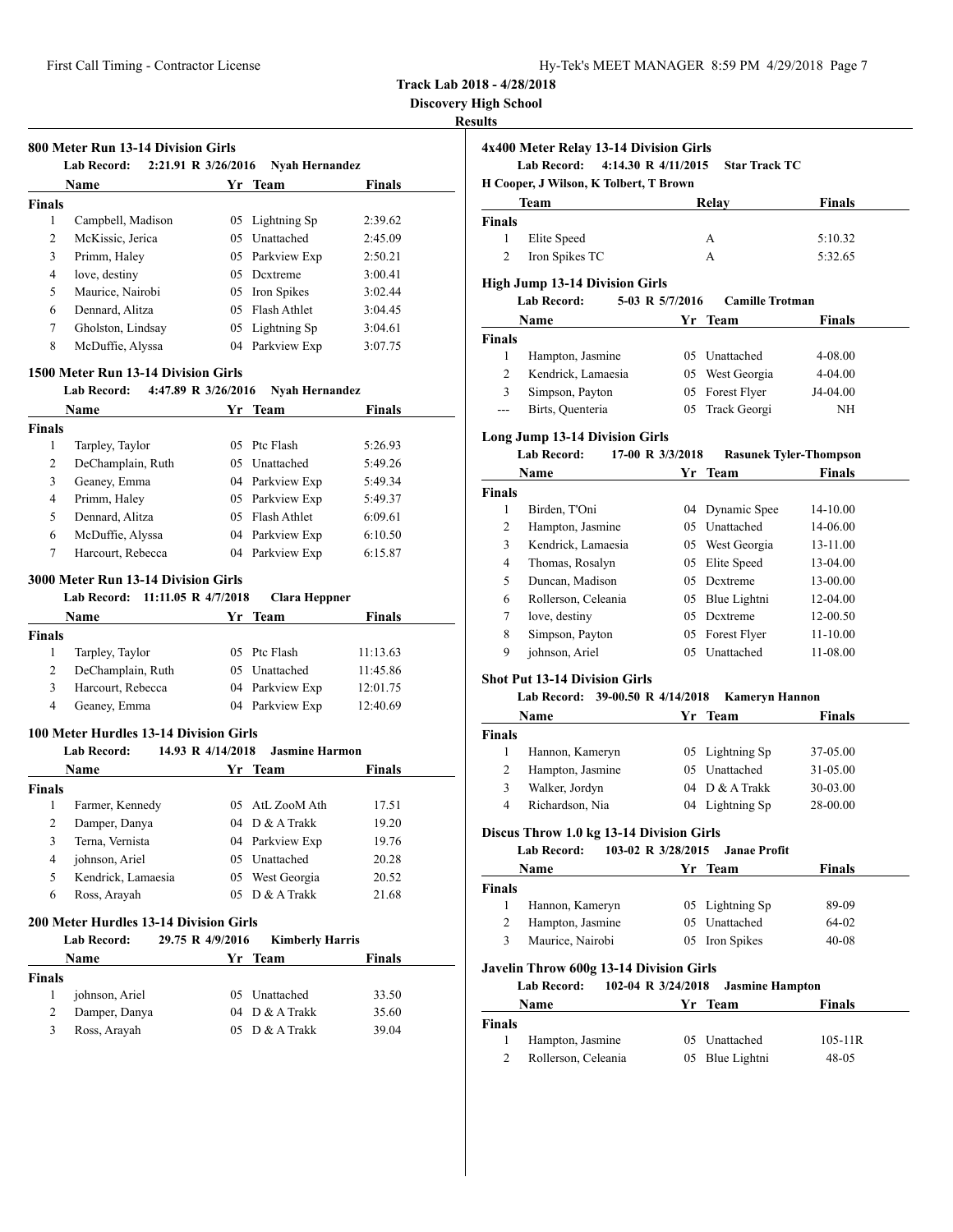**4x400 Meter Relay 13-14 Division Girls**

**Track Lab 2018 - 4/28/2018**

**Discovery High School**

# **Results**

|                | 800 Meter Run 13-14 Division Girls<br>Lab Record:<br>2:21.91 R 3/26/2016 |                   | <b>Nyah Hernandez</b>  |          |
|----------------|--------------------------------------------------------------------------|-------------------|------------------------|----------|
|                | Name                                                                     |                   | Yr Team                | Finals   |
| Finals         |                                                                          |                   |                        |          |
| 1              | Campbell, Madison                                                        |                   | 05 Lightning Sp        | 2:39.62  |
| 2              | McKissic, Jerica                                                         |                   | 05 Unattached          | 2:45.09  |
| 3              | Primm, Haley                                                             |                   | 05 Parkview Exp        | 2:50.21  |
| 4              | love, destiny                                                            |                   | 05 Dextreme            | 3:00.41  |
| 5              | Maurice, Nairobi                                                         |                   | 05 Iron Spikes         | 3:02.44  |
| 6              | Dennard, Alitza                                                          |                   | 05 Flash Athlet        | 3:04.45  |
| 7              | Gholston, Lindsay                                                        |                   | 05 Lightning Sp        | 3:04.61  |
| 8              | McDuffie, Alyssa                                                         |                   | 04 Parkview Exp        | 3:07.75  |
|                | 1500 Meter Run 13-14 Division Girls                                      |                   |                        |          |
|                | Lab Record:<br>4:47.89 R 3/26/2016                                       |                   | <b>Nyah Hernandez</b>  |          |
|                | Name                                                                     |                   | Yr Team                | Finals   |
| <b>Finals</b>  |                                                                          |                   |                        |          |
| 1              | Tarpley, Taylor                                                          |                   | 05 Ptc Flash           | 5:26.93  |
| 2              | DeChamplain, Ruth                                                        |                   | 05 Unattached          | 5:49.26  |
| 3              | Geaney, Emma                                                             |                   | 04 Parkview Exp        | 5:49.34  |
| 4              | Primm, Haley                                                             |                   | 05 Parkview Exp        | 5:49.37  |
| 5              | Dennard, Alitza                                                          |                   | 05 Flash Athlet        | 6:09.61  |
| 6              | McDuffie, Alyssa                                                         |                   | 04 Parkview Exp        | 6:10.50  |
| 7              | Harcourt, Rebecca                                                        |                   | 04 Parkview Exp        | 6:15.87  |
|                | <b>3000 Meter Run 13-14 Division Girls</b>                               |                   |                        |          |
|                | Lab Record: 11:11.05 R 4/7/2018                                          |                   | <b>Clara Heppner</b>   |          |
|                | <b>Name</b>                                                              | Yr                | Team                   | Finals   |
| <b>Finals</b>  |                                                                          |                   |                        |          |
| 1              | Tarpley, Taylor                                                          |                   | 05 Ptc Flash           | 11:13.63 |
| 2              | DeChamplain, Ruth                                                        |                   | 05 Unattached          | 11:45.86 |
| 3              | Harcourt, Rebecca                                                        |                   | 04 Parkview Exp        | 12:01.75 |
| 4              | Geaney, Emma                                                             |                   | 04 Parkview Exp        | 12:40.69 |
|                | 100 Meter Hurdles 13-14 Division Girls                                   |                   |                        |          |
|                | <b>Lab Record:</b>                                                       | 14.93 R 4/14/2018 | <b>Jasmine Harmon</b>  |          |
|                | Name                                                                     | Yr                | <b>Team</b>            | Finals   |
| Finals         |                                                                          |                   |                        |          |
| $\mathbf{1}$   | Farmer, Kennedy                                                          |                   | 05 AtL ZooM Ath        | 17.51    |
| $\overline{c}$ | Damper, Danya                                                            |                   | 04 D & A Trakk         | 19.20    |
| 3              | Terna, Vernista                                                          |                   | 04 Parkview Exp        | 19.76    |
| 4              | johnson, Ariel                                                           |                   | 05 Unattached          | 20.28    |
| 5              | Kendrick, Lamaesia                                                       |                   | 05 West Georgia        | 20.52    |
| 6              | Ross, Arayah                                                             | 05                | D & A Trakk            | 21.68    |
|                |                                                                          |                   |                        |          |
|                | 200 Meter Hurdles 13-14 Division Girls                                   |                   |                        |          |
|                | <b>Lab Record:</b>                                                       | 29.75 R 4/9/2016  | <b>Kimberly Harris</b> |          |
|                | Name                                                                     |                   | Yr Team                | Finals   |
|                |                                                                          |                   |                        |          |

1 johnson, Ariel 05 Unattached 33.50 2 Damper, Danya 04 D & A Trakk 35.60 3 Ross, Arayah 05 D & A Trakk 39.04

|        | Lab Record:<br>4:14.30 R 4/11/2015       |                 | <b>Star Track TC</b>   |                               |
|--------|------------------------------------------|-----------------|------------------------|-------------------------------|
|        | H Cooper, J Wilson, K Tolbert, T Brown   |                 |                        |                               |
|        | Team                                     |                 | Relay                  | <b>Finals</b>                 |
| Finals |                                          |                 |                        |                               |
| 1      | Elite Speed                              |                 | А                      | 5:10.32                       |
| 2      | Iron Spikes TC                           |                 | А                      | 5:32.65                       |
|        | High Jump 13-14 Division Girls           |                 |                        |                               |
|        | Lab Record:                              | 5-03 R 5/7/2016 | <b>Camille Trotman</b> |                               |
|        | Name                                     | Yr              | Team                   | Finals                        |
| Finals |                                          |                 |                        |                               |
| 1      | Hampton, Jasmine                         |                 | 05 Unattached          | 4-08.00                       |
| 2      | Kendrick, Lamaesia                       |                 | 05 West Georgia        | 4-04.00                       |
| 3      | Simpson, Payton                          |                 | 05 Forest Flyer        | J4-04.00                      |
| $---$  | Birts, Quenteria                         |                 | 05 Track Georgi        | NH                            |
|        |                                          |                 |                        |                               |
|        | <b>Long Jump 13-14 Division Girls</b>    |                 |                        |                               |
|        | Lab Record:<br>17-00 R 3/3/2018          |                 |                        | <b>Rasunek Tyler-Thompson</b> |
|        | Name                                     |                 | Yr Team                | <b>Finals</b>                 |
| Finals |                                          |                 |                        |                               |
| 1      | Birden, T'Oni                            |                 | 04 Dynamic Spee        | 14-10.00                      |
| 2      | Hampton, Jasmine                         |                 | 05 Unattached          | 14-06.00                      |
| 3      | Kendrick, Lamaesia                       |                 | 05 West Georgia        | 13-11.00                      |
| 4      | Thomas, Rosalyn                          |                 | 05 Elite Speed         | 13-04.00                      |
| 5      | Duncan, Madison                          |                 | 05 Dextreme            | 13-00.00                      |
| 6      | Rollerson, Celeania                      |                 | 05 Blue Lightni        | 12-04.00                      |
| 7      | love, destiny                            |                 | 05 Dextreme            | 12-00.50                      |
| 8      | Simpson, Payton                          |                 | 05 Forest Flyer        | 11-10.00                      |
| 9      | johnson, Ariel                           |                 | 05 Unattached          | 11-08.00                      |
|        |                                          |                 |                        |                               |
|        | Shot Put 13-14 Division Girls            |                 |                        |                               |
|        | Lab Record: 39-00.50 R 4/14/2018         |                 | <b>Kameryn Hannon</b>  |                               |
|        | Name                                     |                 | Yr Team                | Finals                        |
| Finals |                                          |                 |                        |                               |
| 1      | Hannon, Kameryn                          |                 | 05 Lightning Sp        | 37-05.00                      |
| 2      | Hampton, Jasmine                         |                 | 05 Unattached          | 31-05.00                      |
| 3      | Walker, Jordyn                           |                 | 04 D & A Trakk         | 30-03.00                      |
| 4      | Richardson, Nia                          |                 | 04 Lightning Sp        | 28-00.00                      |
|        | Discus Throw 1.0 kg 13-14 Division Girls |                 |                        |                               |
|        | <b>Lab Record:</b><br>103-02 R 3/28/2015 |                 | <b>Janae Profit</b>    |                               |
|        | Name                                     |                 | Yr Team                | <b>Finals</b>                 |
| Finals |                                          |                 |                        |                               |
| 1      | Hannon, Kameryn                          |                 | 05 Lightning Sp        | 89-09                         |
| 2      | Hampton, Jasmine                         |                 | 05 Unattached          | 64-02                         |
| 3      | Maurice, Nairobi                         | 05              | Iron Spikes            | 40-08                         |
|        |                                          |                 |                        |                               |
|        | Javelin Throw 600g 13-14 Division Girls  |                 |                        |                               |
|        | <b>Lab Record:</b><br>102-04 R 3/24/2018 |                 | <b>Jasmine Hampton</b> |                               |
|        | Name                                     |                 | Yr Team                | Finals                        |
| Finals |                                          |                 |                        |                               |
| 1      | Hampton, Jasmine                         | 05              | Unattached             | 105-11R                       |
| 2      | Rollerson, Celeania                      | 05              | Blue Lightni           | 48-05                         |
|        |                                          |                 |                        |                               |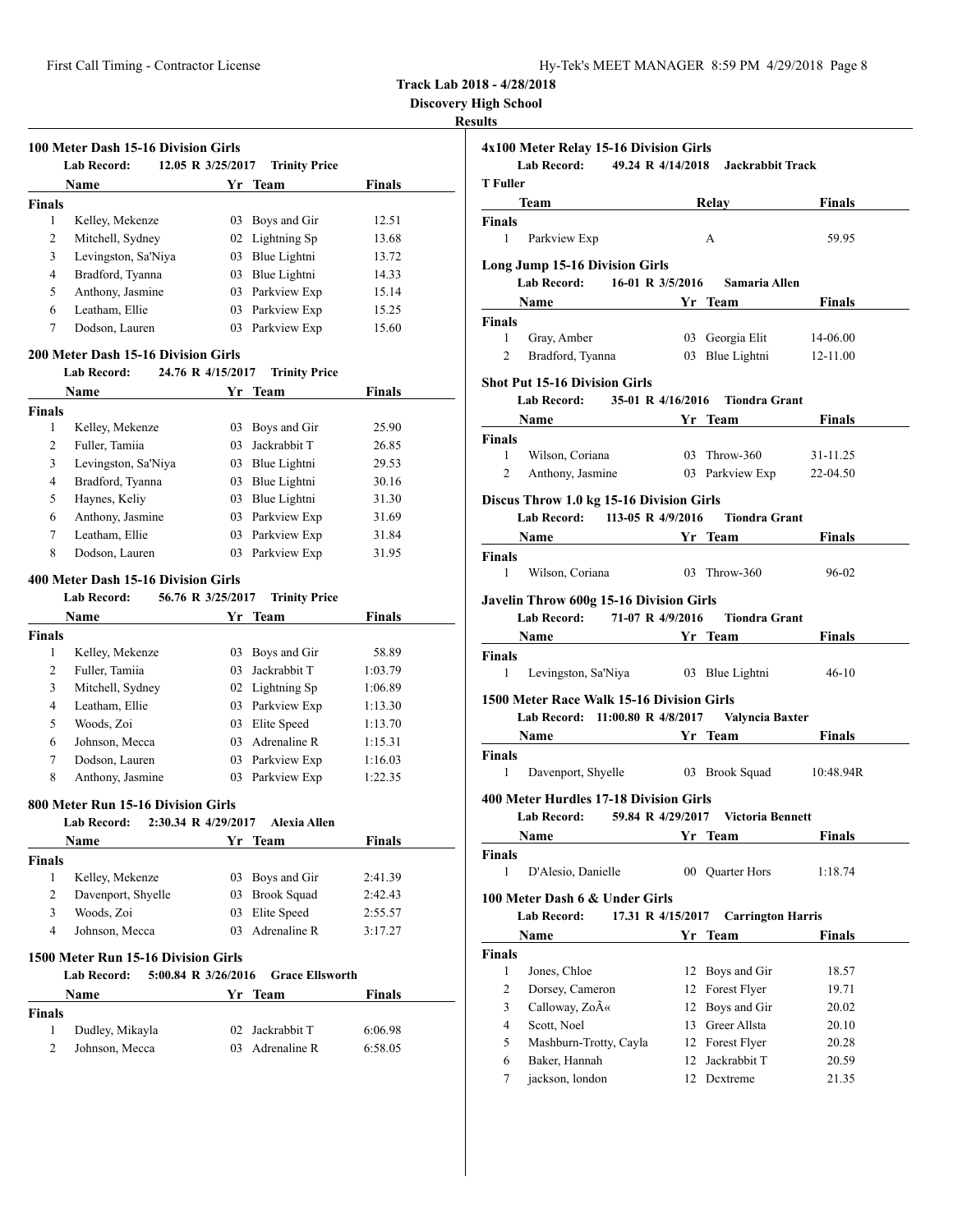**Discovery High School**

|                           | 100 Meter Dash 15-16 Division Girls<br><b>Lab Record:</b> | 12.05 R 3/25/2017   | <b>Trinity Price</b>   |               |  |
|---------------------------|-----------------------------------------------------------|---------------------|------------------------|---------------|--|
|                           |                                                           |                     |                        |               |  |
|                           | Name                                                      |                     | Yr Team                | <b>Finals</b> |  |
| Finals                    |                                                           |                     |                        |               |  |
| 1                         | Kelley, Mekenze                                           | 03                  | Boys and Gir           | 12.51         |  |
| 2                         | Mitchell, Sydney                                          | 02                  | Lightning Sp           | 13.68         |  |
| 3                         | Levingston, Sa'Niya                                       | 03                  | Blue Lightni           | 13.72         |  |
| 4                         | Bradford, Tyanna                                          |                     | 03 Blue Lightni        | 14.33         |  |
| 5                         | Anthony, Jasmine                                          |                     | 03 Parkview Exp        | 15.14         |  |
| 6                         | Leatham, Ellie                                            | 03                  | Parkview Exp           | 15.25         |  |
| 7                         | Dodson, Lauren                                            |                     | 03 Parkview Exp        | 15.60         |  |
|                           | 200 Meter Dash 15-16 Division Girls<br><b>Lab Record:</b> | 24.76 R 4/15/2017   | <b>Trinity Price</b>   |               |  |
|                           | Name                                                      | Yr                  | Team                   | <b>Finals</b> |  |
| Finals                    |                                                           |                     |                        |               |  |
| 1                         | Kelley, Mekenze                                           | 03                  | Boys and Gir           | 25.90         |  |
| 2                         | Fuller, Tamiia                                            | 03                  | Jackrabbit T           | 26.85         |  |
| 3                         | Levingston, Sa'Niya                                       | 03                  | Blue Lightni           | 29.53         |  |
| 4                         | Bradford, Tyanna                                          |                     | 03 Blue Lightni        | 30.16         |  |
| 5                         | Haynes, Keliy                                             | 03                  | Blue Lightni           | 31.30         |  |
| 6                         | Anthony, Jasmine                                          | 03                  | Parkview Exp           | 31.69         |  |
| 7                         | Leatham, Ellie                                            | 03                  | Parkview Exp           | 31.84         |  |
| 8                         | Dodson, Lauren                                            | 03                  | Parkview Exp           | 31.95         |  |
|                           |                                                           |                     |                        |               |  |
|                           | 400 Meter Dash 15-16 Division Girls                       |                     |                        |               |  |
|                           | <b>Lab Record:</b>                                        | 56.76 R 3/25/2017   | <b>Trinity Price</b>   |               |  |
|                           | Name                                                      |                     | Yr Team                | <b>Finals</b> |  |
| Finals                    |                                                           |                     |                        |               |  |
| 1                         | Kelley, Mekenze                                           | 03                  | Boys and Gir           | 58.89         |  |
| 2                         | Fuller, Tamiia                                            | 03                  | Jackrabbit T           | 1:03.79       |  |
| 3                         | Mitchell, Sydney                                          |                     | 02 Lightning Sp        | 1:06.89       |  |
| 4                         | Leatham, Ellie                                            | 03                  | Parkview Exp           | 1:13.30       |  |
| 5                         | Woods, Zoi                                                | 03                  | Elite Speed            | 1:13.70       |  |
| 6                         | Johnson, Mecca                                            | 03                  | Adrenaline R           | 1:15.31       |  |
| 7                         | Dodson, Lauren                                            | 03                  | Parkview Exp           | 1:16.03       |  |
| 8                         | Anthony, Jasmine                                          | 03                  | Parkview Exp           | 1:22.35       |  |
|                           | 800 Meter Run 15-16 Division Girls                        |                     |                        |               |  |
|                           | <b>Lab Record:</b>                                        | 2:30.34 R 4/29/2017 | <b>Alexia Allen</b>    |               |  |
|                           | Name                                                      | Yr                  | <b>Team</b>            | Finals        |  |
| <b>Finals</b>             |                                                           |                     |                        |               |  |
| $\mathbf{1}$              | Kelley, Mekenze                                           |                     | 03 Boys and Gir        | 2:41.39       |  |
| 2                         | Davenport, Shyelle                                        | 03                  | <b>Brook Squad</b>     | 2:42.43       |  |
| 3                         | Woods, Zoi                                                | 03                  | Elite Speed            | 2:55.57       |  |
| 4                         | Johnson, Mecca                                            | 03                  | Adrenaline R           | 3:17.27       |  |
|                           | 1500 Meter Run 15-16 Division Girls                       |                     |                        |               |  |
|                           | <b>Lab Record:</b>                                        | 5:00.84 R 3/26/2016 | <b>Grace Ellsworth</b> |               |  |
| Name<br>Yr Team<br>Finals |                                                           |                     |                        |               |  |
| Finals                    |                                                           |                     |                        |               |  |
| 1                         | Dudley, Mikayla                                           | 02                  | Jackrabbit T           | 6:06.98       |  |
| 2                         | Johnson, Mecca                                            | 03                  | Adrenaline R           | 6:58.05       |  |
|                           |                                                           |                     |                        |               |  |

|                     | 4x100 Meter Relay 15-16 Division Girls                                                                                                                                                                                              |    |                          |               |
|---------------------|-------------------------------------------------------------------------------------------------------------------------------------------------------------------------------------------------------------------------------------|----|--------------------------|---------------|
|                     | Lab Record: 49.24 R 4/14/2018 Jackrabbit Track                                                                                                                                                                                      |    |                          |               |
| <b>T</b> Fuller     |                                                                                                                                                                                                                                     |    |                          |               |
|                     | <b>Team</b>                                                                                                                                                                                                                         |    | <b>Relay</b>             | <b>Finals</b> |
| <b>Finals</b>       |                                                                                                                                                                                                                                     |    |                          |               |
|                     | 1 Parkview Exp                                                                                                                                                                                                                      |    | А                        | 59.95         |
|                     | <b>Long Jump 15-16 Division Girls</b>                                                                                                                                                                                               |    |                          |               |
|                     | Lab Record: 16-01 R 3/5/2016 Samaria Allen                                                                                                                                                                                          |    |                          |               |
|                     | Name Yr Team Finals                                                                                                                                                                                                                 |    |                          |               |
| <b>Finals</b>       |                                                                                                                                                                                                                                     |    |                          |               |
|                     | 1 Gray, Amber                                                                                                                                                                                                                       |    | 03 Georgia Elit 14-06.00 |               |
| 2                   | Bradford, Tyanna 03 Blue Lightni 12-11.00                                                                                                                                                                                           |    |                          |               |
|                     | <b>Shot Put 15-16 Division Girls</b>                                                                                                                                                                                                |    |                          |               |
|                     | Lab Record: 35-01 R 4/16/2016 Tiondra Grant                                                                                                                                                                                         |    |                          |               |
|                     | Name <b>Solution Strategy</b> Pinals <b>Strategy</b> Pinals                                                                                                                                                                         |    |                          |               |
| Finals              |                                                                                                                                                                                                                                     |    |                          |               |
| 1                   | Wilson, Coriana                                                                                                                                                                                                                     |    | 03 Throw-360 31-11.25    |               |
| 2                   | Anthony, Jasmine 03 Parkview Exp 22-04.50                                                                                                                                                                                           |    |                          |               |
|                     |                                                                                                                                                                                                                                     |    |                          |               |
|                     | Discus Throw 1.0 kg 15-16 Division Girls                                                                                                                                                                                            |    |                          |               |
|                     | Lab Record: 113-05 R 4/9/2016 Tiondra Grant                                                                                                                                                                                         |    |                          |               |
|                     | Name Yr Team                                                                                                                                                                                                                        |    |                          | Finals        |
| Finals<br>$1 \quad$ |                                                                                                                                                                                                                                     |    | 03 Throw-360             |               |
|                     | Wilson, Coriana                                                                                                                                                                                                                     |    |                          | 96-02         |
|                     | Javelin Throw 600g 15-16 Division Girls                                                                                                                                                                                             |    |                          |               |
|                     | Lab Record: 71-07 R 4/9/2016 Tiondra Grant                                                                                                                                                                                          |    |                          |               |
|                     | <b>Name Solution School School School School School School School School School School School School School School School School School School School School School School School School School School School School School </b>    |    |                          |               |
| Finals              |                                                                                                                                                                                                                                     |    |                          |               |
|                     | 1 Levingston, Sa'Niya 03 Blue Lightni 46-10                                                                                                                                                                                         |    |                          |               |
|                     | 1500 Meter Race Walk 15-16 Division Girls                                                                                                                                                                                           |    |                          |               |
|                     | Lab Record: 11:00.80 R 4/8/2017 Valyncia Baxter                                                                                                                                                                                     |    |                          |               |
|                     | Name <b>Solution Strip Property</b> Property Property Property Property Property Property Property Property Property Property Property Property Property Property Property Property Property Property Property Property Property Pr |    |                          |               |
| <b>Finals</b>       |                                                                                                                                                                                                                                     |    |                          |               |
| 1                   | Davenport, Shyelle 03 Brook Squad 10:48.94R                                                                                                                                                                                         |    |                          |               |
|                     |                                                                                                                                                                                                                                     |    |                          |               |
|                     | 400 Meter Hurdles 17-18 Division Girls<br>Lab Record: 59.84 R 4/29/2017 Victoria Bennett                                                                                                                                            |    |                          |               |
|                     |                                                                                                                                                                                                                                     |    |                          |               |
|                     | <u>Yr Team</u><br><b>Name</b>                                                                                                                                                                                                       |    |                          | <b>Finals</b> |
| Finals<br>1         | D'Alesio, Danielle                                                                                                                                                                                                                  |    | 00 Ouarter Hors          |               |
|                     |                                                                                                                                                                                                                                     |    |                          | 1:18.74       |
|                     | 100 Meter Dash 6 & Under Girls                                                                                                                                                                                                      |    |                          |               |
|                     | 17.31 R 4/15/2017<br><b>Lab Record:</b>                                                                                                                                                                                             |    | <b>Carrington Harris</b> |               |
|                     | Name                                                                                                                                                                                                                                |    | Yr Team                  | Finals        |
| <b>Finals</b>       |                                                                                                                                                                                                                                     |    |                          |               |
| 1                   | Jones, Chloe                                                                                                                                                                                                                        | 12 | Boys and Gir             | 18.57         |
| 2                   | Dorsey, Cameron                                                                                                                                                                                                                     | 12 | Forest Flyer             | 19.71         |
| 3                   | Calloway, Zo«                                                                                                                                                                                                                       | 12 | Boys and Gir             | 20.02         |
| 4                   | Scott, Noel                                                                                                                                                                                                                         |    | 13 Greer Allsta          | 20.10         |
| 5                   | Mashburn-Trotty, Cayla                                                                                                                                                                                                              |    | 12 Forest Flyer          | 20.28         |
| 6                   | Baker, Hannah                                                                                                                                                                                                                       |    | 12 Jackrabbit T          | 20.59         |
| 7                   | jackson, london                                                                                                                                                                                                                     |    | 12 Dcxtreme              | 21.35         |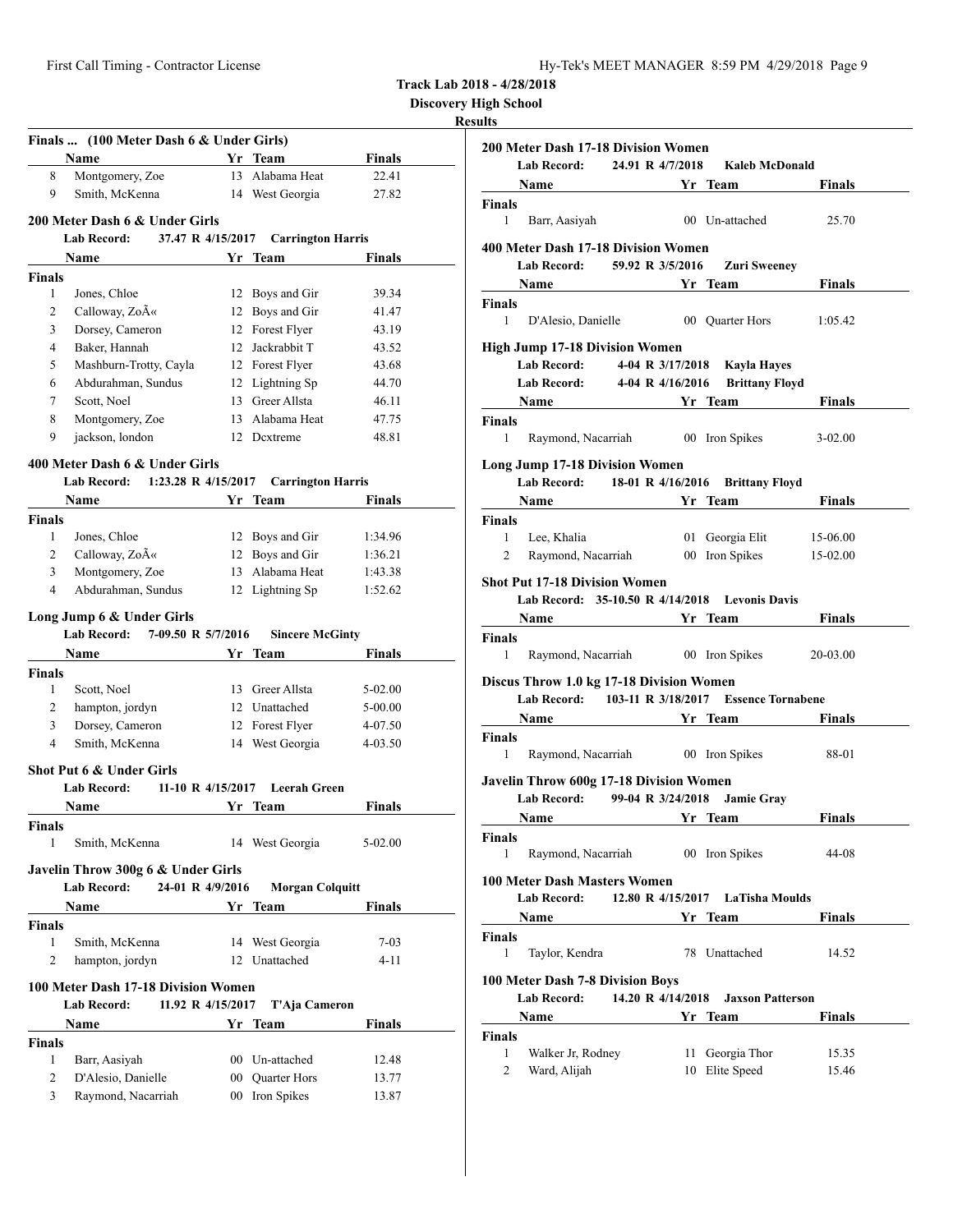**Discovery High School**

|                                     | Finals  (100 Meter Dash 6 & Under Girls)    |    |                          |               |
|-------------------------------------|---------------------------------------------|----|--------------------------|---------------|
|                                     | <b>Name</b>                                 |    | Yr Team                  | <b>Finals</b> |
| 8                                   | Montgomery, Zoe                             | 13 | Alabama Heat             | 22.41         |
| 9                                   | Smith, McKenna                              |    | 14 West Georgia          | 27.82         |
|                                     | 200 Meter Dash 6 & Under Girls              |    |                          |               |
|                                     | Lab Record:<br>37.47 R 4/15/2017            |    | <b>Carrington Harris</b> |               |
|                                     | Name                                        |    | Yr Team                  | Finals        |
| Finals                              |                                             |    |                          |               |
| 1                                   | Jones, Chloe                                | 12 | Boys and Gir             | 39.34         |
| 2                                   | Calloway, ZoA«                              |    | 12 Boys and Gir          | 41.47         |
| 3                                   | Dorsey, Cameron                             |    | 12 Forest Flyer          | 43.19         |
| $\overline{4}$                      | Baker, Hannah                               |    | 12 Jackrabbit T          | 43.52         |
| 5                                   | Mashburn-Trotty, Cayla                      |    | 12 Forest Flyer          | 43.68         |
| 6                                   | Abdurahman, Sundus                          |    | 12 Lightning Sp          | 44.70         |
| 7                                   | Scott, Noel                                 |    | 13 Greer Allsta          | 46.11         |
| 8                                   | Montgomery, Zoe                             | 13 | Alabama Heat             | 47.75         |
| 9                                   | jackson, london                             |    | 12 Dextreme              | 48.81         |
|                                     | 400 Meter Dash 6 & Under Girls              |    |                          |               |
|                                     | <b>Lab Record:</b><br>1:23.28 R $4/15/2017$ |    | <b>Carrington Harris</b> |               |
|                                     | Name                                        |    | Yr Team                  | Finals        |
| <b>Finals</b>                       |                                             |    |                          |               |
| 1                                   | Jones, Chloe                                | 12 | Boys and Gir             | 1:34.96       |
| 2                                   | Calloway, ZoA«                              | 12 | Boys and Gir             | 1:36.21       |
| 3                                   | Montgomery, Zoe                             | 13 | Alabama Heat             | 1:43.38       |
| $\overline{4}$                      | Abdurahman, Sundus                          |    | 12 Lightning Sp          | 1:52.62       |
|                                     |                                             |    |                          |               |
|                                     | Long Jump 6 & Under Girls                   |    |                          |               |
|                                     | <b>Lab Record:</b><br>7-09.50 R 5/7/2016    |    | <b>Sincere McGinty</b>   |               |
|                                     | Name                                        |    | Yr Team                  | <b>Finals</b> |
| Finals                              |                                             |    |                          |               |
| 1                                   | Scott, Noel                                 |    | 13 Greer Allsta          | 5-02.00       |
| 2                                   | hampton, jordyn                             |    | 12 Unattached            | 5-00.00       |
| 3                                   | Dorsey, Cameron                             |    | 12 Forest Flyer          | 4-07.50       |
| $\overline{4}$                      | Smith, McKenna                              |    | 14 West Georgia          | 4-03.50       |
|                                     | Shot Put 6 & Under Girls                    |    |                          |               |
|                                     | Lab Record:<br>11-10 R 4/15/2017            |    | <b>Leerah Green</b>      |               |
|                                     | Name                                        |    | Yr Team                  | Finals        |
| Finals                              |                                             |    |                          |               |
| 1                                   | Smith, McKenna                              |    | 14 West Georgia          | 5-02.00       |
|                                     |                                             |    |                          |               |
|                                     | Javelin Throw 300g 6 & Under Girls          |    |                          |               |
|                                     | <b>Lab Record:</b><br>24-01 R 4/9/2016      |    | <b>Morgan Colquitt</b>   |               |
|                                     |                                             |    |                          |               |
|                                     | Name                                        |    | Yr Team                  | <b>Finals</b> |
|                                     |                                             |    |                          |               |
| 1                                   | Smith, McKenna                              |    | 14 West Georgia          | $7 - 03$      |
| 2                                   | hampton, jordyn                             |    | 12 Unattached            | 4-11          |
|                                     | 100 Meter Dash 17-18 Division Women         |    |                          |               |
|                                     | <b>Lab Record:</b><br>11.92 R 4/15/2017     |    | T'Aja Cameron            |               |
|                                     | Name                                        |    | Yr Team                  | <b>Finals</b> |
|                                     |                                             |    |                          |               |
| $\mathbf{1}$                        | Barr, Aasiyah                               |    | 00 Un-attached           | 12.48         |
| <b>Finals</b><br><b>Finals</b><br>2 | D'Alesio, Danielle                          |    | 00 Quarter Hors          | 13.77         |
| 3                                   | Raymond, Nacarriah                          |    | 00 Iron Spikes           | 13.87         |

|               | 200 Meter Dash 17-18 Division Women              |                   |                                            |               |
|---------------|--------------------------------------------------|-------------------|--------------------------------------------|---------------|
|               | Lab Record: 24.91 R 4/7/2018                     |                   | Kaleb McDonald                             |               |
|               | Name Yr Team                                     |                   |                                            | <b>Finals</b> |
| Finals        |                                                  |                   |                                            |               |
|               | 1<br>Barr, Aasiyah                               |                   | 00 Un-attached                             | 25.70         |
|               | 400 Meter Dash 17-18 Division Women              |                   |                                            |               |
|               | Lab Record: 59.92 R 3/5/2016                     |                   | Zuri Sweeney                               |               |
|               | Name Yr Team Finals                              |                   |                                            |               |
| <b>Finals</b> |                                                  |                   |                                            |               |
| $\mathbf{1}$  | D'Alesio, Danielle 00 Quarter Hors               |                   |                                            | 1:05.42       |
|               | <b>High Jump 17-18 Division Women</b>            |                   |                                            |               |
|               | <b>Lab Record:</b>                               |                   | 4-04 R 3/17/2018 Kayla Hayes               |               |
|               | Lab Record: 4-04 R 4/16/2016 Brittany Floyd      |                   |                                            |               |
|               | Name Yr Team                                     |                   |                                            | <b>Finals</b> |
| <b>Finals</b> |                                                  |                   |                                            |               |
| 1             |                                                  |                   | Raymond, Nacarriah 00 Iron Spikes          | $3-02.00$     |
|               |                                                  |                   |                                            |               |
|               | <b>Long Jump 17-18 Division Women</b>            |                   |                                            |               |
|               | Lab Record: 18-01 R 4/16/2016 Brittany Floyd     |                   |                                            |               |
|               | Name Yr Team Finals                              |                   |                                            |               |
| Finals        |                                                  |                   |                                            |               |
|               | 1<br>Lee, Khalia                                 |                   | 01 Georgia Elit 15-06.00                   |               |
| $\mathbf{2}$  |                                                  |                   | Raymond, Nacarriah 00 Iron Spikes 15-02.00 |               |
|               | <b>Shot Put 17-18 Division Women</b>             |                   |                                            |               |
|               | Lab Record: 35-10.50 R 4/14/2018 Levonis Davis   |                   |                                            |               |
|               | Name Yr Team                                     |                   |                                            | Finals        |
| Finals        |                                                  |                   |                                            |               |
| 1             |                                                  |                   | Raymond, Nacarriah 00 Iron Spikes 20-03.00 |               |
|               |                                                  |                   |                                            |               |
|               | Discus Throw 1.0 kg 17-18 Division Women         |                   |                                            |               |
|               | Lab Record: 103-11 R 3/18/2017 Essence Tornabene |                   |                                            |               |
|               | Name Yr Team                                     |                   |                                            | <b>Finals</b> |
| <b>Finals</b> |                                                  |                   |                                            |               |
| 1             |                                                  |                   | Raymond, Nacarriah 00 Iron Spikes          | 88-01         |
|               | <b>Javelin Throw 600g 17-18 Division Women</b>   |                   |                                            |               |
|               | Lab Record: 99-04 R 3/24/2018 Jamie Gray         |                   |                                            |               |
|               |                                                  |                   |                                            |               |
|               | Name Yr Team                                     |                   |                                            | Finals        |
|               | <b>Finals</b>                                    |                   |                                            |               |
| 1             | Raymond, Nacarriah                               |                   | 00 Iron Spikes                             | 44-08         |
|               | <b>100 Meter Dash Masters Women</b>              |                   |                                            |               |
|               | <b>Lab Record:</b>                               | 12.80 R 4/15/2017 | <b>LaTisha Moulds</b>                      |               |
|               | Name                                             |                   | Yr Team                                    | Finals        |
| Finals        |                                                  |                   |                                            |               |
| 1             | Taylor, Kendra                                   |                   | 78 Unattached                              | 14.52         |
|               |                                                  |                   |                                            |               |
|               | 100 Meter Dash 7-8 Division Boys                 |                   |                                            |               |
|               | <b>Lab Record:</b>                               | 14.20 R 4/14/2018 | <b>Jaxson Patterson</b>                    |               |
|               | Name                                             |                   | Yr Team                                    | Finals        |
| Finals        |                                                  |                   |                                            |               |
| 1             | Walker Jr, Rodney                                |                   | 11 Georgia Thor                            | 15.35         |
| 2             | Ward, Alijah                                     |                   | 10 Elite Speed                             | 15.46         |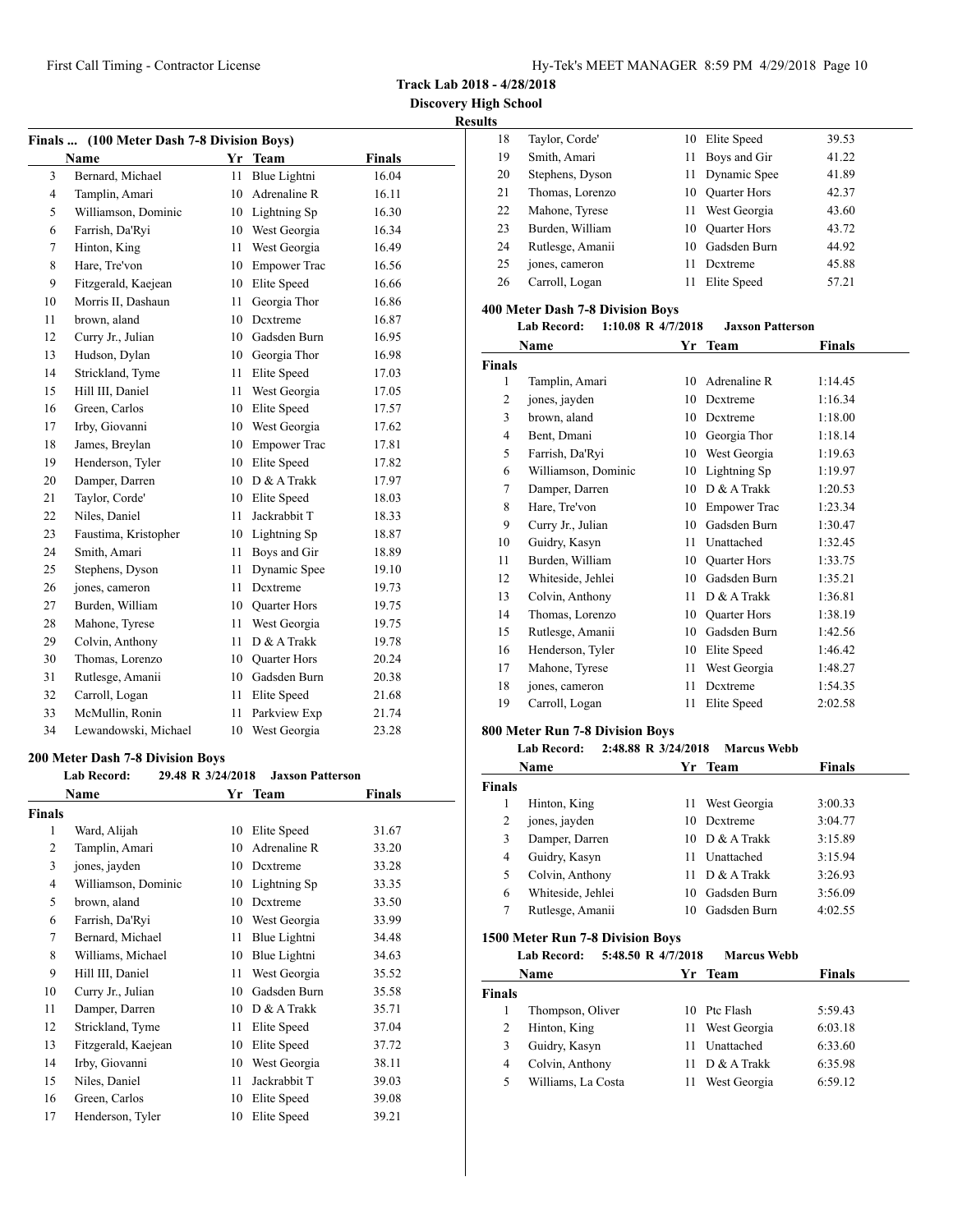**Track Lab 2018 - 4/28/2018**

**Discovery High School Results**

| Finals  (100 Meter Dash 7-8 Division Boys) |                      |    |                     |        |  |
|--------------------------------------------|----------------------|----|---------------------|--------|--|
|                                            | <b>Name</b>          | Yr | <b>Team</b>         | Finals |  |
| 3                                          | Bernard, Michael     | 11 | Blue Lightni        | 16.04  |  |
| $\overline{4}$                             | Tamplin, Amari       | 10 | Adrenaline R        | 16.11  |  |
| 5                                          | Williamson, Dominic  |    | 10 Lightning Sp     | 16.30  |  |
| 6                                          | Farrish, Da'Ryi      |    | 10 West Georgia     | 16.34  |  |
| 7                                          | Hinton, King         | 11 | West Georgia        | 16.49  |  |
| 8                                          | Hare, Tre'von        | 10 | <b>Empower Trac</b> | 16.56  |  |
| 9                                          | Fitzgerald, Kaejean  | 10 | Elite Speed         | 16.66  |  |
| 10                                         | Morris II, Dashaun   | 11 | Georgia Thor        | 16.86  |  |
| 11                                         | brown, aland         | 10 | Dextreme            | 16.87  |  |
| 12                                         | Curry Jr., Julian    | 10 | Gadsden Burn        | 16.95  |  |
| 13                                         | Hudson, Dylan        | 10 | Georgia Thor        | 16.98  |  |
| 14                                         | Strickland, Tyme     | 11 | Elite Speed         | 17.03  |  |
| 15                                         | Hill III, Daniel     | 11 | West Georgia        | 17.05  |  |
| 16                                         | Green, Carlos        | 10 | Elite Speed         | 17.57  |  |
| 17                                         | Irby, Giovanni       | 10 | West Georgia        | 17.62  |  |
| 18                                         | James, Breylan       | 10 | <b>Empower Trac</b> | 17.81  |  |
| 19                                         | Henderson, Tyler     | 10 | Elite Speed         | 17.82  |  |
| 20                                         | Damper, Darren       |    | 10 D & A Trakk      | 17.97  |  |
| 21                                         | Taylor, Corde'       | 10 | Elite Speed         | 18.03  |  |
| 22                                         | Niles, Daniel        | 11 | Jackrabbit T        | 18.33  |  |
| 23                                         | Faustima, Kristopher | 10 | Lightning Sp        | 18.87  |  |
| 24                                         | Smith, Amari         | 11 | Boys and Gir        | 18.89  |  |
| 25                                         | Stephens, Dyson      | 11 | Dynamic Spee        | 19.10  |  |
| 26                                         | jones, cameron       | 11 | Dextreme            | 19.73  |  |
| 27                                         | Burden, William      | 10 | Quarter Hors        | 19.75  |  |
| 28                                         | Mahone, Tyrese       | 11 | West Georgia        | 19.75  |  |
| 29                                         | Colvin, Anthony      | 11 | $D & A$ Trakk       | 19.78  |  |
| 30                                         | Thomas, Lorenzo      | 10 | Quarter Hors        | 20.24  |  |
| 31                                         | Rutlesge, Amanii     | 10 | Gadsden Burn        | 20.38  |  |
| 32                                         | Carroll, Logan       | 11 | Elite Speed         | 21.68  |  |
| 33                                         | McMullin, Ronin      | 11 | Parkview Exp        | 21.74  |  |
| 34                                         | Lewandowski, Michael | 10 | West Georgia        | 23.28  |  |

#### **200 Meter Dash 7-8 Division Boys**

|                | <b>Lab Record:</b>  | 29.48 R 3/24/2018 | <b>Jaxson Patterson</b> |        |
|----------------|---------------------|-------------------|-------------------------|--------|
|                | Name                | Yr                | <b>Team</b>             | Finals |
| Finals         |                     |                   |                         |        |
| 1              | Ward, Alijah        | 10                | Elite Speed             | 31.67  |
| 2              | Tamplin, Amari      | 10                | Adrenaline R            | 33.20  |
| 3              | jones, jayden       | 10                | Dextreme                | 33.28  |
| $\overline{4}$ | Williamson, Dominic | 10                | Lightning Sp            | 33.35  |
| 5              | brown, aland        | 10                | Dextreme                | 33.50  |
| 6              | Farrish, Da'Ryi     | 10                | West Georgia            | 33.99  |
| 7              | Bernard, Michael    | 11                | Blue Lightni            | 34.48  |
| 8              | Williams, Michael   | 10                | Blue Lightni            | 34.63  |
| 9              | Hill III, Daniel    | 11                | West Georgia            | 35.52  |
| 10             | Curry Jr., Julian   | 10                | Gadsden Burn            | 35.58  |
| 11             | Damper, Darren      | 10                | D & A Trakk             | 35.71  |
| 12             | Strickland, Tyme    | 11                | Elite Speed             | 37.04  |
| 13             | Fitzgerald, Kaejean | 10                | Elite Speed             | 37.72  |
| 14             | Irby, Giovanni      | 10                | West Georgia            | 38.11  |
| 15             | Niles, Daniel       | 11                | Jackrabbit T            | 39.03  |
| 16             | Green, Carlos       | 10                | Elite Speed             | 39.08  |
| 17             | Henderson, Tyler    | 10                | Elite Speed             | 39.21  |

| 18 | Taylor, Corde'   |    | 10 Elite Speed  | 39.53 |
|----|------------------|----|-----------------|-------|
| 19 | Smith, Amari     |    | 11 Boys and Gir | 41.22 |
| 20 | Stephens, Dyson  |    | 11 Dynamic Spee | 41.89 |
| 21 | Thomas, Lorenzo  |    | 10 Ouarter Hors | 42.37 |
| 22 | Mahone, Tyrese   |    | 11 West Georgia | 43.60 |
| 23 | Burden, William  |    | 10 Ouarter Hors | 43.72 |
| 24 | Rutlesge, Amanii |    | 10 Gadsden Burn | 44.92 |
| 25 | jones, cameron   | 11 | Dextreme        | 45.88 |
| 26 | Carroll, Logan   | 11 | Elite Speed     | 57.21 |
|    |                  |    |                 |       |

### **400 Meter Dash 7-8 Division Boys**

| Lab Record: | $1:10.08$ R $4/7/2018$ | <b>Jaxson Patterson</b> |
|-------------|------------------------|-------------------------|
|             |                        |                         |

|        | Name                | Yr | <b>Team</b>         | <b>Finals</b> |  |
|--------|---------------------|----|---------------------|---------------|--|
| Finals |                     |    |                     |               |  |
| 1      | Tamplin, Amari      | 10 | Adrenaline R        | 1:14.45       |  |
| 2      | jones, jayden       | 10 | Dextreme            | 1:16.34       |  |
| 3      | brown, aland        | 10 | Dextreme            | 1:18.00       |  |
| 4      | Bent, Dmani         | 10 | Georgia Thor        | 1:18.14       |  |
| 5      | Farrish, Da'Ryi     | 10 | West Georgia        | 1:19.63       |  |
| 6      | Williamson, Dominic | 10 | Lightning Sp        | 1:19.97       |  |
| 7      | Damper, Darren      | 10 | D & A Trakk         | 1:20.53       |  |
| 8      | Hare, Tre'von       | 10 | <b>Empower Trac</b> | 1:23.34       |  |
| 9      | Curry Jr., Julian   | 10 | Gadsden Burn        | 1:30.47       |  |
| 10     | Guidry, Kasyn       | 11 | Unattached          | 1:32.45       |  |
| 11     | Burden, William     | 10 | Quarter Hors        | 1:33.75       |  |
| 12     | Whiteside, Jehlei   | 10 | Gadsden Burn        | 1:35.21       |  |
| 13     | Colvin, Anthony     | 11 | D & A Trakk         | 1:36.81       |  |
| 14     | Thomas, Lorenzo     | 10 | <b>Quarter Hors</b> | 1:38.19       |  |
| 15     | Rutlesge, Amanii    | 10 | Gadsden Burn        | 1:42.56       |  |
| 16     | Henderson, Tyler    | 10 | Elite Speed         | 1:46.42       |  |
| 17     | Mahone, Tyrese      | 11 | West Georgia        | 1:48.27       |  |
| 18     | jones, cameron      | 11 | Dextreme            | 1:54.35       |  |
| 19     | Carroll, Logan      | 11 | Elite Speed         | 2:02.58       |  |

### **800 Meter Run 7-8 Division Boys**

#### **Lab Record: 2:48.88 R 3/24/2018 Marcus Webb**

|        | Name              | Yr. | Team             | <b>Finals</b> |  |
|--------|-------------------|-----|------------------|---------------|--|
| Finals |                   |     |                  |               |  |
|        | Hinton, King      | 11. | West Georgia     | 3:00.33       |  |
| 2      | jones, jayden     | 10  | Dextreme         | 3:04.77       |  |
| 3      | Damper, Darren    |     | 10 $D & A$ Trakk | 3:15.89       |  |
| 4      | Guidry, Kasyn     |     | 11 Unattached    | 3:15.94       |  |
| 5      | Colvin, Anthony   | 11. | $D & A$ Trakk    | 3:26.93       |  |
| 6      | Whiteside, Jehlei | 10  | Gadsden Burn     | 3:56.09       |  |
|        | Rutlesge, Amanii  | 10  | Gadsden Burn     | 4:02.55       |  |

#### **1500 Meter Run 7-8 Division Boys**

**Lab Record: 5:48.50 R 4/7/2018 Marcus Webb**

|               | Name               |     | Yr Team         | <b>Finals</b> |  |
|---------------|--------------------|-----|-----------------|---------------|--|
| <b>Finals</b> |                    |     |                 |               |  |
|               | Thompson, Oliver   |     | 10 Ptc Flash    | 5:59.43       |  |
| 2             | Hinton, King       |     | 11 West Georgia | 6:03.18       |  |
| 3             | Guidry, Kasyn      | 11. | Unattached      | 6:33.60       |  |
| 4             | Colvin, Anthony    |     | D & A Trakk     | 6:35.98       |  |
| 5             | Williams, La Costa |     | West Georgia    | 6:59.12       |  |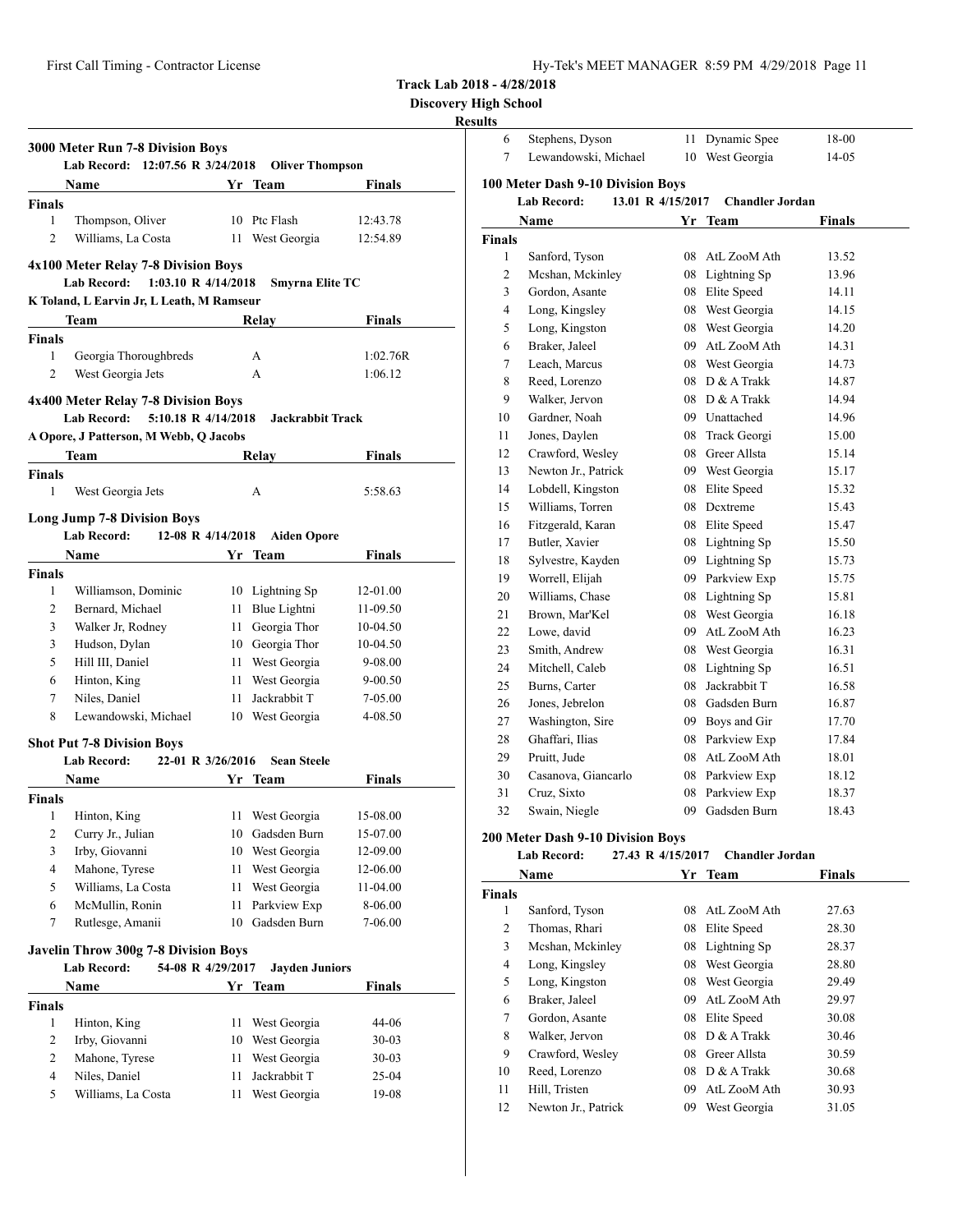| Hy-Tek's MEET MANAGER  8:59 PM  4/29/2018  Page 11 |  |  |  |
|----------------------------------------------------|--|--|--|
|----------------------------------------------------|--|--|--|

**Discovery High School**

# **Results**

|                     | 3000 Meter Run 7-8 Division Boys<br>Lab Record: 12:07.56 R 3/24/2018 |          | <b>Oliver Thompson</b>       |                      |
|---------------------|----------------------------------------------------------------------|----------|------------------------------|----------------------|
|                     | Name                                                                 |          | Yr Team                      | Finals               |
| <b>Finals</b>       |                                                                      |          |                              |                      |
| 1                   | Thompson, Oliver                                                     |          | 10 Ptc Flash                 | 12:43.78             |
| 2                   | Williams, La Costa                                                   |          | 11 West Georgia              | 12:54.89             |
|                     | 4x100 Meter Relay 7-8 Division Boys                                  |          |                              |                      |
|                     | 1:03.10 R 4/14/2018<br><b>Lab Record:</b>                            |          | <b>Smyrna Elite TC</b>       |                      |
|                     | K Toland, L Earvin Jr, L Leath, M Ramseur                            |          |                              |                      |
|                     | Team                                                                 |          | Relay                        | Finals               |
| <b>Finals</b>       |                                                                      |          |                              |                      |
| 1                   | Georgia Thoroughbreds                                                |          | A                            | 1:02.76R             |
| 2                   | West Georgia Jets                                                    |          | A                            | 1:06.12              |
|                     | 4x400 Meter Relay 7-8 Division Boys                                  |          |                              |                      |
|                     | <b>Lab Record:</b><br>5:10.18 R 4/14/2018                            |          | <b>Jackrabbit Track</b>      |                      |
|                     | A Opore, J Patterson, M Webb, Q Jacobs                               |          |                              |                      |
|                     | Team                                                                 |          | Relav                        | Finals               |
| <b>Finals</b>       |                                                                      |          |                              |                      |
| 1                   | West Georgia Jets                                                    |          | A                            | 5:58.63              |
|                     | <b>Long Jump 7-8 Division Boys</b>                                   |          |                              |                      |
|                     | <b>Lab Record:</b><br>12-08 R 4/14/2018                              |          | <b>Aiden Opore</b>           |                      |
|                     | Name                                                                 |          | Yr Team                      | Finals               |
| <b>Finals</b>       |                                                                      |          |                              |                      |
| 1                   | Williamson, Dominic                                                  |          | 10 Lightning Sp              | 12-01.00             |
| 2                   | Bernard, Michael                                                     |          | 11 Blue Lightni              | 11-09.50             |
| 3                   | Walker Jr, Rodney                                                    |          | 11 Georgia Thor              | 10-04.50             |
| 3                   | Hudson, Dylan                                                        |          | 10 Georgia Thor              | 10-04.50             |
| 5                   | Hill III, Daniel                                                     |          | 11 West Georgia              | 9-08.00              |
| 6                   | Hinton, King                                                         |          | 11 West Georgia              | 9-00.50              |
| 7                   | Niles, Daniel                                                        | 11 -     | Jackrabbit T                 | 7-05.00              |
| 8                   | Lewandowski, Michael                                                 |          | 10 West Georgia              | 4-08.50              |
|                     | <b>Shot Put 7-8 Division Boys</b>                                    |          |                              |                      |
|                     | <b>Lab Record:</b><br>22-01 R 3/26/2016                              |          | <b>Sean Steele</b>           |                      |
|                     | Name                                                                 |          | Yr Team                      | <b>Finals</b>        |
| <b>Finals</b>       |                                                                      |          |                              |                      |
| $\mathbf{1}$        | Hinton, King                                                         | 11       | West Georgia                 | 15-08.00             |
| $\boldsymbol{2}$    | Curry Jr., Julian                                                    | 10       | Gadsden Burn                 | 15-07.00             |
| 3                   | Irby, Giovanni                                                       |          | 10 West Georgia              | 12-09.00             |
| $\overline{4}$<br>5 | Mahone, Tyrese<br>Williams, La Costa                                 | 11       | West Georgia<br>West Georgia | 12-06.00<br>11-04.00 |
|                     |                                                                      | 11       | Parkview Exp                 |                      |
|                     | McMullin, Ronin                                                      | 11       | Gadsden Burn                 | 8-06.00<br>7-06.00   |
| 6                   |                                                                      |          |                              |                      |
| 7                   | Rutlesge, Amanii                                                     | 10       |                              |                      |
|                     | <b>Javelin Throw 300g 7-8 Division Boys</b>                          |          |                              |                      |
|                     | <b>Lab Record:</b><br>54-08 R 4/29/2017                              |          | <b>Jayden Juniors</b>        |                      |
|                     | Name                                                                 |          | Yr Team                      | <b>Finals</b>        |
|                     |                                                                      |          |                              |                      |
| 1                   | Hinton, King                                                         | 11       | West Georgia                 | 44-06                |
| <b>Finals</b><br>2  | Irby, Giovanni                                                       | 10       | West Georgia                 | 30-03                |
| $\overline{c}$<br>4 | Mahone, Tyrese<br>Niles, Daniel                                      | 11<br>11 | West Georgia<br>Jackrabbit T | $30-03$<br>25-04     |

| 6              | Stephens, Dyson                         | 11 | Dynamic Spee           | 18-00  |  |
|----------------|-----------------------------------------|----|------------------------|--------|--|
| 7              | Lewandowski, Michael                    | 10 | West Georgia           | 14-05  |  |
|                | 100 Meter Dash 9-10 Division Boys       |    |                        |        |  |
|                | <b>Lab Record:</b><br>13.01 R 4/15/2017 |    | <b>Chandler Jordan</b> |        |  |
|                | Name                                    |    | Yr Team                | Finals |  |
| <b>Finals</b>  |                                         |    |                        |        |  |
| 1              | Sanford, Tyson                          | 08 | AtL ZooM Ath           | 13.52  |  |
| $\overline{c}$ | Mcshan, Mckinley                        | 08 | Lightning Sp           | 13.96  |  |
| 3              | Gordon, Asante                          | 08 | Elite Speed            | 14.11  |  |
| 4              | Long, Kingsley                          |    | 08 West Georgia        | 14.15  |  |
| 5              | Long, Kingston                          |    | 08 West Georgia        | 14.20  |  |
| 6              | Braker, Jaleel                          |    | 09 AtL ZooM Ath        | 14.31  |  |
| 7              | Leach, Marcus                           |    | 08 West Georgia        | 14.73  |  |
| 8              | Reed, Lorenzo                           | 08 | D & A Trakk            | 14.87  |  |
| 9              | Walker, Jervon                          |    | 08 D & A Trakk         | 14.94  |  |
| 10             | Gardner, Noah                           | 09 | Unattached             | 14.96  |  |
| 11             | Jones, Daylen                           | 08 | Track Georgi           | 15.00  |  |
| 12             | Crawford, Wesley                        | 08 | Greer Allsta           | 15.14  |  |
| 13             | Newton Jr., Patrick                     |    | 09 West Georgia        | 15.17  |  |
| 14             | Lobdell, Kingston                       | 08 | Elite Speed            | 15.32  |  |
| 15             | Williams, Torren                        | 08 | Dextreme               | 15.43  |  |
| 16             | Fitzgerald, Karan                       | 08 | Elite Speed            | 15.47  |  |
| 17             | Butler, Xavier                          | 08 | Lightning Sp           | 15.50  |  |
| 18             | Sylvestre, Kayden                       | 09 | Lightning Sp           | 15.73  |  |
| 19             | Worrell, Elijah                         | 09 | Parkview Exp           | 15.75  |  |
| 20             | Williams, Chase                         | 08 | Lightning Sp           | 15.81  |  |
| 21             | Brown, Mar'Kel                          | 08 | West Georgia           | 16.18  |  |
| 22             | Lowe, david                             | 09 | AtL ZooM Ath           | 16.23  |  |
| 23             | Smith, Andrew                           |    | 08 West Georgia        | 16.31  |  |
| 24             | Mitchell, Caleb                         | 08 | Lightning Sp           | 16.51  |  |
| 25             | Burns, Carter                           | 08 | Jackrabbit T           | 16.58  |  |
| 26             | Jones, Jebrelon                         | 08 | Gadsden Burn           | 16.87  |  |
| 27             | Washington, Sire                        | 09 | Boys and Gir           | 17.70  |  |
| 28             | Ghaffari, Ilias                         | 08 | Parkview Exp           | 17.84  |  |
| 29             | Pruitt, Jude                            | 08 | AtL ZooM Ath           | 18.01  |  |
| 30             | Casanova, Giancarlo                     | 08 | Parkview Exp           | 18.12  |  |
| 31             | Cruz, Sixto                             | 08 | Parkview Exp           | 18.37  |  |
| 32             | Swain, Niegle                           | 09 | Gadsden Burn           | 18.43  |  |
|                | $0.00 M + D + 0.10 D$<br>D              |    |                        |        |  |

# **200 Meter Dash 9-10 Division Boys**

#### **Lab Record: 27.43 R 4/15/2017 Chandler Jordan**

|               | Name                | Yr | <b>Team</b>   | <b>Finals</b> |
|---------------|---------------------|----|---------------|---------------|
| <b>Finals</b> |                     |    |               |               |
| 1             | Sanford, Tyson      | 08 | AtL ZooM Ath  | 27.63         |
| 2             | Thomas, Rhari       | 08 | Elite Speed   | 28.30         |
| 3             | Mcshan, Mckinley    | 08 | Lightning Sp  | 28.37         |
| 4             | Long, Kingsley      | 08 | West Georgia  | 28.80         |
| 5             | Long, Kingston      | 08 | West Georgia  | 29.49         |
| 6             | Braker, Jaleel      | 09 | AtL ZooM Ath  | 29.97         |
| 7             | Gordon, Asante      | 08 | Elite Speed   | 30.08         |
| 8             | Walker, Jervon      | 08 | $D & A$ Trakk | 30.46         |
| 9             | Crawford, Wesley    | 08 | Greer Allsta  | 30.59         |
| 10            | Reed, Lorenzo       | 08 | $D$ & A Trakk | 30.68         |
| 11            | Hill, Tristen       | 09 | AtL ZooM Ath  | 30.93         |
| 12            | Newton Jr., Patrick | 09 | West Georgia  | 31.05         |
|               |                     |    |               |               |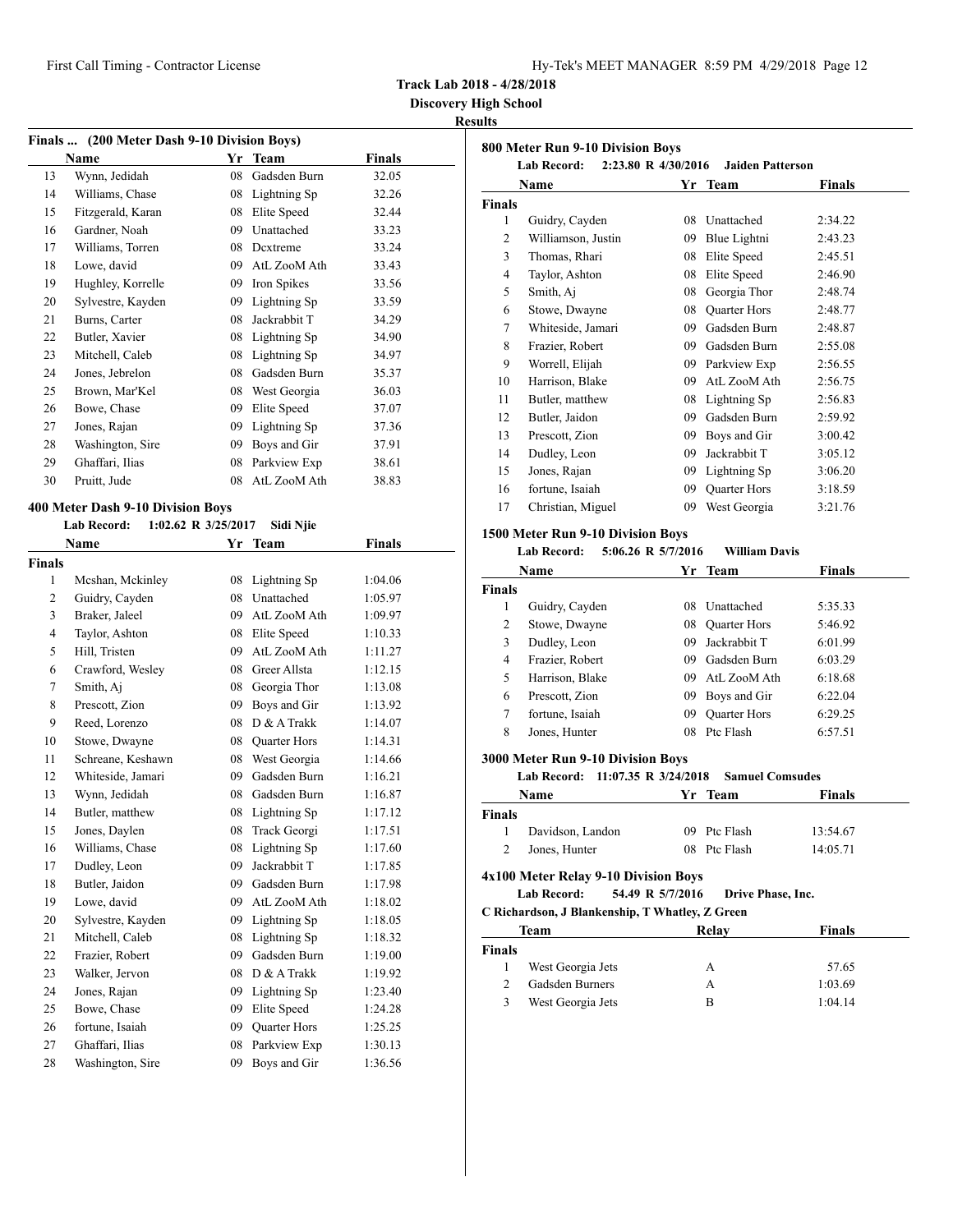**Discovery High School**

#### **Results**

|    | Finals  (200 Meter Dash 9-10 Division Boys) |    |              |        |
|----|---------------------------------------------|----|--------------|--------|
|    | Name                                        | Yr | Team         | Finals |
| 13 | Wynn, Jedidah                               | 08 | Gadsden Burn | 32.05  |
| 14 | Williams, Chase                             | 08 | Lightning Sp | 32.26  |
| 15 | Fitzgerald, Karan                           | 08 | Elite Speed  | 32.44  |
| 16 | Gardner, Noah                               | 09 | Unattached   | 33.23  |
| 17 | Williams, Torren                            | 08 | Dextreme     | 33.24  |
| 18 | Lowe, david                                 | 09 | AtL ZooM Ath | 33.43  |
| 19 | Hughley, Korrelle                           | 09 | Iron Spikes  | 33.56  |
| 20 | Sylvestre, Kayden                           | 09 | Lightning Sp | 33.59  |
| 21 | Burns, Carter                               | 08 | Jackrabbit T | 34.29  |
| 22 | Butler, Xavier                              | 08 | Lightning Sp | 34.90  |
| 23 | Mitchell, Caleb                             | 08 | Lightning Sp | 34.97  |
| 24 | Jones, Jebrelon                             | 08 | Gadsden Burn | 35.37  |
| 25 | Brown, Mar'Kel                              | 08 | West Georgia | 36.03  |
| 26 | Bowe, Chase                                 | 09 | Elite Speed  | 37.07  |
| 27 | Jones, Rajan                                | 09 | Lightning Sp | 37.36  |
| 28 | Washington, Sire                            | 09 | Boys and Gir | 37.91  |
| 29 | Ghaffari, Ilias                             | 08 | Parkview Exp | 38.61  |
| 30 | Pruitt, Jude                                | 08 | AtL ZooM Ath | 38.83  |

# **400 Meter Dash 9-10 Division Boys**

| <b>Lab Record:</b> | 1:02.62 R $3/25/2017$<br>Sidi Njie |               |
|--------------------|------------------------------------|---------------|
| <b>Name</b>        | Yr Team                            | <b>Finals</b> |

| <b>Finals</b>  |                   |    |                     |         |
|----------------|-------------------|----|---------------------|---------|
| $\mathbf{1}$   | Mcshan, Mckinley  | 08 | Lightning Sp        | 1:04.06 |
| 2              | Guidry, Cayden    | 08 | Unattached          | 1:05.97 |
| 3              | Braker, Jaleel    | 09 | AtL ZooM Ath        | 1:09.97 |
| $\overline{4}$ | Taylor, Ashton    | 08 | Elite Speed         | 1:10.33 |
| 5              | Hill, Tristen     | 09 | AtL ZooM Ath        | 1:11.27 |
| 6              | Crawford, Wesley  | 08 | Greer Allsta        | 1:12.15 |
| 7              | Smith, Aj         | 08 | Georgia Thor        | 1:13.08 |
| 8              | Prescott, Zion    | 09 | Boys and Gir        | 1:13.92 |
| 9              | Reed, Lorenzo     | 08 | D & A Trakk         | 1:14.07 |
| 10             | Stowe, Dwayne     | 08 | Quarter Hors        | 1:14.31 |
| 11             | Schreane, Keshawn | 08 | West Georgia        | 1:14.66 |
| 12             | Whiteside, Jamari | 09 | Gadsden Burn        | 1:16.21 |
| 13             | Wynn, Jedidah     | 08 | Gadsden Burn        | 1:16.87 |
| 14             | Butler, matthew   | 08 | Lightning Sp        | 1:17.12 |
| 15             | Jones, Daylen     | 08 | Track Georgi        | 1:17.51 |
| 16             | Williams, Chase   | 08 | Lightning Sp        | 1:17.60 |
| 17             | Dudley, Leon      | 09 | Jackrabbit T        | 1:17.85 |
| 18             | Butler, Jaidon    | 09 | Gadsden Burn        | 1:17.98 |
| 19             | Lowe, david       | 09 | AtL ZooM Ath        | 1:18.02 |
| 20             | Sylvestre, Kayden | 09 | Lightning Sp        | 1:18.05 |
| 21             | Mitchell, Caleb   | 08 | Lightning Sp        | 1:18.32 |
| 22             | Frazier, Robert   | 09 | Gadsden Burn        | 1:19.00 |
| 23             | Walker, Jervon    | 08 | D & A Trakk         | 1:19.92 |
| 24             | Jones, Rajan      | 09 | Lightning Sp        | 1:23.40 |
| 25             | Bowe, Chase       | 09 | Elite Speed         | 1:24.28 |
| 26             | fortune, Isaiah   | 09 | <b>Quarter Hors</b> | 1:25.25 |
| 27             | Ghaffari, Ilias   | 08 | Parkview Exp        | 1:30.13 |
| 28             | Washington, Sire  | 09 | Boys and Gir        | 1:36.56 |
|                |                   |    |                     |         |

|                | 800 Meter Run 9-10 Division Boys<br><b>Lab Record:</b> | 2:23.80 R 4/30/2016 | <b>Jaiden Patterson</b> |               |
|----------------|--------------------------------------------------------|---------------------|-------------------------|---------------|
|                | Name                                                   | Yr                  | <b>Team</b>             | <b>Finals</b> |
| <b>Finals</b>  |                                                        |                     |                         |               |
| 1              | Guidry, Cayden                                         | 08                  | Unattached              | 2:34.22       |
| 2              | Williamson, Justin                                     | 09                  | Blue Lightni            | 2:43.23       |
| 3              | Thomas, Rhari                                          | 08                  | Elite Speed             | 2:45.51       |
| $\overline{4}$ | Taylor, Ashton                                         | 08                  | Elite Speed             | 2:46.90       |
| 5              | Smith, Aj                                              | 08                  | Georgia Thor            | 2:48.74       |
| 6              | Stowe, Dwayne                                          | 08                  | Quarter Hors            | 2:48.77       |
| 7              | Whiteside, Jamari                                      | 09                  | Gadsden Burn            | 2:48.87       |
| 8              | Frazier, Robert                                        | 09                  | Gadsden Burn            | 2:55.08       |
| 9              | Worrell, Elijah                                        | 09                  | Parkview Exp            | 2:56.55       |
| 10             | Harrison, Blake                                        | 09                  | AtL ZooM Ath            | 2:56.75       |
| 11             | Butler, matthew                                        | 08                  | Lightning Sp            | 2:56.83       |
| 12             | Butler, Jaidon                                         | 09                  | Gadsden Burn            | 2:59.92       |
| 13             | Prescott, Zion                                         | 09                  | Boys and Gir            | 3:00.42       |
| 14             | Dudley, Leon                                           | 09                  | Jackrabbit T            | 3:05.12       |
| 15             | Jones, Rajan                                           | 09                  | Lightning Sp            | 3:06.20       |
| 16             | fortune, Isaiah                                        | 09                  | <b>Quarter Hors</b>     | 3:18.59       |
| 17             | Christian, Miguel                                      | 09                  | West Georgia            | 3:21.76       |

#### **1500 Meter Run 9-10 Division Boys**

#### **Lab Record: 5:06.26 R 5/7/2016 William Davis**

|                | Name            |     | Yr Team             | <b>Finals</b> |  |
|----------------|-----------------|-----|---------------------|---------------|--|
| <b>Finals</b>  |                 |     |                     |               |  |
| 1              | Guidry, Cayden  | 08. | <b>Unattached</b>   | 5:35.33       |  |
| $\overline{c}$ | Stowe, Dwayne   | 08  | <b>Quarter Hors</b> | 5:46.92       |  |
| 3              | Dudley, Leon    | 09. | Jackrabbit T        | 6:01.99       |  |
| 4              | Frazier, Robert | 09  | Gadsden Burn        | 6:03.29       |  |
| 5              | Harrison, Blake | 09  | AtL ZooM Ath        | 6:18.68       |  |
| 6              | Prescott, Zion  | 09  | Boys and Gir        | 6:22.04       |  |
| 7              | fortune, Isaiah | 09  | <b>Quarter Hors</b> | 6:29.25       |  |
| 8              | Jones, Hunter   | 08  | Ptc Flash           | 6:57.51       |  |

#### **3000 Meter Run 9-10 Division Boys**

#### **Lab Record: 11:07.35 R 3/24/2018 Samuel Comsudes**

|               | Name             | Yr Team      | <b>Finals</b> |  |
|---------------|------------------|--------------|---------------|--|
| <b>Finals</b> |                  |              |               |  |
|               | Davidson, Landon | 09 Ptc Flash | 13:54.67      |  |
| 2             | Jones, Hunter    | 08 Ptc Flash | 14:05.71      |  |

#### **4x100 Meter Relay 9-10 Division Boys**

#### **Lab Record: 54.49 R 5/7/2016 Drive Phase, Inc.**

**C Richardson, J Blankenship, T Whatley, Z Green**

|               | Team              | Relay | Finals  |
|---------------|-------------------|-------|---------|
| <b>Finals</b> |                   |       |         |
|               | West Georgia Jets | А     | 57.65   |
| $\mathcal{P}$ | Gadsden Burners   | А     | 1:03.69 |
| 3             | West Georgia Jets | в     | 1:04.14 |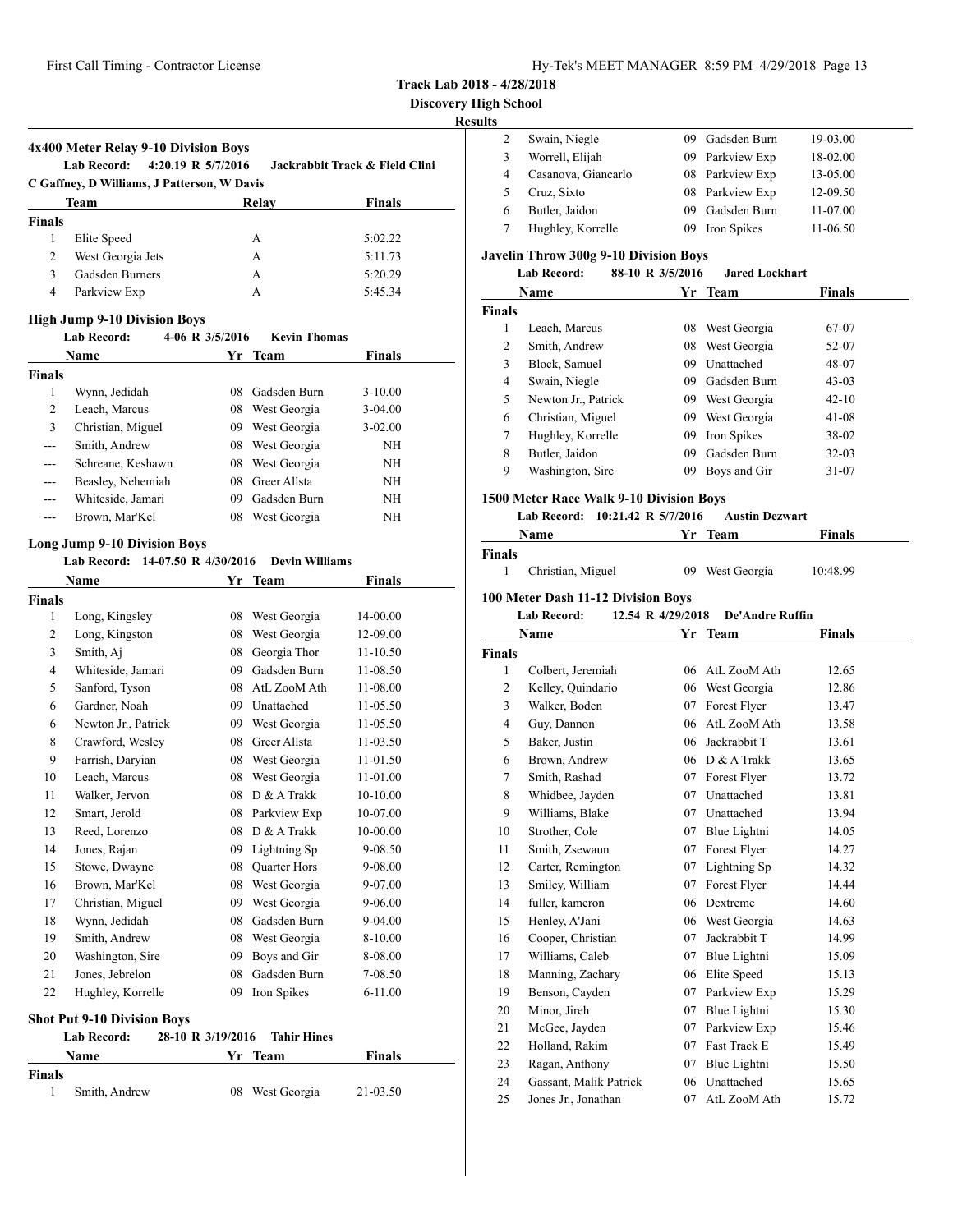**Track Lab 2018 - 4/28/2018**

**Discovery High School**

#### **Results**

| $\sim$ |                     |     |                 |          |
|--------|---------------------|-----|-----------------|----------|
|        | Swain, Niegle       | 09. | Gadsden Burn    | 19-03.00 |
| 3      | Worrell, Elijah     |     | 09 Parkview Exp | 18-02.00 |
| 4      | Casanova, Giancarlo |     | 08 Parkview Exp | 13-05.00 |
|        | Cruz, Sixto         |     | 08 Parkview Exp | 12-09.50 |
| 6      | Butler, Jaidon      | 09. | Gadsden Burn    | 11-07.00 |
|        | Hughley, Korrelle   | 09. | Iron Spikes     | 11-06.50 |

#### **Javelin Throw 300g 9-10 Division Boys**

#### **Lab Record: 88-10 R 3/5/2016 Jared Lockhart**

|               | Name                |    | Team         | <b>Finals</b> |  |
|---------------|---------------------|----|--------------|---------------|--|
| <b>Finals</b> |                     |    |              |               |  |
| 1             | Leach, Marcus       | 08 | West Georgia | 67-07         |  |
| 2             | Smith, Andrew       | 08 | West Georgia | 52-07         |  |
| 3             | Block, Samuel       | 09 | Unattached   | 48-07         |  |
| 4             | Swain, Niegle       | 09 | Gadsden Burn | $43-03$       |  |
| 5             | Newton Jr., Patrick | 09 | West Georgia | $42 - 10$     |  |
| 6             | Christian, Miguel   | 09 | West Georgia | $41-08$       |  |
| 7             | Hughley, Korrelle   | 09 | Iron Spikes  | 38-02         |  |
| 8             | Butler, Jaidon      | 09 | Gadsden Burn | $32-03$       |  |
| 9             | Washington, Sire    | 09 | Boys and Gir | 31-07         |  |
|               |                     |    |              |               |  |

#### **1500 Meter Race Walk 9-10 Division Boys**

#### **Lab Record: 10:21.42 R 5/7/2016 Austin Dezwart**

| <b>Name</b>   | Yr<br>Team | <b>Finals</b> |
|---------------|------------|---------------|
| <b>Finals</b> |            |               |

|  | Christian, Miguel | 09 West Georgia | 10:48.99 |
|--|-------------------|-----------------|----------|
|--|-------------------|-----------------|----------|

#### **100 Meter Dash 11-12 Division Boys**

**Lab Record: 12.54 R 4/29/2018 De'Andre Ruffin**

|                | Name                   | Yr | Team          | <b>Finals</b> |  |
|----------------|------------------------|----|---------------|---------------|--|
| Finals         |                        |    |               |               |  |
| 1              | Colbert, Jeremiah      | 06 | AtL ZooM Ath  | 12.65         |  |
| $\overline{2}$ | Kelley, Quindario      | 06 | West Georgia  | 12.86         |  |
| 3              | Walker, Boden          | 07 | Forest Flyer  | 13.47         |  |
| 4              | Guy, Dannon            | 06 | AtL ZooM Ath  | 13.58         |  |
| 5              | Baker, Justin          | 06 | Jackrabbit T  | 13.61         |  |
| 6              | Brown, Andrew          | 06 | $D$ & A Trakk | 13.65         |  |
| 7              | Smith, Rashad          | 07 | Forest Flyer  | 13.72         |  |
| 8              | Whidbee, Jayden        | 07 | Unattached    | 13.81         |  |
| 9              | Williams, Blake        | 07 | Unattached    | 13.94         |  |
| 10             | Strother, Cole         | 07 | Blue Lightni  | 14.05         |  |
| 11             | Smith, Zsewaun         | 07 | Forest Flyer  | 14.27         |  |
| 12             | Carter, Remington      | 07 | Lightning Sp  | 14.32         |  |
| 13             | Smiley, William        | 07 | Forest Flyer  | 14.44         |  |
| 14             | fuller, kameron        | 06 | Dextreme      | 14.60         |  |
| 15             | Henley, A'Jani         | 06 | West Georgia  | 14.63         |  |
| 16             | Cooper, Christian      | 07 | Jackrabbit T  | 14.99         |  |
| 17             | Williams, Caleb        | 07 | Blue Lightni  | 15.09         |  |
| 18             | Manning, Zachary       | 06 | Elite Speed   | 15.13         |  |
| 19             | Benson, Cayden         | 07 | Parkview Exp  | 15.29         |  |
| 20             | Minor, Jireh           | 07 | Blue Lightni  | 15.30         |  |
| 21             | McGee, Jayden          | 07 | Parkview Exp  | 15.46         |  |
| 22             | Holland, Rakim         | 07 | Fast Track E  | 15.49         |  |
| 23             | Ragan, Anthony         | 07 | Blue Lightni  | 15.50         |  |
| 24             | Gassant, Malik Patrick | 06 | Unattached    | 15.65         |  |
| 25             | Jones Jr., Jonathan    | 07 | AtL ZooM Ath  | 15.72         |  |
|                |                        |    |               |               |  |

|               | 4x400 Meter Relay 9-10 Division Boys<br>Lab Record: 4:20.19 R 5/7/2016<br>Jackrabbit Track & Field Clini<br>C Gaffney, D Williams, J Patterson, W Davis |       |               |  |  |  |  |
|---------------|---------------------------------------------------------------------------------------------------------------------------------------------------------|-------|---------------|--|--|--|--|
|               | Team                                                                                                                                                    | Relay | <b>Finals</b> |  |  |  |  |
| <b>Finals</b> |                                                                                                                                                         |       |               |  |  |  |  |
|               | Elite Speed                                                                                                                                             | A     | 5:02.22       |  |  |  |  |
| 2             | West Georgia Jets                                                                                                                                       | A     | 5:11.73       |  |  |  |  |
| $\mathbf{3}$  | Gadsden Burners                                                                                                                                         | A     | 5:20.29       |  |  |  |  |
| 4             | Parkview Exp                                                                                                                                            | А     | 5:45.34       |  |  |  |  |

#### **High Jump 9-10 Division Boys**

|                | <b>Lab Record:</b> | 4-06 R 3/5/2016 | <b>Kevin Thomas</b> |               |  |
|----------------|--------------------|-----------------|---------------------|---------------|--|
|                | Name               |                 | Yr Team             | <b>Finals</b> |  |
| <b>Finals</b>  |                    |                 |                     |               |  |
| 1              | Wynn, Jedidah      | 08              | Gadsden Burn        | $3 - 10.00$   |  |
| 2              | Leach, Marcus      | 08              | West Georgia        | $3-04.00$     |  |
| 3              | Christian, Miguel  | 09              | West Georgia        | $3 - 02.00$   |  |
| $---$          | Smith, Andrew      | 08              | West Georgia        | NΗ            |  |
| ---            | Schreane, Keshawn  | 08              | West Georgia        | NΗ            |  |
| $\overline{a}$ | Beasley, Nehemiah  | 08              | Greer Allsta        | NΗ            |  |
| $---$          | Whiteside, Jamari  | 09              | Gadsden Burn        | NH            |  |
| ---            | Brown, Mar'Kel     | 08              | West Georgia        | NH            |  |
|                |                    |                 |                     |               |  |

#### **Long Jump 9-10 Division Boys**

**Finals**

#### **Lab Record: 14-07.50 R 4/30/2016 Devin Williams**

|                | Name                               |                   | Team                | <b>Finals</b> |
|----------------|------------------------------------|-------------------|---------------------|---------------|
| <b>Finals</b>  |                                    |                   |                     |               |
| 1              | Long, Kingsley                     | 08                | West Georgia        | 14-00.00      |
| $\overline{2}$ | Long, Kingston                     | 08                | West Georgia        | 12-09.00      |
| 3              | Smith, Aj                          | 08                | Georgia Thor        | $11 - 10.50$  |
| $\overline{4}$ | Whiteside, Jamari                  | 09                | Gadsden Burn        | 11-08.50      |
| 5              | Sanford, Tyson                     | 08                | AtL ZooM Ath        | 11-08.00      |
| 6              | Gardner, Noah                      | 09                | Unattached          | 11-05.50      |
| 6              | Newton Jr., Patrick                | 09                | West Georgia        | 11-05.50      |
| 8              | Crawford, Wesley                   | 08                | Greer Allsta        | 11-03.50      |
| 9              | Farrish, Daryian                   | 08                | West Georgia        | 11-01.50      |
| 10             | Leach, Marcus                      | 08                | West Georgia        | 11-01.00      |
| 11             | Walker, Jervon                     | 08                | D & A Trakk         | $10-10.00$    |
| 12             | Smart, Jerold                      | 08                | Parkview Exp        | 10-07.00      |
| 13             | Reed, Lorenzo                      | 08                | D & A Trakk         | 10-00.00      |
| 14             | Jones, Rajan                       | 09                | Lightning Sp        | 9-08.50       |
| 15             | Stowe, Dwayne                      | 08                | <b>Ouarter Hors</b> | 9-08.00       |
| 16             | Brown, Mar'Kel                     | 08                | West Georgia        | 9-07.00       |
| 17             | Christian, Miguel                  | 09                | West Georgia        | $9 - 06.00$   |
| 18             | Wynn, Jedidah                      | 08                | Gadsden Burn        | $9 - 04.00$   |
| 19             | Smith, Andrew                      | 08                | West Georgia        | 8-10.00       |
| 20             | Washington, Sire                   | 09                | Boys and Gir        | 8-08.00       |
| 21             | Jones, Jebrelon                    | 08                | Gadsden Burn        | 7-08.50       |
| 22             | Hughley, Korrelle                  | 09                | Iron Spikes         | $6 - 11.00$   |
|                | <b>Shot Put 9-10 Division Boys</b> |                   |                     |               |
|                | <b>Lab Record:</b>                 | 28-10 R 3/19/2016 | <b>Tahir Hines</b>  |               |

**Name Yr Team Finals**

Smith, Andrew 08 West Georgia 21-03.50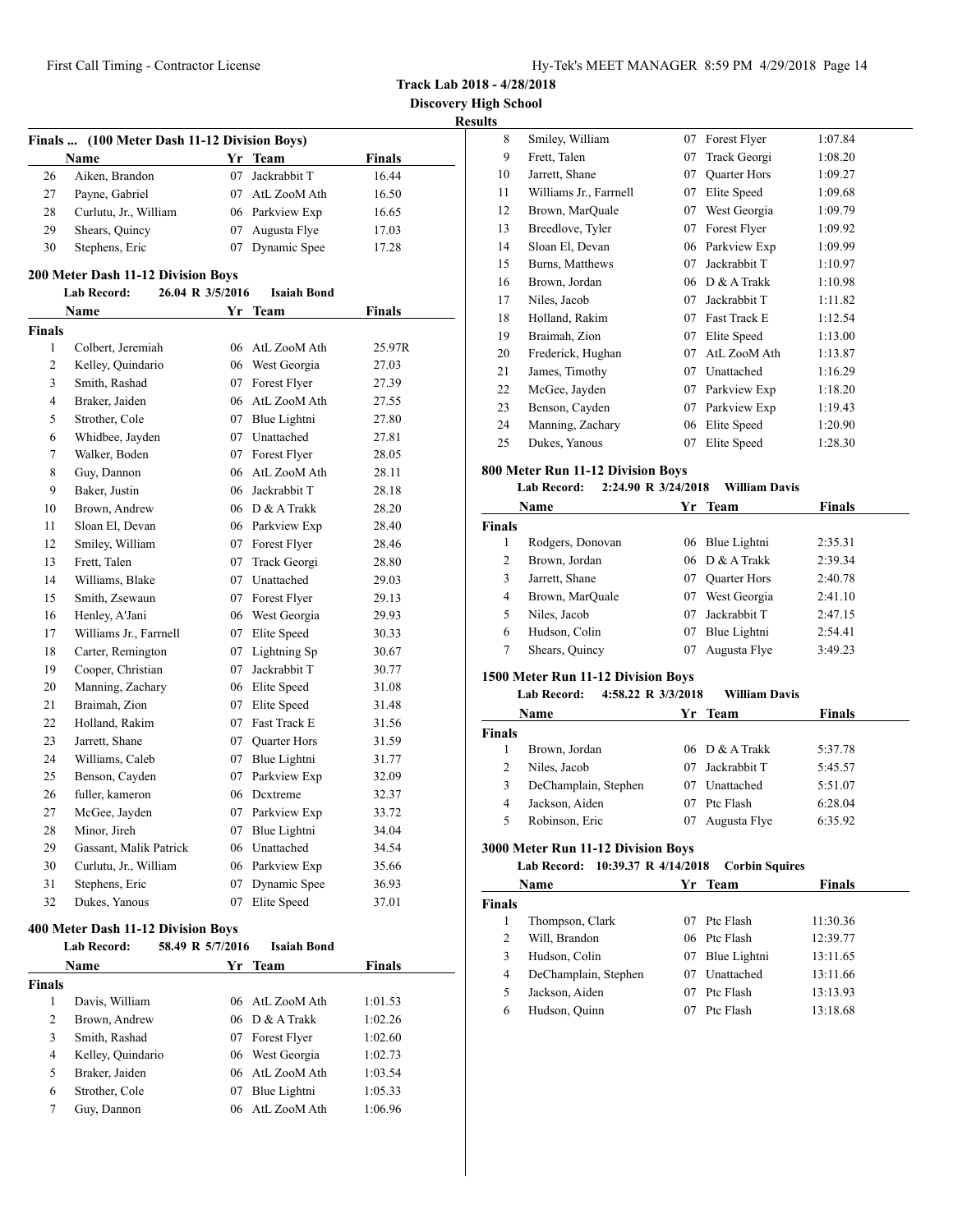**Track Lab 2018 - 4/28/2018**

**Discovery High School Results**

|                | Finals  (100 Meter Dash 11-12 Division Boys) |    |                    |        |
|----------------|----------------------------------------------|----|--------------------|--------|
|                | Name                                         |    | Yr Team            | Finals |
| 26             | Aiken, Brandon                               | 07 | Jackrabbit T       | 16.44  |
| 27             | Payne, Gabriel                               |    | 07 AtL ZooM Ath    | 16.50  |
| 28             | Curlutu, Jr., William                        |    | 06 Parkview Exp    | 16.65  |
| 29             | Shears, Quincy                               |    | 07 Augusta Flye    | 17.03  |
| 30             | Stephens, Eric                               |    | 07 Dynamic Spee    | 17.28  |
|                | <b>200 Meter Dash 11-12 Division Boys</b>    |    |                    |        |
|                | <b>Lab Record:</b><br>26.04 R 3/5/2016       |    | <b>Isaiah Bond</b> |        |
|                | <b>Name</b>                                  |    | Yr Team            | Finals |
| <b>Finals</b>  |                                              |    |                    |        |
| 1              | Colbert, Jeremiah                            |    | 06 AtL ZooM Ath    | 25.97R |
| 2              | Kelley, Quindario                            |    | 06 West Georgia    | 27.03  |
| 3              | Smith, Rashad                                |    | 07 Forest Flyer    | 27.39  |
| $\overline{4}$ | Braker, Jaiden                               |    | 06 AtL ZooM Ath    | 27.55  |
| 5              | Strother, Cole                               |    | 07 Blue Lightni    | 27.80  |
| 6              | Whidbee, Jayden                              |    | 07 Unattached      | 27.81  |
| 7              | Walker, Boden                                |    | 07 Forest Flyer    | 28.05  |
| 8              | Guy, Dannon                                  |    | 06 AtL ZooM Ath    | 28.11  |
| 9              | Baker, Justin                                |    | 06 Jackrabbit T    | 28.18  |
| 10             | Brown, Andrew                                |    | 06 D & A Trakk     | 28.20  |
| 11             | Sloan El, Devan                              |    | 06 Parkview Exp    | 28.40  |
| 12             | Smiley, William                              |    | 07 Forest Flyer    | 28.46  |
| 13             | Frett, Talen                                 |    | 07 Track Georgi    | 28.80  |
| 14             | Williams, Blake                              |    | 07 Unattached      | 29.03  |
| 15             | Smith, Zsewaun                               |    | 07 Forest Flyer    | 29.13  |
| 16             | Henley, A'Jani                               |    | 06 West Georgia    | 29.93  |
| 17             | Williams Jr., Farrnell                       |    | 07 Elite Speed     | 30.33  |
| 18             | Carter, Remington                            |    | 07 Lightning Sp    | 30.67  |
| 19             | Cooper, Christian                            |    | 07 Jackrabbit T    | 30.77  |
| 20             | Manning, Zachary                             |    | 06 Elite Speed     | 31.08  |
| 21             | Braimah, Zion                                |    | 07 Elite Speed     | 31.48  |
| 22             | Holland, Rakim                               |    | 07 Fast Track E    | 31.56  |
| 23             | Jarrett, Shane                               |    | 07 Ouarter Hors    | 31.59  |
| 24             | Williams, Caleb                              |    | 07 Blue Lightni    | 31.77  |
| 25             | Benson, Cayden                               |    | 07 Parkview Exp    | 32.09  |
| 26             | fuller, kameron                              |    | 06 Dextreme        | 32.37  |
| 27             | McGee, Jayden                                |    | 07 Parkview Exp    | 33.72  |
| 28             | Minor, Jireh                                 |    | 07 Blue Lightni    | 34.04  |
| 29             | Gassant, Malik Patrick                       |    | 06 Unattached      | 34.54  |
| 30             | Curlutu, Jr., William                        |    | 06 Parkview Exp    | 35.66  |
| 31             | Stephens, Eric                               |    | 07 Dynamic Spee    | 36.93  |
| 32             | Dukes, Yanous                                | 07 | Elite Speed        | 37.01  |

#### **400 Meter Dash 11-12 Division Boys**

|                | <b>Lab Record:</b> | 58.49 R 5/7/2016 | <b>Isaiah Bond</b> |         |
|----------------|--------------------|------------------|--------------------|---------|
|                | Name               |                  | Yr Team            | Finals  |
| <b>Finals</b>  |                    |                  |                    |         |
| 1              | Davis, William     |                  | 06 AtL ZooM Ath    | 1:01.53 |
| $\overline{2}$ | Brown, Andrew      |                  | 06 D & A Trakk     | 1:02.26 |
| 3              | Smith, Rashad      |                  | 07 Forest Flyer    | 1:02.60 |
| 4              | Kelley, Quindario  |                  | 06 West Georgia    | 1:02.73 |
| 5              | Braker, Jaiden     |                  | 06 AtL ZooM Ath    | 1:03.54 |
| 6              | Strother, Cole     | 07               | Blue Lightni       | 1:05.33 |
| 7              | Guy, Dannon        |                  | 06 AtL ZooM Ath    | 1:06.96 |

| 8  | Smiley, William        | 07 | Forest Flyer        | 1:07.84 |
|----|------------------------|----|---------------------|---------|
| 9  | Frett, Talen           | 07 | Track Georgi        | 1:08.20 |
| 10 | Jarrett, Shane         | 07 | <b>Quarter Hors</b> | 1:09.27 |
| 11 | Williams Jr., Farrnell | 07 | Elite Speed         | 1:09.68 |
| 12 | Brown, MarQuale        | 07 | West Georgia        | 1:09.79 |
| 13 | Breedlove, Tyler       | 07 | Forest Flyer        | 1:09.92 |
| 14 | Sloan El, Devan        | 06 | Parkview Exp        | 1:09.99 |
| 15 | Burns, Matthews        | 07 | Jackrabbit T        | 1:10.97 |
| 16 | Brown, Jordan          | 06 | D & A Trakk         | 1:10.98 |
| 17 | Niles, Jacob           | 07 | Jackrabbit T        | 1:11.82 |
| 18 | Holland, Rakim         | 07 | Fast Track E        | 1:12.54 |
| 19 | Braimah, Zion          | 07 | Elite Speed         | 1:13.00 |
| 20 | Frederick, Hughan      | 07 | AtL ZooM Ath        | 1:13.87 |
| 21 | James, Timothy         | 07 | Unattached          | 1:16.29 |
| 22 | McGee, Jayden          | 07 | Parkview Exp        | 1:18.20 |
| 23 | Benson, Cayden         | 07 | Parkview Exp        | 1:19.43 |
| 24 | Manning, Zachary       | 06 | Elite Speed         | 1:20.90 |
| 25 | Dukes, Yanous          | 07 | Elite Speed         | 1:28.30 |

# **800 Meter Run 11-12 Division Boys**

# **Lab Record: 2:24.90 R 3/24/2018 William Davis**

|        | Name             |    | Team<br>Yr.         | <b>Finals</b> |  |
|--------|------------------|----|---------------------|---------------|--|
| Finals |                  |    |                     |               |  |
|        | Rodgers, Donovan |    | 06 Blue Lightni     | 2:35.31       |  |
| 2      | Brown, Jordan    |    | 06 D & A Trakk      | 2:39.34       |  |
| 3      | Jarrett, Shane   | 07 | <b>Quarter Hors</b> | 2:40.78       |  |
| 4      | Brown, MarQuale  | 07 | West Georgia        | 2:41.10       |  |
| 5      | Niles, Jacob     | 07 | Jackrabbit T        | 2:47.15       |  |
| 6      | Hudson, Colin    | 07 | Blue Lightni        | 2:54.41       |  |
|        | Shears, Quincy   | 07 | Augusta Flye        | 3:49.23       |  |

# **1500 Meter Run 11-12 Division Boys**

# **Lab Record: 4:58.22 R 3/3/2018 William Davis**

| Name          |                      | Уr | <b>Team</b>      | <b>Finals</b> |  |
|---------------|----------------------|----|------------------|---------------|--|
| <b>Finals</b> |                      |    |                  |               |  |
|               | Brown, Jordan        |    | $06$ D & A Trakk | 5:37.78       |  |
| 2             | Niles, Jacob         | 07 | Jackrabbit T     | 5:45.57       |  |
| 3             | DeChamplain, Stephen | 07 | Unattached       | 5:51.07       |  |
| 4             | Jackson, Aiden       | 07 | Ptc Flash        | 6:28.04       |  |
|               | Robinson, Eric       | 07 | Augusta Flye     | 6:35.92       |  |

# **3000 Meter Run 11-12 Division Boys**

|  |  |  |  | Lab Record: 10:39.37 R 4/14/2018 Corbin Squires |
|--|--|--|--|-------------------------------------------------|
|--|--|--|--|-------------------------------------------------|

|               | Name                 |    | Yr Team         | <b>Finals</b> |
|---------------|----------------------|----|-----------------|---------------|
| <b>Finals</b> |                      |    |                 |               |
|               | Thompson, Clark      | 07 | Ptc Flash       | 11:30.36      |
| 2             | Will, Brandon        |    | 06 Ptc Flash    | 12:39.77      |
| 3             | Hudson, Colin        |    | 07 Blue Lightni | 13:11.65      |
| 4             | DeChamplain, Stephen | 07 | Unattached      | 13:11.66      |
| 5             | Jackson, Aiden       | 07 | Ptc Flash       | 13:13.93      |
| 6             | Hudson, Quinn        | 07 | Ptc Flash       | 13:18.68      |
|               |                      |    |                 |               |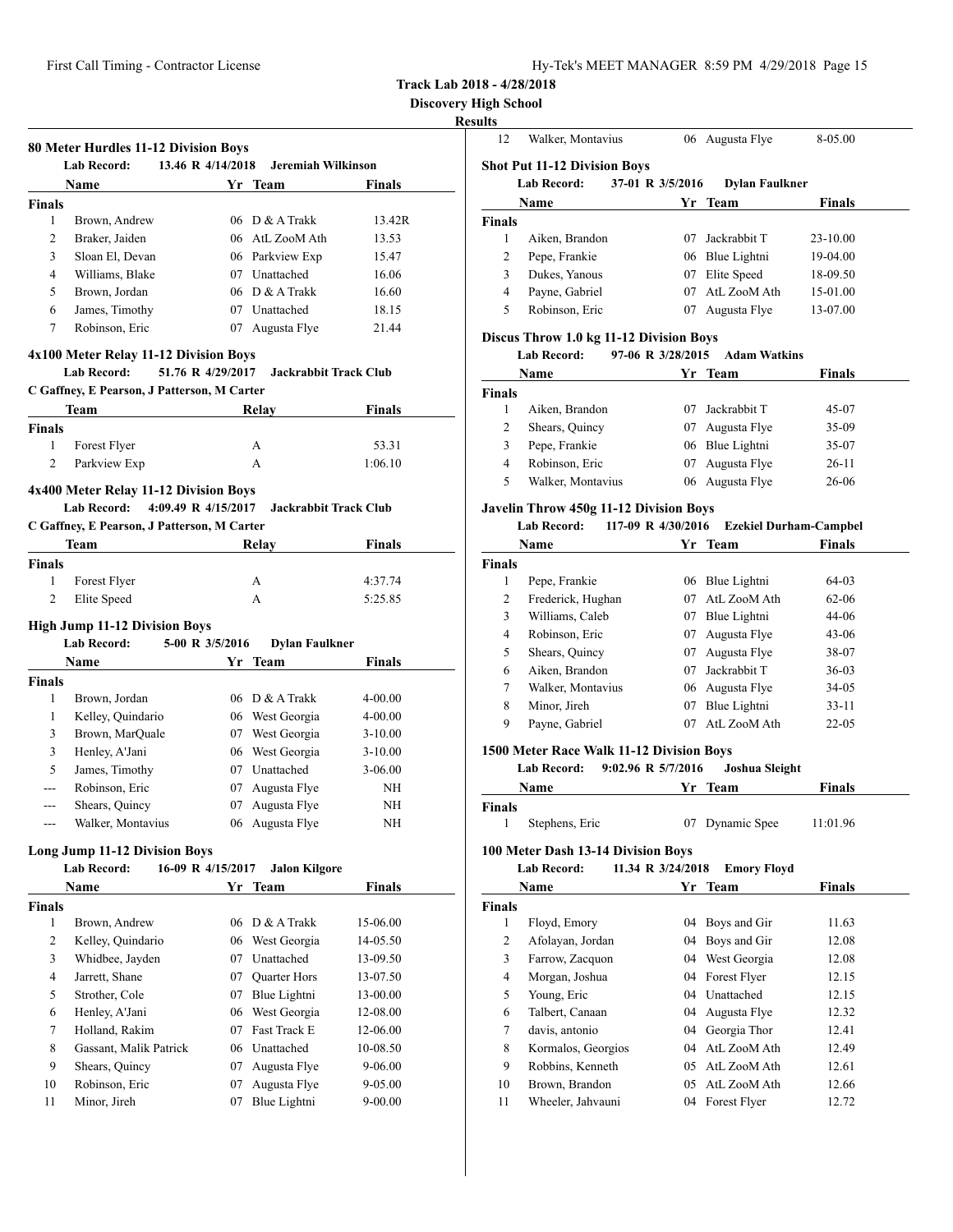**Track Lab 2018 - 4/28/2018**

# **Discovery High School**

#### **Res**

| 80 Meter Hurdles 11-12 Division Boys<br><b>Lab Record:</b><br>13.46 R 4/14/2018<br>Jeremiah Wilkinson |                                                                                                                                   |    |                              |               |  |  |  |
|-------------------------------------------------------------------------------------------------------|-----------------------------------------------------------------------------------------------------------------------------------|----|------------------------------|---------------|--|--|--|
|                                                                                                       | Name                                                                                                                              |    | Yr Team                      | Finals        |  |  |  |
| <b>Finals</b>                                                                                         |                                                                                                                                   |    |                              |               |  |  |  |
| 1                                                                                                     | Brown, Andrew                                                                                                                     |    | $06$ D & A Trakk             | 13.42R        |  |  |  |
| 2                                                                                                     | Braker, Jaiden                                                                                                                    |    | 06 AtL ZooM Ath              | 13.53         |  |  |  |
| 3                                                                                                     | Sloan El, Devan                                                                                                                   |    | 06 Parkview Exp              | 15.47         |  |  |  |
| 4                                                                                                     | Williams, Blake                                                                                                                   |    | 07 Unattached                | 16.06         |  |  |  |
| 5                                                                                                     | Brown, Jordan                                                                                                                     |    | 06 D & A Trakk               | 16.60         |  |  |  |
| 6                                                                                                     | James, Timothy                                                                                                                    |    | 07 Unattached                | 18.15         |  |  |  |
| 7                                                                                                     | Robinson, Eric                                                                                                                    |    | 07 Augusta Flye              | 21.44         |  |  |  |
| 4x100 Meter Relay 11-12 Division Boys<br>51.76 R 4/29/2017<br><b>Jackrabbit Track Club</b>            |                                                                                                                                   |    |                              |               |  |  |  |
|                                                                                                       | <b>Lab Record:</b><br>C Gaffney, E Pearson, J Patterson, M Carter                                                                 |    |                              |               |  |  |  |
|                                                                                                       | Team                                                                                                                              |    | Relay                        | Finals        |  |  |  |
| <b>Finals</b>                                                                                         |                                                                                                                                   |    |                              |               |  |  |  |
| 1                                                                                                     | Forest Flyer                                                                                                                      |    | А                            | 53.31         |  |  |  |
| 2                                                                                                     | Parkview Exp                                                                                                                      |    | А                            | 1:06.10       |  |  |  |
|                                                                                                       |                                                                                                                                   |    |                              |               |  |  |  |
|                                                                                                       | 4x400 Meter Relay 11-12 Division Boys<br><b>Lab Record:</b><br>4:09.49 R 4/15/2017<br>C Gaffney, E Pearson, J Patterson, M Carter |    | <b>Jackrabbit Track Club</b> |               |  |  |  |
|                                                                                                       | Team                                                                                                                              |    | Relay                        | <b>Finals</b> |  |  |  |
| <b>Finals</b>                                                                                         |                                                                                                                                   |    |                              |               |  |  |  |
| 1                                                                                                     | Forest Flyer                                                                                                                      |    | A                            | 4:37.74       |  |  |  |
| 2                                                                                                     | Elite Speed                                                                                                                       |    | A                            | 5:25.85       |  |  |  |
|                                                                                                       | <b>High Jump 11-12 Division Boys</b><br>5-00 R 3/5/2016<br><b>Lab Record:</b>                                                     |    | <b>Dylan Faulkner</b>        |               |  |  |  |
|                                                                                                       | Name                                                                                                                              | Yr | Team                         | <b>Finals</b> |  |  |  |
| Finals                                                                                                |                                                                                                                                   |    |                              |               |  |  |  |
| 1                                                                                                     | Brown, Jordan                                                                                                                     |    | 06 D & A Trakk               | 4-00.00       |  |  |  |
| 1                                                                                                     | Kelley, Quindario                                                                                                                 |    | 06 West Georgia              | 4-00.00       |  |  |  |
| 3                                                                                                     | Brown, MarQuale                                                                                                                   |    | 07 West Georgia              | $3-10.00$     |  |  |  |
| 3                                                                                                     | Henley, A'Jani                                                                                                                    |    | 06 West Georgia              | $3-10.00$     |  |  |  |
| 5                                                                                                     | James, Timothy                                                                                                                    |    | 07 Unattached                | 3-06.00       |  |  |  |
| ---                                                                                                   | Robinson, Eric                                                                                                                    |    | 07 Augusta Flye              | NΗ            |  |  |  |
| ---                                                                                                   | Shears, Quincy                                                                                                                    |    | 07 Augusta Flye              | NΗ            |  |  |  |
|                                                                                                       | Walker, Montavius                                                                                                                 |    | 06 Augusta Flye              | NH            |  |  |  |
|                                                                                                       | <b>Long Jump 11-12 Division Boys</b><br>16-09 R 4/15/2017<br><b>Lab Record:</b>                                                   |    | <b>Jalon Kilgore</b>         |               |  |  |  |
|                                                                                                       | Name                                                                                                                              | Yr | <b>Team</b>                  | Finals        |  |  |  |
| <b>Finals</b>                                                                                         |                                                                                                                                   |    |                              |               |  |  |  |
| 1                                                                                                     | Brown, Andrew                                                                                                                     | 06 | D & A Trakk                  | 15-06.00      |  |  |  |
| $\mathbf{2}$                                                                                          | Kelley, Quindario                                                                                                                 | 06 | West Georgia                 | 14-05.50      |  |  |  |
| 3                                                                                                     | Whidbee, Jayden                                                                                                                   | 07 | Unattached                   | 13-09.50      |  |  |  |
| 4                                                                                                     | Jarrett, Shane                                                                                                                    | 07 | <b>Ouarter Hors</b>          | 13-07.50      |  |  |  |
| 5                                                                                                     | Strother, Cole                                                                                                                    | 07 | Blue Lightni                 | 13-00.00      |  |  |  |
| 6                                                                                                     | Henley, A'Jani                                                                                                                    |    | West Georgia                 |               |  |  |  |
|                                                                                                       |                                                                                                                                   | 06 | Fast Track E                 | 12-08.00      |  |  |  |
| 7                                                                                                     | Holland, Rakim                                                                                                                    | 07 |                              | 12-06.00      |  |  |  |
| 8                                                                                                     | Gassant, Malik Patrick                                                                                                            | 06 | Unattached                   | 10-08.50      |  |  |  |
| 9                                                                                                     | Shears, Quincy                                                                                                                    | 07 | Augusta Flye                 | $9 - 06.00$   |  |  |  |
|                                                                                                       | Robinson, Eric                                                                                                                    | 07 | Augusta Flye                 | $9 - 05.00$   |  |  |  |
| 10                                                                                                    |                                                                                                                                   |    |                              |               |  |  |  |
| 11                                                                                                    | Minor, Jireh                                                                                                                      | 07 | Blue Lightni                 | $9 - 00.00$   |  |  |  |

| ults                               |                                               |                   |                       |                               |  |
|------------------------------------|-----------------------------------------------|-------------------|-----------------------|-------------------------------|--|
| 12                                 | Walker, Montavius                             |                   | 06 Augusta Flye       | 8-05.00                       |  |
|                                    | <b>Shot Put 11-12 Division Boys</b>           |                   |                       |                               |  |
|                                    | 37-01 R 3/5/2016<br>Lab Record:               |                   | <b>Dylan Faulkner</b> |                               |  |
|                                    | Name                                          |                   | Yr Team               | Finals                        |  |
| Finals                             |                                               |                   |                       |                               |  |
| 1                                  | Aiken, Brandon                                | 07                | Jackrabbit T          | 23-10.00                      |  |
| 2                                  | Pepe, Frankie                                 |                   | 06 Blue Lightni       | 19-04.00                      |  |
| 3                                  | Dukes, Yanous                                 | 07                | Elite Speed           | 18-09.50                      |  |
| 4                                  | Payne, Gabriel                                | 07                | AtL ZooM Ath          | 15-01.00                      |  |
| 5                                  | Robinson, Eric                                |                   | 07 Augusta Flye       | 13-07.00                      |  |
|                                    | Discus Throw 1.0 kg 11-12 Division Boys       |                   |                       |                               |  |
|                                    | <b>Lab Record:</b><br>97-06 R 3/28/2015       |                   | <b>Adam Watkins</b>   |                               |  |
|                                    | Name                                          | Yr                | <b>Team</b>           | Finals                        |  |
| <b>Finals</b>                      |                                               |                   |                       |                               |  |
| 1                                  | Aiken, Brandon                                |                   | 07 Jackrabbit T       | 45-07                         |  |
| 2                                  | Shears, Quincy                                |                   | 07 Augusta Flye       | 35-09                         |  |
| 3                                  | Pepe, Frankie                                 |                   | 06 Blue Lightni       | 35-07                         |  |
| 4                                  | Robinson, Eric                                | 07                | Augusta Flye          | 26-11                         |  |
| 5                                  | Walker, Montavius                             |                   | 06 Augusta Flye       | 26-06                         |  |
|                                    | <b>Javelin Throw 450g 11-12 Division Boys</b> |                   |                       |                               |  |
|                                    | <b>Lab Record:</b><br>117-09 R 4/30/2016      |                   |                       | <b>Ezekiel Durham-Campbel</b> |  |
|                                    | Name                                          |                   | Yr Team               | <b>Finals</b>                 |  |
| Finals                             |                                               |                   |                       |                               |  |
| 1                                  | Pepe, Frankie                                 |                   | 06 Blue Lightni       | 64-03                         |  |
| 2                                  | Frederick, Hughan                             |                   | 07 AtL ZooM Ath       | 62-06                         |  |
| 3                                  | Williams, Caleb                               |                   | 07 Blue Lightni       | 44-06                         |  |
| 4                                  | Robinson, Eric                                |                   | 07 Augusta Flye       | 43-06                         |  |
| 5                                  | Shears, Quincy                                |                   | 07 Augusta Flye       | 38-07                         |  |
| 6                                  | Aiken, Brandon                                |                   | 07 Jackrabbit T       | 36-03                         |  |
| 7                                  | Walker, Montavius                             |                   | 06 Augusta Flye       | 34-05                         |  |
| 8                                  | Minor, Jireh                                  | 07                | Blue Lightni          | 33-11                         |  |
| 9                                  | Payne, Gabriel                                | 07                | AtL ZooM Ath          | 22-05                         |  |
|                                    | 1500 Meter Race Walk 11-12 Division Boys      |                   |                       |                               |  |
|                                    | 9:02.96 R 5/7/2016<br><b>Lab Record:</b>      |                   | Joshua Sleight        |                               |  |
|                                    | Name                                          |                   | Yr Team               | Finals                        |  |
| Finals                             |                                               |                   |                       |                               |  |
| 1                                  | Stephens, Eric                                |                   | 07 Dynamic Spee       | 11:01.96                      |  |
| 100 Meter Dash 13-14 Division Boys |                                               |                   |                       |                               |  |
|                                    | Lab Record:                                   | 11.34 R 3/24/2018 | <b>Emory Floyd</b>    |                               |  |
|                                    | Name                                          | Yr                | Team                  | Finals                        |  |
| <b>Finals</b>                      |                                               |                   |                       |                               |  |
| 1                                  | Floyd, Emory                                  | 04                | Boys and Gir          | 11.63                         |  |
| 2                                  | Afolayan, Jordan                              | 04                | Boys and Gir          | 12.08                         |  |
| 3                                  | Farrow, Zacquon                               | 04                | West Georgia          | 12.08                         |  |
| 4                                  | Morgan, Joshua                                | 04                | Forest Flyer          | 12.15                         |  |
| 5                                  | Young, Eric                                   | 04                | Unattached            | 12.15                         |  |
| 6                                  | Talbert, Canaan                               | 04                | Augusta Flye          | 12.32                         |  |
| 7                                  | davis, antonio                                | 04                | Georgia Thor          | 12.41                         |  |
| 8                                  | Kormalos, Georgios                            | 04                | AtL ZooM Ath          | 12.49                         |  |

9 Robbins, Kenneth 05 AtL ZooM Ath 12.61 10 Brown, Brandon 05 AtL ZooM Ath 12.66 11 Wheeler, Jahvauni 04 Forest Flyer 12.72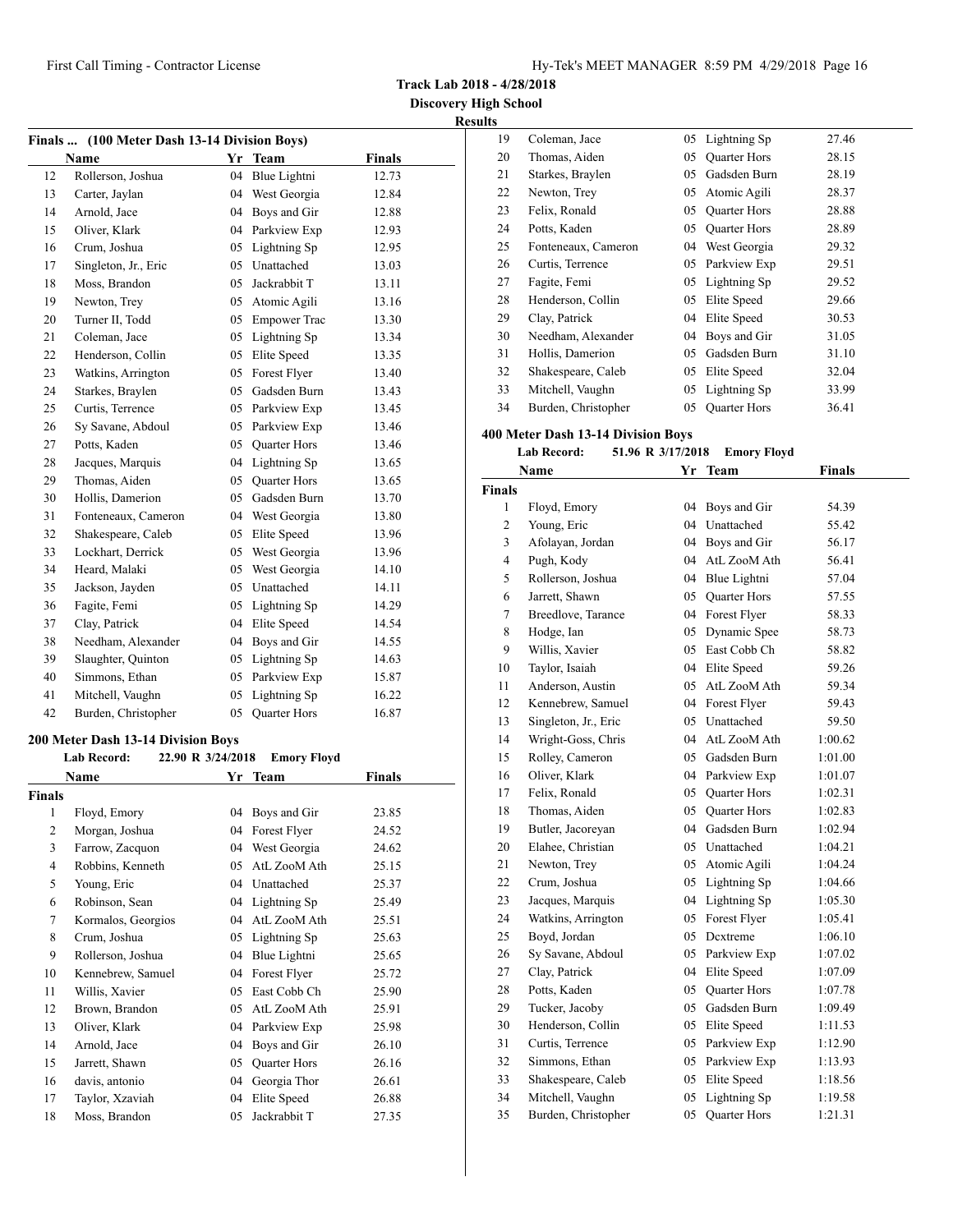| Hy-Tek's MEET MANAGER 8:59 PM 4/29/2018 Page 16 |
|-------------------------------------------------|
|-------------------------------------------------|

**Track Lab 2018 - 4/28/2018**

**Discovery High School Results**

|                | Finals  (100 Meter Dash 13-14 Division Boys) |                   |                    |        |
|----------------|----------------------------------------------|-------------------|--------------------|--------|
|                | <b>Name</b>                                  |                   | Yr Team            | Finals |
| 12             | Rollerson, Joshua                            |                   | 04 Blue Lightni    | 12.73  |
| 13             | Carter, Jaylan                               |                   | 04 West Georgia    | 12.84  |
| 14             | Arnold, Jace                                 |                   | 04 Boys and Gir    | 12.88  |
| 15             | Oliver, Klark                                |                   | 04 Parkview Exp    | 12.93  |
| 16             | Crum, Joshua                                 |                   | 05 Lightning Sp    | 12.95  |
| 17             | Singleton, Jr., Eric                         |                   | 05 Unattached      | 13.03  |
| 18             | Moss, Brandon                                | 05                | Jackrabbit T       | 13.11  |
| 19             | Newton, Trey                                 |                   | 05 Atomic Agili    | 13.16  |
| 20             | Turner II. Todd                              |                   | 05 Empower Trac    | 13.30  |
| 21             | Coleman, Jace                                |                   | 05 Lightning Sp    | 13.34  |
| 22             | Henderson, Collin                            |                   | 05 Elite Speed     | 13.35  |
| 23             | Watkins, Arrington                           | 05                | Forest Flyer       | 13.40  |
| 24             | Starkes, Braylen                             |                   | 05 Gadsden Burn    | 13.43  |
| 25             | Curtis, Terrence                             |                   | 05 Parkview Exp    | 13.45  |
| 26             | Sy Savane, Abdoul                            |                   | 05 Parkview Exp    | 13.46  |
| 27             | Potts, Kaden                                 |                   | 05 Quarter Hors    | 13.46  |
| 28             | Jacques, Marquis                             |                   | 04 Lightning Sp    | 13.65  |
| 29             | Thomas, Aiden                                |                   | 05 Quarter Hors    | 13.65  |
| 30             | Hollis, Damerion                             |                   | 05 Gadsden Burn    | 13.70  |
| 31             | Fonteneaux, Cameron                          |                   | 04 West Georgia    | 13.80  |
| 32             | Shakespeare, Caleb                           |                   | 05 Elite Speed     | 13.96  |
| 33             | Lockhart, Derrick                            |                   | 05 West Georgia    | 13.96  |
| 34             | Heard, Malaki                                |                   | 05 West Georgia    | 14.10  |
| 35             | Jackson, Jayden                              |                   | 05 Unattached      | 14.11  |
| 36             | Fagite, Femi                                 |                   | 05 Lightning Sp    | 14.29  |
| 37             | Clay, Patrick                                |                   | 04 Elite Speed     | 14.54  |
| 38             | Needham, Alexander                           |                   | 04 Boys and Gir    | 14.55  |
| 39             | Slaughter, Quinton                           |                   | 05 Lightning Sp    | 14.63  |
| 40             | Simmons, Ethan                               |                   | 05 Parkview Exp    | 15.87  |
| 41             | Mitchell, Vaughn                             | 05                | Lightning Sp       | 16.22  |
| 42             | Burden, Christopher                          |                   | 05 Quarter Hors    | 16.87  |
|                |                                              |                   |                    |        |
|                | 200 Meter Dash 13-14 Division Boys           |                   |                    |        |
|                | <b>Lab Record:</b>                           | 22.90 R 3/24/2018 | <b>Emory Floyd</b> |        |
|                | Name                                         |                   | Yr Team            | Finals |
| <b>Finals</b>  |                                              |                   |                    |        |
| 1              | Floyd, Emory                                 | 04                | Boys and Gir       | 23.85  |
| 2              | Morgan, Joshua                               | 04                | Forest Flyer       | 24.52  |
| 3              | Farrow, Zacquon                              | 04                | West Georgia       | 24.62  |
| $\overline{4}$ | Robbins, Kenneth                             | 05                | AtL ZooM Ath       | 25.15  |
| 5              | Young, Eric                                  |                   | 04 Unattached      | 25.37  |
| 6              | Robinson, Sean                               | 04                | Lightning Sp       | 25.49  |
| $\tau$         | Kormalos, Georgios                           | 04                | AtL ZooM Ath       | 25.51  |
| 8              | Crum, Joshua                                 | 05                | Lightning Sp       | 25.63  |
| 9              | Rollerson, Joshua                            | 04                | Blue Lightni       | 25.65  |
| 10             | Kennebrew, Samuel                            | 04                | Forest Flyer       | 25.72  |
| 11             | Willis, Xavier                               | 05                | East Cobb Ch       | 25.90  |
| 12             | Brown, Brandon                               | 05                | AtL ZooM Ath       | 25.91  |
| 13             | Oliver, Klark                                | 04                | Parkview Exp       | 25.98  |
| 14             | Arnold, Jace                                 | 04                | Boys and Gir       | 26.10  |
| 15             | Jarrett, Shawn                               | 05                | Quarter Hors       | 26.16  |
| 16             | davis, antonio                               | 04                | Georgia Thor       | 26.61  |
| 17             | Taylor, Xzaviah                              | 04                | Elite Speed        | 26.88  |
| 18             | Moss, Brandon                                | 05                | Jackrabbit T       | 27.35  |

| ĽS |                     |    |                     |       |
|----|---------------------|----|---------------------|-------|
| 19 | Coleman, Jace       | 05 | Lightning Sp        | 27.46 |
| 20 | Thomas, Aiden       | 05 | <b>Quarter Hors</b> | 28.15 |
| 21 | Starkes, Braylen    | 05 | Gadsden Burn        | 28.19 |
| 22 | Newton, Trey        | 05 | Atomic Agili        | 28.37 |
| 23 | Felix, Ronald       | 05 | <b>Quarter Hors</b> | 28.88 |
| 24 | Potts, Kaden        | 05 | Quarter Hors        | 28.89 |
| 25 | Fonteneaux, Cameron | 04 | West Georgia        | 29.32 |
| 26 | Curtis, Terrence    | 05 | Parkview Exp        | 29.51 |
| 27 | Fagite, Femi        | 05 | Lightning Sp        | 29.52 |
| 28 | Henderson, Collin   | 05 | Elite Speed         | 29.66 |
| 29 | Clay, Patrick       | 04 | Elite Speed         | 30.53 |
| 30 | Needham, Alexander  | 04 | Boys and Gir        | 31.05 |
| 31 | Hollis, Damerion    | 05 | Gadsden Burn        | 31.10 |
| 32 | Shakespeare, Caleb  | 05 | Elite Speed         | 32.04 |
| 33 | Mitchell, Vaughn    | 05 | Lightning Sp        | 33.99 |
| 34 | Burden, Christopher | 05 | <b>Quarter Hors</b> | 36.41 |

# **400 Meter Dash 13-14 Division Boys**

# **Lab Record: 51.96 R 3/17/2018 Emory Floyd**

|                | Name                 | Yr | Team                | <b>Finals</b> |
|----------------|----------------------|----|---------------------|---------------|
| Finals         |                      |    |                     |               |
| $\mathbf{1}$   | Floyd, Emory         | 04 | Boys and Gir        | 54.39         |
| $\overline{c}$ | Young, Eric          | 04 | Unattached          | 55.42         |
| 3              | Afolayan, Jordan     | 04 | Boys and Gir        | 56.17         |
| 4              | Pugh, Kody           | 04 | AtL ZooM Ath        | 56.41         |
| 5              | Rollerson, Joshua    | 04 | Blue Lightni        | 57.04         |
| 6              | Jarrett, Shawn       | 05 | <b>Quarter Hors</b> | 57.55         |
| 7              | Breedlove, Tarance   | 04 | Forest Flyer        | 58.33         |
| 8              | Hodge, Ian           | 05 | Dynamic Spee        | 58.73         |
| 9              | Willis, Xavier       | 05 | East Cobb Ch        | 58.82         |
| 10             | Taylor, Isaiah       | 04 | Elite Speed         | 59.26         |
| 11             | Anderson, Austin     | 05 | AtL ZooM Ath        | 59.34         |
| 12             | Kennebrew, Samuel    | 04 | Forest Flyer        | 59.43         |
| 13             | Singleton, Jr., Eric | 05 | Unattached          | 59.50         |
| 14             | Wright-Goss, Chris   | 04 | AtL ZooM Ath        | 1:00.62       |
| 15             | Rolley, Cameron      | 05 | Gadsden Burn        | 1:01.00       |
| 16             | Oliver, Klark        | 04 | Parkview Exp        | 1:01.07       |
| 17             | Felix, Ronald        | 05 | Quarter Hors        | 1:02.31       |
| 18             | Thomas, Aiden        | 05 | <b>Quarter Hors</b> | 1:02.83       |
| 19             | Butler, Jacoreyan    | 04 | Gadsden Burn        | 1:02.94       |
| 20             | Elahee, Christian    | 05 | Unattached          | 1:04.21       |
| 21             | Newton, Trey         | 05 | Atomic Agili        | 1:04.24       |
| 22             | Crum, Joshua         | 05 | Lightning Sp        | 1:04.66       |
| 23             | Jacques, Marquis     | 04 | Lightning Sp        | 1:05.30       |
| 24             | Watkins, Arrington   | 05 | Forest Flyer        | 1:05.41       |
| 25             | Boyd, Jordan         | 05 | Dextreme            | 1:06.10       |
| 26             | Sy Savane, Abdoul    | 05 | Parkview Exp        | 1:07.02       |
| 27             | Clay, Patrick        | 04 | Elite Speed         | 1:07.09       |
| 28             | Potts, Kaden         | 05 | Quarter Hors        | 1:07.78       |
| 29             | Tucker, Jacoby       | 05 | Gadsden Burn        | 1:09.49       |
| 30             | Henderson, Collin    | 05 | Elite Speed         | 1:11.53       |
| 31             | Curtis, Terrence     | 05 | Parkview Exp        | 1:12.90       |
| 32             | Simmons, Ethan       | 05 | Parkview Exp        | 1:13.93       |
| 33             | Shakespeare, Caleb   | 05 | Elite Speed         | 1:18.56       |
| 34             | Mitchell, Vaughn     | 05 | Lightning Sp        | 1:19.58       |
| 35             | Burden, Christopher  | 05 | <b>Ouarter Hors</b> | 1:21.31       |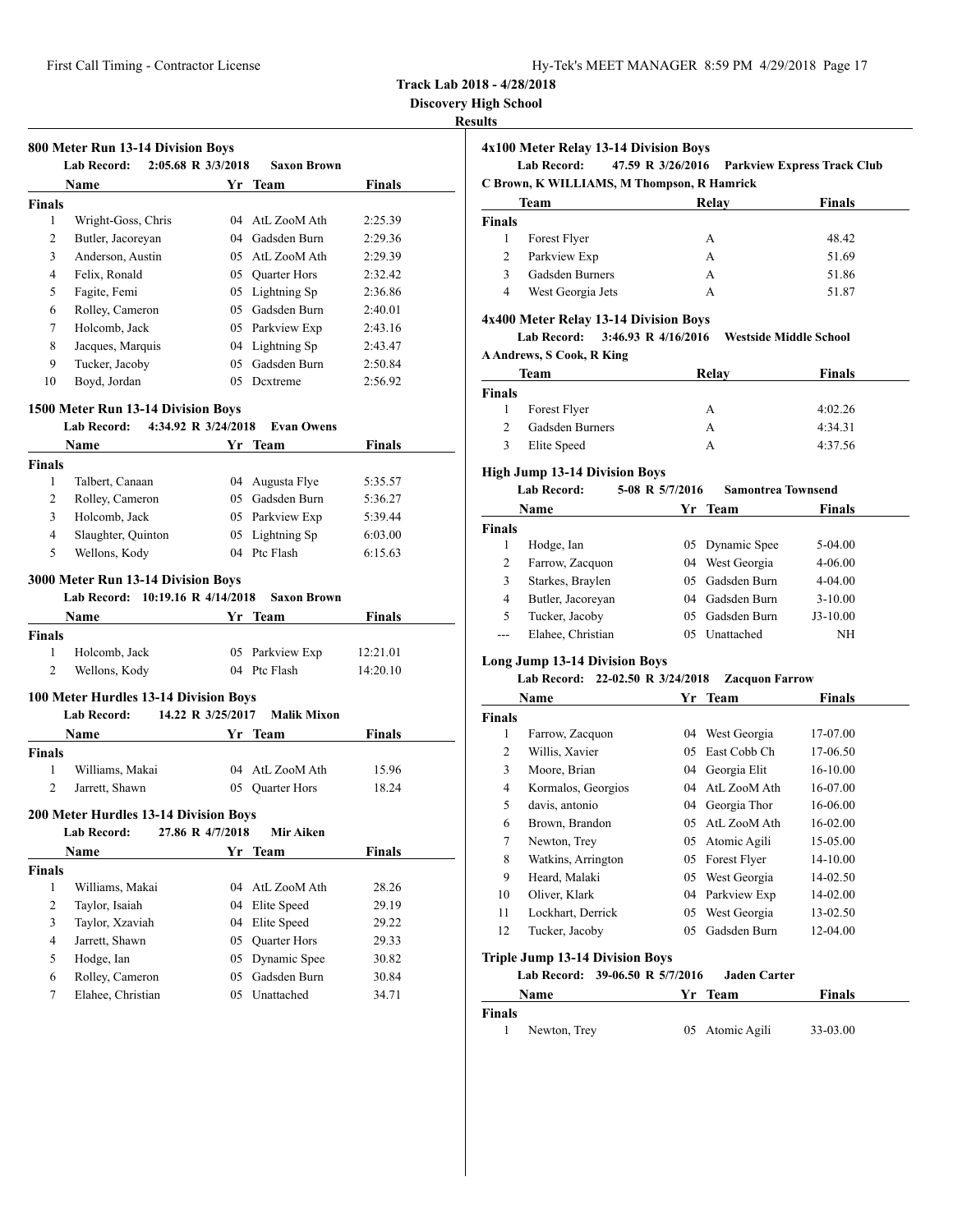**Lab Record: 2:05.68 R 3/3/2018 Saxon Brown**

**Name Yr** Team **Finals** 

**800 Meter Run 13-14 Division Boys**

**Track Lab 2018 - 4/28/2018**

**Discovery High School**

#### **Results**

# **4x100 Meter Relay 13-14 Division Boys**

**Lab Record: 47.59 R 3/26/2016 Parkview Express Track Club C Brown, K WILLIAMS, M Thompson, R Hamrick**

|               | Team              | Relay | <b>Finals</b> |
|---------------|-------------------|-------|---------------|
| <b>Finals</b> |                   |       |               |
|               | Forest Flyer      | А     | 48.42         |
| 2             | Parkview Exp      | А     | 51.69         |
| 3             | Gadsden Burners   | А     | 51.86         |
| 4             | West Georgia Jets | А     | 51.87         |

# **4x400 Meter Relay 13-14 Division Boys**

**Lab Record: 3:46.93 R 4/16/2016 Westside Middle School A Andrews, S Cook, R King**

| Team          |                 | Relay | <b>Finals</b> |  |
|---------------|-----------------|-------|---------------|--|
| <b>Finals</b> |                 |       |               |  |
|               | Forest Flyer    | А     | 4:02.26       |  |
|               | Gadsden Burners | А     | 4:34.31       |  |
| 3             | Elite Speed     | А     | 4:37.56       |  |

#### **High Jump 13-14 Division Boys**

|               | <b>Lab Record:</b> | 5-08 R 5/7/2016 | <b>Samontrea Townsend</b> |               |
|---------------|--------------------|-----------------|---------------------------|---------------|
|               | Name               |                 | Yr Team                   | <b>Finals</b> |
| <b>Finals</b> |                    |                 |                           |               |
|               | Hodge, Ian         |                 | 05 Dynamic Spee           | 5-04.00       |
| 2             | Farrow, Zacquon    | 04              | West Georgia              | 4-06.00       |
| 3             | Starkes, Braylen   | 05              | Gadsden Burn              | 4-04.00       |
| 4             | Butler, Jacoreyan  | 04              | Gadsden Burn              | $3-10.00$     |
| 5             | Tucker, Jacoby     | 05              | Gadsden Burn              | $J3-10.00$    |
|               | Elahee, Christian  | 05              | Unattached                | ΝH            |

#### **Long Jump 13-14 Division Boys**

#### **Lab Record: 22-02.50 R 3/24/2018 Zacquon Farrow**

|               | Name                                   | Yr | Team         | <b>Finals</b> |
|---------------|----------------------------------------|----|--------------|---------------|
| <b>Finals</b> |                                        |    |              |               |
| 1             | Farrow, Zacquon                        | 04 | West Georgia | 17-07.00      |
| 2             | Willis, Xavier                         | 05 | East Cobb Ch | 17-06.50      |
| 3             | Moore, Brian                           | 04 | Georgia Elit | 16-10.00      |
| 4             | Kormalos, Georgios                     | 04 | AtL ZooM Ath | 16-07.00      |
| 5             | davis, antonio                         | 04 | Georgia Thor | 16-06.00      |
| 6             | Brown, Brandon                         | 05 | AtL ZooM Ath | 16-02.00      |
| 7             | Newton, Trey                           | 05 | Atomic Agili | 15-05.00      |
| 8             | Watkins, Arrington                     | 05 | Forest Flyer | 14-10.00      |
| 9             | Heard, Malaki                          | 05 | West Georgia | 14-02.50      |
| 10            | Oliver, Klark                          | 04 | Parkview Exp | 14-02.00      |
| 11            | Lockhart, Derrick                      | 05 | West Georgia | 13-02.50      |
| 12            | Tucker, Jacoby                         | 05 | Gadsden Burn | 12-04.00      |
|               | <b>Triple Jump 13-14 Division Boys</b> |    |              |               |

# **Lab Record: 39-06.50 R 5/7/2016 Jaden Carter Name Yr Team Finals**

| <b>Finals</b> |              |                 |          |
|---------------|--------------|-----------------|----------|
|               | Newton, Trey | 05 Atomic Agili | 33-03.00 |

| <b>Finals</b>       |                                                 |    |                                  |                |  |
|---------------------|-------------------------------------------------|----|----------------------------------|----------------|--|
| 1                   | Wright-Goss, Chris                              |    | 04 AtL ZooM Ath                  | 2:25.39        |  |
| 2                   | Butler, Jacoreyan                               |    | 04 Gadsden Burn                  | 2:29.36        |  |
| 3                   | Anderson, Austin                                |    | 05 AtL ZooM Ath                  | 2:29.39        |  |
| $\overline{4}$      | Felix, Ronald                                   |    | 05 Ouarter Hors                  | 2:32.42        |  |
| 5                   | Fagite, Femi                                    |    | 05 Lightning Sp                  | 2:36.86        |  |
| 6                   | Rolley, Cameron                                 |    | 05 Gadsden Burn                  | 2:40.01        |  |
| $\tau$              | Holcomb, Jack                                   |    | 05 Parkview Exp                  | 2:43.16        |  |
| 8                   | Jacques, Marquis                                |    | 04 Lightning Sp                  | 2:43.47        |  |
| 9                   | Tucker, Jacoby                                  | 05 | Gadsden Burn                     | 2:50.84        |  |
| 10                  | Boyd, Jordan                                    |    | 05 Dextreme                      | 2:56.92        |  |
|                     | 1500 Meter Run 13-14 Division Boys              |    |                                  |                |  |
|                     | <b>Lab Record:</b><br>4:34.92 R 3/24/2018       |    | <b>Evan Owens</b>                |                |  |
|                     | <b>Name</b>                                     | Yr | <b>Team</b>                      | Finals         |  |
| <b>Finals</b>       |                                                 |    |                                  |                |  |
| 1                   | Talbert, Canaan                                 |    | 04 Augusta Flye                  | 5:35.57        |  |
| 2                   | Rolley, Cameron                                 |    | 05 Gadsden Burn                  | 5:36.27        |  |
| 3                   | Holcomb, Jack                                   |    | 05 Parkview Exp                  | 5:39.44        |  |
| $\overline{4}$      | Slaughter, Quinton                              |    | 05 Lightning Sp                  | 6:03.00        |  |
| 5                   | Wellons, Kody                                   |    | 04 Ptc Flash                     | 6:15.63        |  |
|                     | 3000 Meter Run 13-14 Division Boys              |    |                                  |                |  |
|                     |                                                 |    |                                  |                |  |
|                     |                                                 |    | <b>Saxon Brown</b>               |                |  |
|                     | Lab Record: 10:19.16 R 4/14/2018<br><b>Name</b> |    |                                  |                |  |
| <b>Finals</b>       |                                                 |    | Yr Team                          | <b>Finals</b>  |  |
| 1                   | Holcomb, Jack                                   |    | 05 Parkview Exp                  | 12:21.01       |  |
| $\overline{c}$      | Wellons, Kody                                   |    | 04 Ptc Flash                     | 14:20.10       |  |
|                     |                                                 |    |                                  |                |  |
|                     | 100 Meter Hurdles 13-14 Division Boys           |    |                                  |                |  |
|                     | <b>Lab Record:</b><br>14.22 R 3/25/2017         |    | <b>Malik Mixon</b>               |                |  |
|                     | Name                                            |    | Yr Team                          | <b>Finals</b>  |  |
| <b>Finals</b>       |                                                 |    |                                  |                |  |
| 1<br>$\overline{2}$ | Williams, Makai                                 |    | 04 AtL ZooM Ath                  | 15.96          |  |
|                     | Jarrett, Shawn                                  |    | 05 Quarter Hors                  | 18.24          |  |
|                     | <b>200 Meter Hurdles 13-14 Division Boys</b>    |    |                                  |                |  |
|                     | 27.86 R 4/7/2018<br><b>Lab Record:</b>          |    | <b>Mir Aiken</b>                 |                |  |
|                     | <b>Name</b>                                     |    | Yr Team                          | Finals         |  |
| <b>Finals</b>       |                                                 |    |                                  |                |  |
| 1                   | Williams, Makai                                 |    | 04 AtL ZooM Ath                  | 28.26          |  |
| $\overline{2}$      | Taylor, Isaiah                                  |    | 04 Elite Speed                   | 29.19          |  |
| 3                   | Taylor, Xzaviah                                 |    | 04 Elite Speed                   | 29.22          |  |
| $\overline{4}$      | Jarrett, Shawn                                  |    | 05 Quarter Hors                  | 29.33          |  |
| 5                   | Hodge, Ian                                      |    | 05 Dynamic Spee                  | 30.82          |  |
| 6<br>7              | Rolley, Cameron<br>Elahee, Christian            |    | 05 Gadsden Burn<br>05 Unattached | 30.84<br>34.71 |  |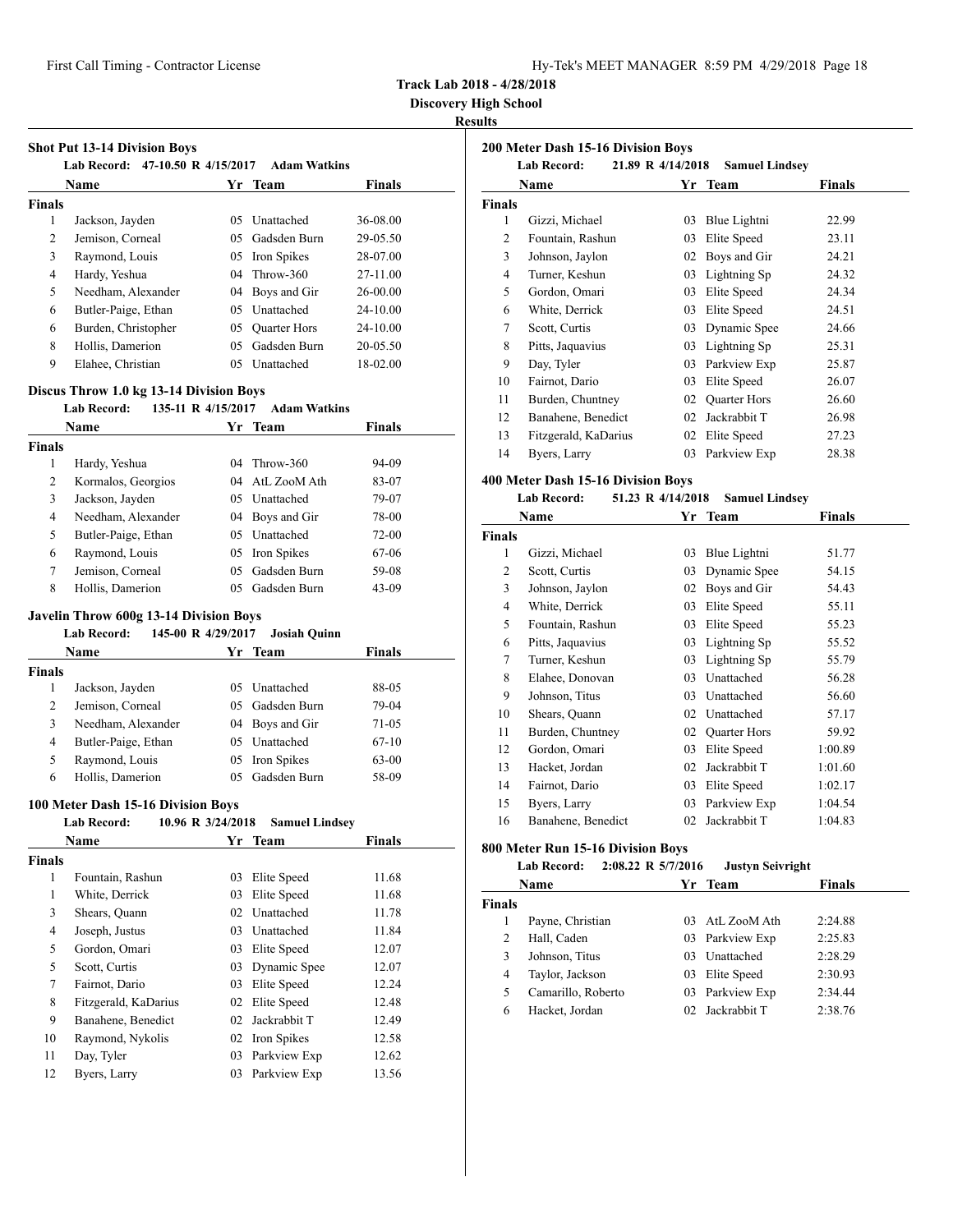**Discovery High School**

#### **Results**

| <b>Shot Put 13-14 Division Boys</b><br>47-10.50 R 4/15/2017<br><b>Adam Watkins</b><br><b>Lab Record:</b> |                     |    |                     |               |  |  |  |
|----------------------------------------------------------------------------------------------------------|---------------------|----|---------------------|---------------|--|--|--|
|                                                                                                          | Name                |    | Yr Team             | <b>Finals</b> |  |  |  |
| <b>Finals</b>                                                                                            |                     |    |                     |               |  |  |  |
| 1                                                                                                        | Jackson, Jayden     | 05 | Unattached          | 36-08.00      |  |  |  |
| 2                                                                                                        | Jemison, Corneal    |    | 05 Gadsden Burn     | 29-05.50      |  |  |  |
| 3                                                                                                        | Raymond, Louis      | 05 | Iron Spikes         | 28-07.00      |  |  |  |
| 4                                                                                                        | Hardy, Yeshua       |    | $04$ Throw-360      | 27-11.00      |  |  |  |
| 5                                                                                                        | Needham, Alexander  | 04 | Boys and Gir        | 26-00.00      |  |  |  |
| 6                                                                                                        | Butler-Paige, Ethan | 05 | <b>Unattached</b>   | $24 - 10.00$  |  |  |  |
| 6                                                                                                        | Burden, Christopher | 05 | <b>Quarter Hors</b> | 24-10.00      |  |  |  |
| 8                                                                                                        | Hollis, Damerion    | 05 | Gadsden Burn        | 20-05.50      |  |  |  |
| 9                                                                                                        | Elahee, Christian   | 05 | Unattached          | 18-02.00      |  |  |  |

#### **Discus Throw 1.0 kg 13-14 Division Boys**

#### **Lab Record: 135-11 R 4/15/2017 Adam Watkins**

| Hardy, Yeshua | 04                                                                                                                                           | Throw-360    | 94-09                                                                            |
|---------------|----------------------------------------------------------------------------------------------------------------------------------------------|--------------|----------------------------------------------------------------------------------|
|               |                                                                                                                                              |              | 83-07                                                                            |
|               | 05.                                                                                                                                          |              | 79-07                                                                            |
|               |                                                                                                                                              |              | 78-00                                                                            |
|               |                                                                                                                                              |              | $72-00$                                                                          |
|               | 05                                                                                                                                           |              | 67-06                                                                            |
|               | 05                                                                                                                                           | Gadsden Burn | 59-08                                                                            |
|               | 05                                                                                                                                           | Gadsden Burn | 43-09                                                                            |
|               | Kormalos, Georgios<br>Jackson, Jayden<br>Needham, Alexander<br>Butler-Paige, Ethan<br>Raymond, Louis<br>Jemison, Corneal<br>Hollis, Damerion |              | 04 AtL ZooM Ath<br>Unattached<br>04 Boys and Gir<br>05 Unattached<br>Iron Spikes |

# **Javelin Throw 600g 13-14 Division Boys**

#### **Lab Record: 145-00 R 4/29/2017 Josiah Quinn**

|        | <b>Name</b>         | Yr Team         | <b>Finals</b> |  |
|--------|---------------------|-----------------|---------------|--|
| Finals |                     |                 |               |  |
|        | Jackson, Jayden     | 05 Unattached   | 88-05         |  |
| 2      | Jemison, Corneal    | 05 Gadsden Burn | 79-04         |  |
| 3      | Needham, Alexander  | 04 Boys and Gir | $71-05$       |  |
| 4      | Butler-Paige, Ethan | 05 Unattached   | $67-10$       |  |
| 5      | Raymond, Louis      | 05 Iron Spikes  | $63 - 00$     |  |
| 6      | Hollis, Damerion    | 05 Gadsden Burn | 58-09         |  |

#### **100 Meter Dash 15-16 Division Boys**

# **Lab Record: 10.96 R 3/24/2018 Samuel Lindsey**

| <b>Name</b>   |                      |    | Yr Team      | <b>Finals</b> |  |
|---------------|----------------------|----|--------------|---------------|--|
| <b>Finals</b> |                      |    |              |               |  |
| 1             | Fountain, Rashun     | 03 | Elite Speed  | 11.68         |  |
| 1             | White, Derrick       | 03 | Elite Speed  | 11.68         |  |
| 3             | Shears, Quann        | 02 | Unattached   | 11.78         |  |
| 4             | Joseph, Justus       | 03 | Unattached   | 11.84         |  |
| 5             | Gordon, Omari        | 03 | Elite Speed  | 12.07         |  |
| 5             | Scott, Curtis        | 03 | Dynamic Spee | 12.07         |  |
| 7             | Fairnot, Dario       | 03 | Elite Speed  | 12.24         |  |
| 8             | Fitzgerald, KaDarius | 02 | Elite Speed  | 12.48         |  |
| 9             | Banahene, Benedict   | 02 | Jackrabbit T | 12.49         |  |
| 10            | Raymond, Nykolis     | 02 | Iron Spikes  | 12.58         |  |
| 11            | Day, Tyler           | 03 | Parkview Exp | 12.62         |  |
| 12            | Byers, Larry         | 03 | Parkview Exp | 13.56         |  |
|               |                      |    |              |               |  |

|               | 21.89 R 4/14/2018<br><b>Lab Record:</b><br><b>Samuel Lindsey</b> |    |              |        |  |  |
|---------------|------------------------------------------------------------------|----|--------------|--------|--|--|
|               | Name                                                             |    | Yr Team      | Finals |  |  |
| <b>Finals</b> |                                                                  |    |              |        |  |  |
| 1             | Gizzi, Michael                                                   | 03 | Blue Lightni | 22.99  |  |  |
| 2             | Fountain, Rashun                                                 | 03 | Elite Speed  | 23.11  |  |  |
| 3             | Johnson, Jaylon                                                  | 02 | Boys and Gir | 24.21  |  |  |
| 4             | Turner, Keshun                                                   | 03 | Lightning Sp | 24.32  |  |  |
| 5             | Gordon, Omari                                                    | 03 | Elite Speed  | 24.34  |  |  |
| 6             | White, Derrick                                                   | 03 | Elite Speed  | 24.51  |  |  |
| 7             | Scott, Curtis                                                    | 03 | Dynamic Spee | 24.66  |  |  |
| 8             | Pitts, Jaquavius                                                 | 03 | Lightning Sp | 25.31  |  |  |
| 9             | Day, Tyler                                                       | 03 | Parkview Exp | 25.87  |  |  |
| 10            | Fairnot, Dario                                                   | 03 | Elite Speed  | 26.07  |  |  |
| 11            | Burden, Chuntney                                                 | 02 | Quarter Hors | 26.60  |  |  |
| 12            | Banahene, Benedict                                               | 02 | Jackrabbit T | 26.98  |  |  |
| 13            | Fitzgerald, KaDarius                                             | 02 | Elite Speed  | 27.23  |  |  |
| 14            | Byers, Larry                                                     | 03 | Parkview Exp | 28.38  |  |  |

#### **400 Meter Dash 15-16 Division Boys**

#### **Lab Record: 51.23 R 4/14/2018 Samuel Lindsey**

|        | Name               | Yr | <b>Team</b>         | Finals  |
|--------|--------------------|----|---------------------|---------|
| Finals |                    |    |                     |         |
| 1      | Gizzi, Michael     | 03 | Blue Lightni        | 51.77   |
| 2      | Scott, Curtis      | 03 | Dynamic Spee        | 54.15   |
| 3      | Johnson, Jaylon    | 02 | Boys and Gir        | 54.43   |
| 4      | White, Derrick     | 03 | Elite Speed         | 55.11   |
| 5      | Fountain, Rashun   | 03 | Elite Speed         | 55.23   |
| 6      | Pitts, Jaquavius   | 03 | Lightning Sp        | 55.52   |
| 7      | Turner, Keshun     | 03 | Lightning Sp        | 55.79   |
| 8      | Elahee, Donovan    | 03 | Unattached          | 56.28   |
| 9      | Johnson, Titus     | 03 | Unattached          | 56.60   |
| 10     | Shears, Quann      | 02 | Unattached          | 57.17   |
| 11     | Burden, Chuntney   | 02 | <b>Quarter Hors</b> | 59.92   |
| 12     | Gordon, Omari      | 03 | Elite Speed         | 1:00.89 |
| 13     | Hacket, Jordan     | 02 | Jackrabbit T        | 1:01.60 |
| 14     | Fairnot, Dario     | 03 | Elite Speed         | 1:02.17 |
| 15     | Byers, Larry       | 03 | Parkview Exp        | 1:04.54 |
| 16     | Banahene, Benedict | 02 | Jackrabbit T        | 1:04.83 |

# **800 Meter Run 15-16 Division Boys**

|               | <b>Lab Record:</b> | 2:08.22 R 5/7/2016 | <b>Justyn Seivright</b> |         |
|---------------|--------------------|--------------------|-------------------------|---------|
|               | Name               | Yr                 | Team                    | Finals  |
| <b>Finals</b> |                    |                    |                         |         |
|               | Payne, Christian   | $03 -$             | AtL ZooM Ath            | 2:24.88 |
| 2             | Hall, Caden        |                    | 03 Parkview Exp         | 2:25.83 |
| 3             | Johnson, Titus     | 03                 | Unattached              | 2:28.29 |
| 4             | Taylor, Jackson    | 03                 | Elite Speed             | 2:30.93 |
| 5             | Camarillo, Roberto |                    | 03 Parkview Exp         | 2:34.44 |
| 6             | Hacket, Jordan     | 02.                | Jackrabbit T            | 2:38.76 |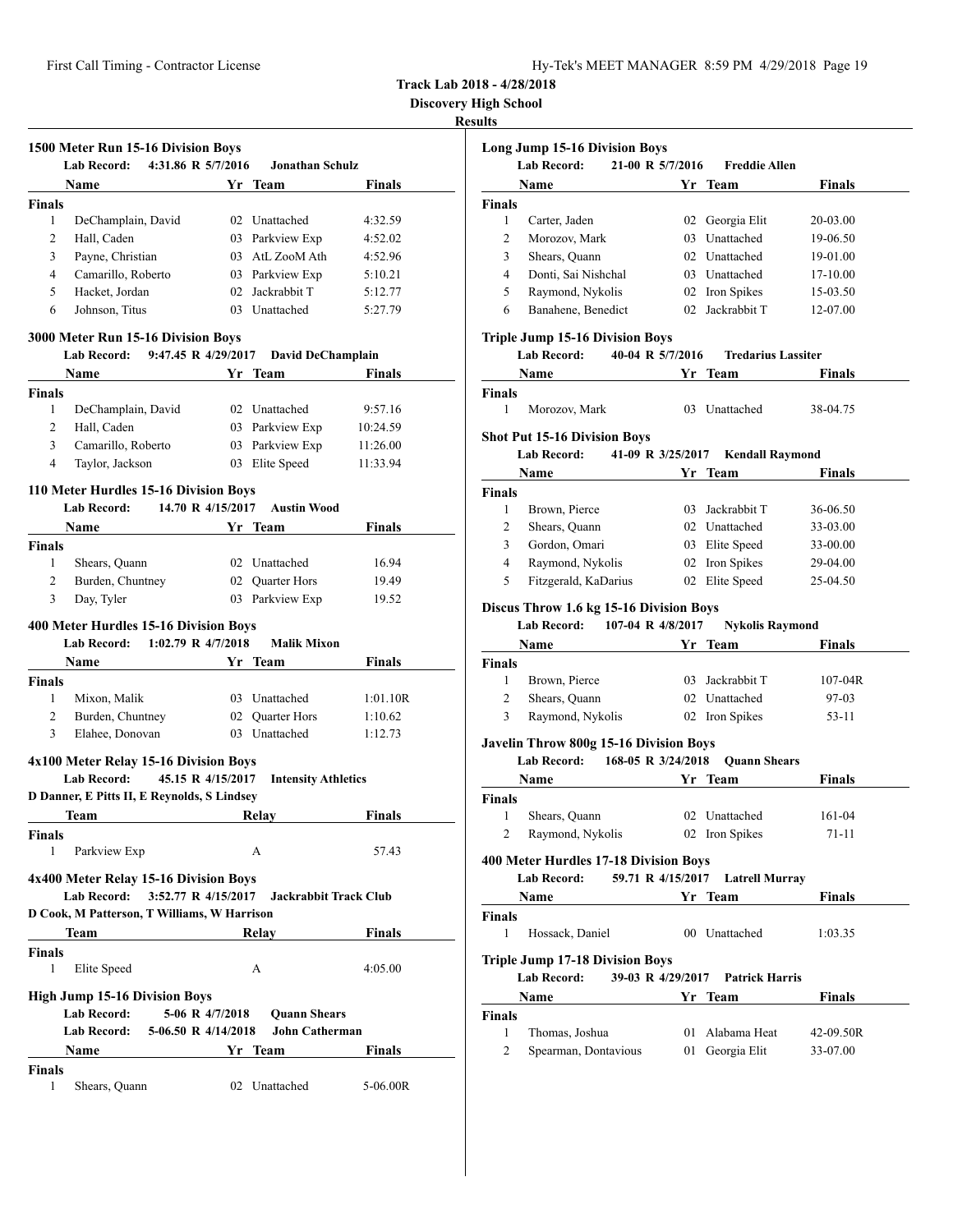**Discovery High School**

|                | 1500 Meter Run 15-16 Division Boys                                                    |                 |                              |               |
|----------------|---------------------------------------------------------------------------------------|-----------------|------------------------------|---------------|
|                | Lab Record: 4:31.86 R 5/7/2016                                                        |                 | <b>Jonathan Schulz</b>       |               |
|                | Name                                                                                  |                 | Yr Team                      | Finals        |
| Finals         |                                                                                       |                 |                              |               |
| 1              | DeChamplain, David                                                                    |                 | 02 Unattached                | 4:32.59       |
| 2              | Hall, Caden                                                                           |                 | 03 Parkview Exp              | 4:52.02       |
| 3              | Payne, Christian                                                                      |                 | 03 AtL ZooM Ath              | 4:52.96       |
| 4              | Camarillo, Roberto                                                                    |                 | 03 Parkview Exp              | 5:10.21       |
| 5              | Hacket, Jordan                                                                        |                 | 02 Jackrabbit T              | 5:12.77       |
| 6              | Johnson, Titus                                                                        |                 | 03 Unattached                | 5:27.79       |
|                | 3000 Meter Run 15-16 Division Boys                                                    |                 |                              |               |
|                | 9:47.45 R 4/29/2017<br><b>Lab Record:</b>                                             |                 | David DeChamplain            |               |
|                | Name<br><u>1986 - Yr Team ann an t-</u>                                               |                 |                              | <b>Finals</b> |
| <b>Finals</b>  |                                                                                       |                 |                              |               |
| 1              | DeChamplain, David                                                                    |                 | 02 Unattached                | 9:57.16       |
| 2              | Hall, Caden                                                                           |                 | 03 Parkview Exp              | 10:24.59      |
| 3              | Camarillo, Roberto                                                                    |                 | 03 Parkview Exp              | 11:26.00      |
| 4              | Taylor, Jackson                                                                       |                 | 03 Elite Speed               | 11:33.94      |
|                | 110 Meter Hurdles 15-16 Division Boys                                                 |                 |                              |               |
|                | <b>Lab Record:</b><br>14.70 R 4/15/2017                                               |                 | <b>Austin Wood</b>           |               |
|                | <b>Name</b><br><b>Example 2 Second Yr</b> Team                                        |                 |                              | <b>Finals</b> |
| Finals         |                                                                                       |                 |                              |               |
| 1              | Shears, Quann                                                                         |                 | 02 Unattached                | 16.94         |
| 2              | Burden, Chuntney                                                                      |                 | 02 Quarter Hors              | 19.49         |
| 3              | Day, Tyler                                                                            |                 | 03 Parkview Exp              | 19.52         |
|                | 400 Meter Hurdles 15-16 Division Boys<br><b>Lab Record:</b><br>$1:02.79$ R $4/7/2018$ |                 | <b>Malik Mixon</b>           |               |
|                | Name Yr Team                                                                          |                 |                              | <b>Finals</b> |
| <b>Finals</b>  |                                                                                       |                 |                              |               |
| 1              | Mixon, Malik                                                                          |                 | 03 Unattached                | 1:01.10R      |
| $\overline{2}$ | Burden, Chuntney                                                                      |                 | 02 Quarter Hors              | 1:10.62       |
| 3              | Elahee, Donovan                                                                       |                 | 03 Unattached                | 1:12.73       |
|                | 4x100 Meter Relay 15-16 Division Boys                                                 |                 |                              |               |
|                | <b>Lab Record:</b><br>45.15 R 4/15/2017                                               |                 | <b>Intensity Athletics</b>   |               |
|                | D Danner, E Pitts II, E Reynolds, S Lindsey                                           |                 |                              |               |
|                | <b>Team</b>                                                                           |                 | Relay                        | Finals        |
| <b>Finals</b>  |                                                                                       |                 |                              |               |
| 1              | Parkview Exp                                                                          |                 | А                            | 57.43         |
|                | 4x400 Meter Relay 15-16 Division Boys                                                 |                 |                              |               |
|                | 3:52.77 R 4/15/2017<br><b>Lab Record:</b>                                             |                 | <b>Jackrabbit Track Club</b> |               |
|                | D Cook, M Patterson, T Williams, W Harrison                                           |                 |                              |               |
|                | Team                                                                                  |                 | Relay                        | <b>Finals</b> |
| <b>Finals</b>  |                                                                                       |                 |                              |               |
| $\mathbf{1}$   | Elite Speed                                                                           |                 | А                            | 4:05.00       |
|                | <b>High Jump 15-16 Division Boys</b>                                                  |                 |                              |               |
|                | <b>Lab Record:</b>                                                                    | 5-06 R 4/7/2018 | <b>Quann Shears</b>          |               |
|                | <b>Lab Record:</b><br>5-06.50 R 4/14/2018                                             |                 | <b>John Catherman</b>        |               |
|                | Name                                                                                  |                 | Yr Team                      | Finals        |
| Finals<br>1    | Shears, Quann                                                                         |                 | 02 Unattached                | 5-06.00R      |
|                |                                                                                       |                 |                              |               |

|                         | <b>Long Jump 15-16 Division Boys</b>                                              |    |                           |               |
|-------------------------|-----------------------------------------------------------------------------------|----|---------------------------|---------------|
|                         | <b>Lab Record:</b><br>21-00 R 5/7/2016                                            |    | <b>Freddie Allen</b>      |               |
|                         | Name                                                                              |    | Yr Team                   | <b>Finals</b> |
| <b>Finals</b>           |                                                                                   |    |                           |               |
| 1                       | Carter, Jaden                                                                     |    | 02 Georgia Elit           | 20-03.00      |
| 2                       | Morozov, Mark                                                                     |    | 03 Unattached             | 19-06.50      |
| 3                       | Shears, Quann                                                                     |    | 02 Unattached             | 19-01.00      |
| 4                       | Donti, Sai Nishchal                                                               |    | 03 Unattached             | 17-10.00      |
| 5                       | Raymond, Nykolis                                                                  |    | 02 Iron Spikes            | 15-03.50      |
| 6                       | Banahene, Benedict                                                                |    | 02 Jackrabbit T           | 12-07.00      |
|                         | <b>Triple Jump 15-16 Division Boys</b><br><b>Lab Record:</b><br>40-04 R 5/7/2016  |    | <b>Tredarius Lassiter</b> |               |
|                         | Name                                                                              |    |                           | Finals        |
| <b>Finals</b>           |                                                                                   |    | Yr Team                   |               |
| 1                       | Morozov, Mark                                                                     |    | 03 Unattached             | 38-04.75      |
|                         | <b>Shot Put 15-16 Division Boys</b>                                               |    |                           |               |
|                         | 41-09 R 3/25/2017<br>Lab Record:                                                  |    | <b>Kendall Raymond</b>    |               |
|                         | Name                                                                              |    | Yr Team                   | Finals        |
| <b>Finals</b>           |                                                                                   |    |                           |               |
| 1                       | Brown, Pierce                                                                     |    | 03 Jackrabbit T           | 36-06.50      |
| $\overline{2}$          | Shears, Quann                                                                     |    | 02 Unattached             | 33-03.00      |
| 3                       | Gordon, Omari                                                                     |    | 03 Elite Speed            | 33-00.00      |
| 4                       | Raymond, Nykolis                                                                  |    | 02 Iron Spikes            | 29-04.00      |
| 5                       | Fitzgerald, KaDarius                                                              |    | 02 Elite Speed            | 25-04.50      |
|                         | Discus Throw 1.6 kg 15-16 Division Boys<br>107-04 R 4/8/2017<br>Lab Record:       |    | <b>Nykolis Raymond</b>    |               |
|                         | Name                                                                              |    | Yr Team                   | Finals        |
| <b>Finals</b>           |                                                                                   |    |                           |               |
| 1                       | Brown, Pierce                                                                     |    | 03 Jackrabbit T           | $107-04R$     |
| 2                       | Shears, Quann                                                                     |    | 02 Unattached             | 97-03         |
| 3                       | Raymond, Nykolis                                                                  |    | 02 Iron Spikes            | 53-11         |
|                         | <b>Javelin Throw 800g 15-16 Division Boys</b>                                     |    |                           |               |
|                         | <b>Lab Record:</b><br>168-05 R 3/24/2018                                          |    | <b>Quann Shears</b>       |               |
|                         | Name                                                                              |    | Yr Team                   | <b>Finals</b> |
| <b>Finals</b>           |                                                                                   |    |                           |               |
| 1                       | Shears, Quann                                                                     |    | 02 Unattached             | 161-04        |
| $\overline{\mathbf{c}}$ | Raymond, Nykolis                                                                  |    | 02 Iron Spikes            | 71-11         |
|                         | 400 Meter Hurdles 17-18 Division Boys                                             |    |                           |               |
|                         | <b>Lab Record:</b><br>59.71 R 4/15/2017                                           |    | <b>Latrell Murray</b>     |               |
|                         | Name                                                                              |    | Yr Team                   | Finals        |
| Finals                  |                                                                                   |    |                           |               |
| 1                       | Hossack, Daniel                                                                   |    | 00 Unattached             | 1:03.35       |
|                         | <b>Triple Jump 17-18 Division Boys</b><br><b>Lab Record:</b><br>39-03 R 4/29/2017 |    | <b>Patrick Harris</b>     |               |
|                         | Name                                                                              |    | Yr Team                   | <b>Finals</b> |
| <b>Finals</b>           |                                                                                   |    |                           |               |
| 1                       | Thomas, Joshua                                                                    |    | 01 Alabama Heat           | 42-09.50R     |
| 2                       | Spearman, Dontavious                                                              | 01 | Georgia Elit              | 33-07.00      |
|                         |                                                                                   |    |                           |               |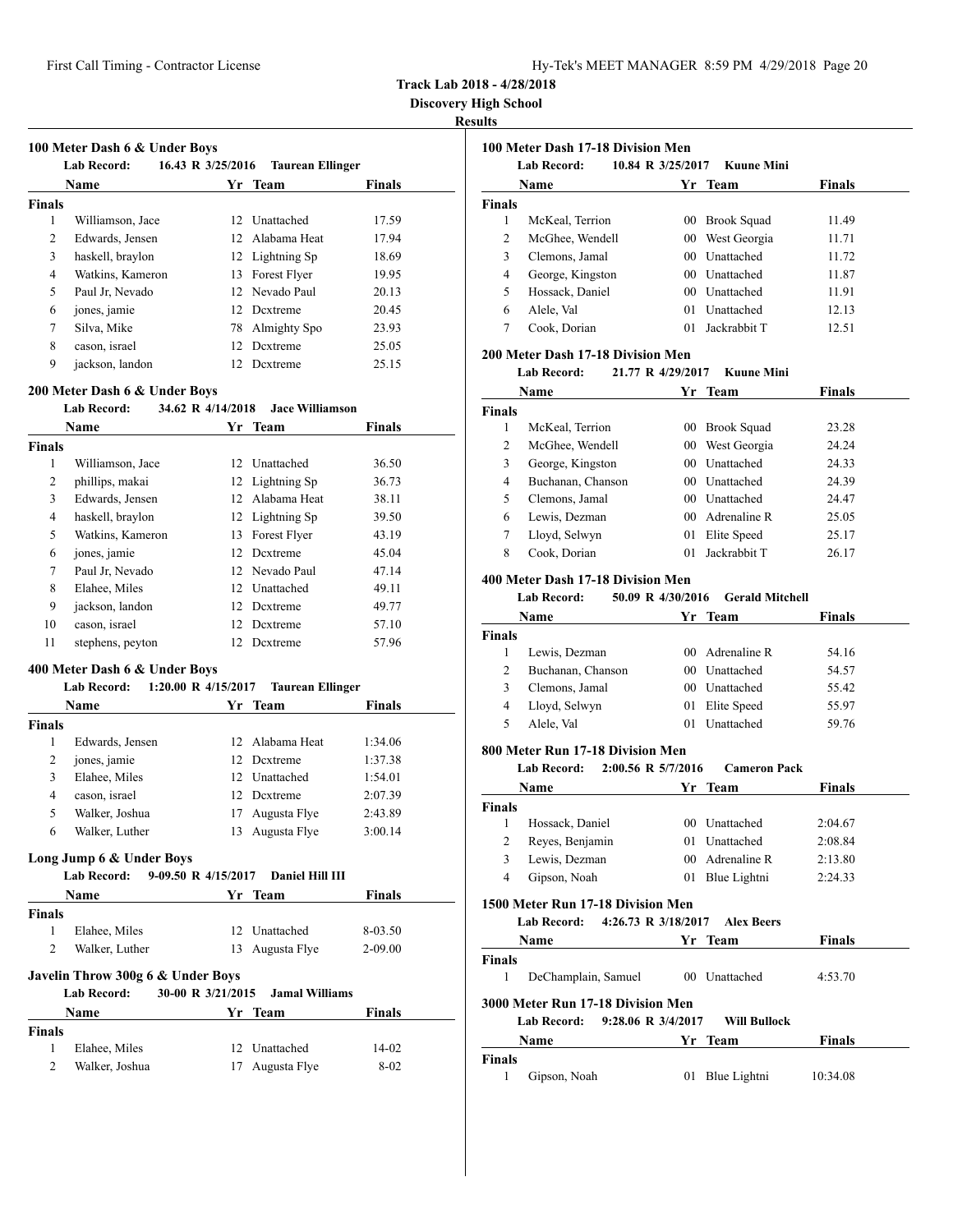**Discovery High School**

#### **Results**

| 100 Meter Dash 6 & Under Boys<br>16.43 R 3/25/2016<br><b>Lab Record:</b><br>Taurean Ellinger |                  |  |                  |               |  |
|----------------------------------------------------------------------------------------------|------------------|--|------------------|---------------|--|
|                                                                                              | Name             |  | Yr Team          | <b>Finals</b> |  |
| <b>Finals</b>                                                                                |                  |  |                  |               |  |
| 1                                                                                            | Williamson, Jace |  | 12. Unattached   | 17.59         |  |
| $\overline{2}$                                                                               | Edwards, Jensen  |  | 12. Alabama Heat | 17.94         |  |
| 3                                                                                            | haskell, braylon |  | 12 Lightning Sp  | 18.69         |  |
| 4                                                                                            | Watkins, Kameron |  | 13 Forest Flyer  | 19.95         |  |
| 5                                                                                            | Paul Jr, Nevado  |  | 12 Nevado Paul   | 20.13         |  |
| 6                                                                                            | jones, jamie     |  | 12 Dextreme      | 20.45         |  |
| 7                                                                                            | Silva, Mike      |  | 78 Almighty Spo  | 23.93         |  |
| 8                                                                                            | cason, israel    |  | 12 Dextreme      | 25.05         |  |
| 9                                                                                            | jackson, landon  |  | Dextreme         | 25.15         |  |
|                                                                                              |                  |  |                  |               |  |

#### **200 Meter Dash 6 & Under Boys**

|                    | <b>Lab Record:</b>                                  | 34.62 R 4/14/2018   | <b>Jace Williamson</b>             |                    |
|--------------------|-----------------------------------------------------|---------------------|------------------------------------|--------------------|
|                    | <b>Name</b>                                         |                     | Yr Team                            | Finals             |
| <b>Finals</b>      |                                                     |                     |                                    |                    |
| 1                  | Williamson, Jace                                    |                     | 12 Unattached                      | 36.50              |
| 2                  | phillips, makai                                     |                     | 12 Lightning Sp                    | 36.73              |
| 3                  | Edwards, Jensen                                     |                     | 12 Alabama Heat                    | 38.11              |
| $\overline{4}$     | haskell, braylon                                    |                     | 12 Lightning Sp                    | 39.50              |
| 5                  | Watkins, Kameron                                    |                     | 13 Forest Flyer                    | 43.19              |
| 6                  | jones, jamie                                        |                     | 12 Dextreme                        | 45.04              |
| 7                  | Paul Jr, Nevado                                     |                     | 12 Nevado Paul                     | 47.14              |
| 8                  | Elahee, Miles                                       |                     | 12 Unattached                      | 49.11              |
| 9                  | jackson, landon                                     |                     | 12 Dextreme                        | 49.77              |
| 10                 | cason, israel                                       |                     | 12 Dextreme                        | 57.10              |
| 11                 | stephens, peyton                                    |                     | 12 Dextreme                        | 57.96              |
|                    |                                                     |                     |                                    |                    |
|                    | 400 Meter Dash 6 & Under Boys<br><b>Lab Record:</b> | 1:20.00 R 4/15/2017 | <b>Taurean Ellinger</b>            |                    |
|                    |                                                     |                     |                                    |                    |
|                    | <b>Name</b>                                         | Yr                  | Team                               | <b>Finals</b>      |
| <b>Finals</b><br>1 |                                                     |                     | 12 Alabama Heat                    | 1:34.06            |
| 2                  | Edwards, Jensen<br>jones, jamie                     |                     | 12 Dextreme                        | 1:37.38            |
| 3                  | Elahee, Miles                                       |                     | 12 Unattached                      | 1:54.01            |
| 4                  | cason, israel                                       |                     | 12 Dextreme                        | 2:07.39            |
| 5                  | Walker, Joshua                                      |                     |                                    |                    |
| 6                  | Walker, Luther                                      |                     | 17 Augusta Flye<br>13 Augusta Flye | 2:43.89<br>3:00.14 |
|                    |                                                     |                     |                                    |                    |
|                    | Long Jump 6 & Under Boys                            |                     |                                    |                    |
|                    | <b>Lab Record:</b>                                  | 9-09.50 R 4/15/2017 | <b>Daniel Hill III</b>             |                    |
|                    | <b>Name</b>                                         |                     | Yr Team                            | <b>Finals</b>      |
| <b>Finals</b>      |                                                     |                     |                                    |                    |
| $\mathbf{1}$       | Elahee, Miles                                       |                     | 12 Unattached                      | 8-03.50            |
| $\overline{c}$     | Walker, Luther                                      | 13                  | Augusta Flye                       | 2-09.00            |
|                    | Javelin Throw 300g 6 & Under Boys                   |                     |                                    |                    |
|                    | <b>Lab Record:</b>                                  | 30-00 R 3/21/2015   | <b>Jamal Williams</b>              |                    |
|                    | Name                                                | Yr                  | Team                               | <b>Finals</b>      |
|                    |                                                     |                     |                                    |                    |
| <b>Finals</b><br>1 | Elahee, Miles                                       | 12                  | Unattached                         | 14-02              |
| $\overline{2}$     | Walker, Joshua                                      | 17                  | Augusta Flye                       | 8-02               |
|                    |                                                     |                     |                                    |                    |

| 100 Meter Dash 17-18 Division Men                               |                                                                 |    |                        |               |  |  |
|-----------------------------------------------------------------|-----------------------------------------------------------------|----|------------------------|---------------|--|--|
| <b>Lab Record:</b><br>10.84 R 3/25/2017<br><b>Kuune Mini</b>    |                                                                 |    |                        |               |  |  |
|                                                                 | Name                                                            |    | Yr Team                | Finals        |  |  |
| <b>Finals</b>                                                   |                                                                 |    |                        |               |  |  |
| 1                                                               | McKeal, Terrion                                                 |    | 00 Brook Squad         | 11.49         |  |  |
| 2                                                               | McGhee, Wendell                                                 |    | 00 West Georgia        | 11.71         |  |  |
| 3                                                               | Clemons, Jamal                                                  |    | 00 Unattached          | 11.72         |  |  |
| 4                                                               | George, Kingston                                                |    | 00 Unattached          | 11.87         |  |  |
| 5                                                               | Hossack, Daniel                                                 |    | 00 Unattached          | 11.91         |  |  |
| 6                                                               | Alele, Val                                                      |    | 01 Unattached          | 12.13         |  |  |
| 7                                                               | Cook, Dorian                                                    |    | 01 Jackrabbit T        | 12.51         |  |  |
|                                                                 | 200 Meter Dash 17-18 Division Men                               |    |                        |               |  |  |
|                                                                 | <b>Lab Record:</b><br>21.77 R 4/29/2017                         |    | <b>Kuune Mini</b>      |               |  |  |
|                                                                 | Name                                                            |    | Yr Team                | Finals        |  |  |
| <b>Finals</b>                                                   |                                                                 |    |                        |               |  |  |
| 1                                                               | McKeal, Terrion                                                 |    | 00 Brook Squad         | 23.28         |  |  |
| 2                                                               | McGhee, Wendell                                                 |    | 00 West Georgia        | 24.24         |  |  |
| 3                                                               | George, Kingston                                                |    | 00 Unattached          | 24.33         |  |  |
| 4                                                               | Buchanan, Chanson                                               |    | 00 Unattached          | 24.39         |  |  |
| 5                                                               | Clemons, Jamal                                                  |    | 00 Unattached          | 24.47         |  |  |
| 6                                                               | Lewis, Dezman                                                   |    | 00 Adrenaline R        | 25.05         |  |  |
| 7                                                               | Lloyd, Selwyn                                                   |    | 01 Elite Speed         | 25.17         |  |  |
| 8                                                               | Cook, Dorian                                                    |    | 01 Jackrabbit T        | 26.17         |  |  |
|                                                                 | 400 Meter Dash 17-18 Division Men                               |    |                        |               |  |  |
|                                                                 | <b>Lab Record:</b><br>50.09 R 4/30/2016                         |    | <b>Gerald Mitchell</b> |               |  |  |
|                                                                 | Name                                                            |    | Yr Team                | Finals        |  |  |
| <b>Finals</b>                                                   |                                                                 |    |                        |               |  |  |
| 1                                                               | Lewis, Dezman                                                   |    | 00 Adrenaline R        | 54.16         |  |  |
| 2                                                               | Buchanan, Chanson                                               |    | 00 Unattached          | 54.57         |  |  |
| 3                                                               | Clemons, Jamal                                                  |    | 00 Unattached          | 55.42         |  |  |
| 4                                                               | Lloyd, Selwyn                                                   |    | 01 Elite Speed         | 55.97         |  |  |
| 5                                                               | Alele, Val                                                      |    | 01 Unattached          | 59.76         |  |  |
|                                                                 |                                                                 |    |                        |               |  |  |
|                                                                 | 800 Meter Run 17-18 Division Men                                |    |                        |               |  |  |
| 2:00.56 R 5/7/2016<br><b>Lab Record:</b><br><b>Cameron Pack</b> |                                                                 |    |                        |               |  |  |
|                                                                 | Name                                                            | Yr | Team                   | Finals        |  |  |
| Finals                                                          |                                                                 |    |                        |               |  |  |
| 1                                                               | Hossack, Daniel                                                 |    | 00 Unattached          | 2:04.67       |  |  |
| 2                                                               | Reyes, Benjamin                                                 |    | 01 Unattached          | 2:08.84       |  |  |
| 3                                                               | Lewis, Dezman                                                   |    | 00 Adrenaline R        | 2:13.80       |  |  |
| 4                                                               | Gipson, Noah                                                    |    | 01 Blue Lightni        | 2:24.33       |  |  |
|                                                                 | 1500 Meter Run 17-18 Division Men                               |    |                        |               |  |  |
| <b>Lab Record:</b><br>4:26.73 R 3/18/2017<br><b>Alex Beers</b>  |                                                                 |    |                        |               |  |  |
|                                                                 | <b>Name</b>                                                     |    | Yr Team                | <b>Finals</b> |  |  |
| Finals                                                          |                                                                 |    |                        |               |  |  |
| 1                                                               | DeChamplain, Samuel                                             |    | 00 Unattached          | 4:53.70       |  |  |
| 3000 Meter Run 17-18 Division Men                               |                                                                 |    |                        |               |  |  |
|                                                                 | 9:28.06 R 3/4/2017<br><b>Lab Record:</b><br><b>Will Bullock</b> |    |                        |               |  |  |
|                                                                 | Name                                                            |    | Yr Team                | Finals        |  |  |
| <b>Finals</b>                                                   |                                                                 |    |                        |               |  |  |
| 1                                                               | Gipson, Noah                                                    |    | 01 Blue Lightni        | 10:34.08      |  |  |
|                                                                 |                                                                 |    |                        |               |  |  |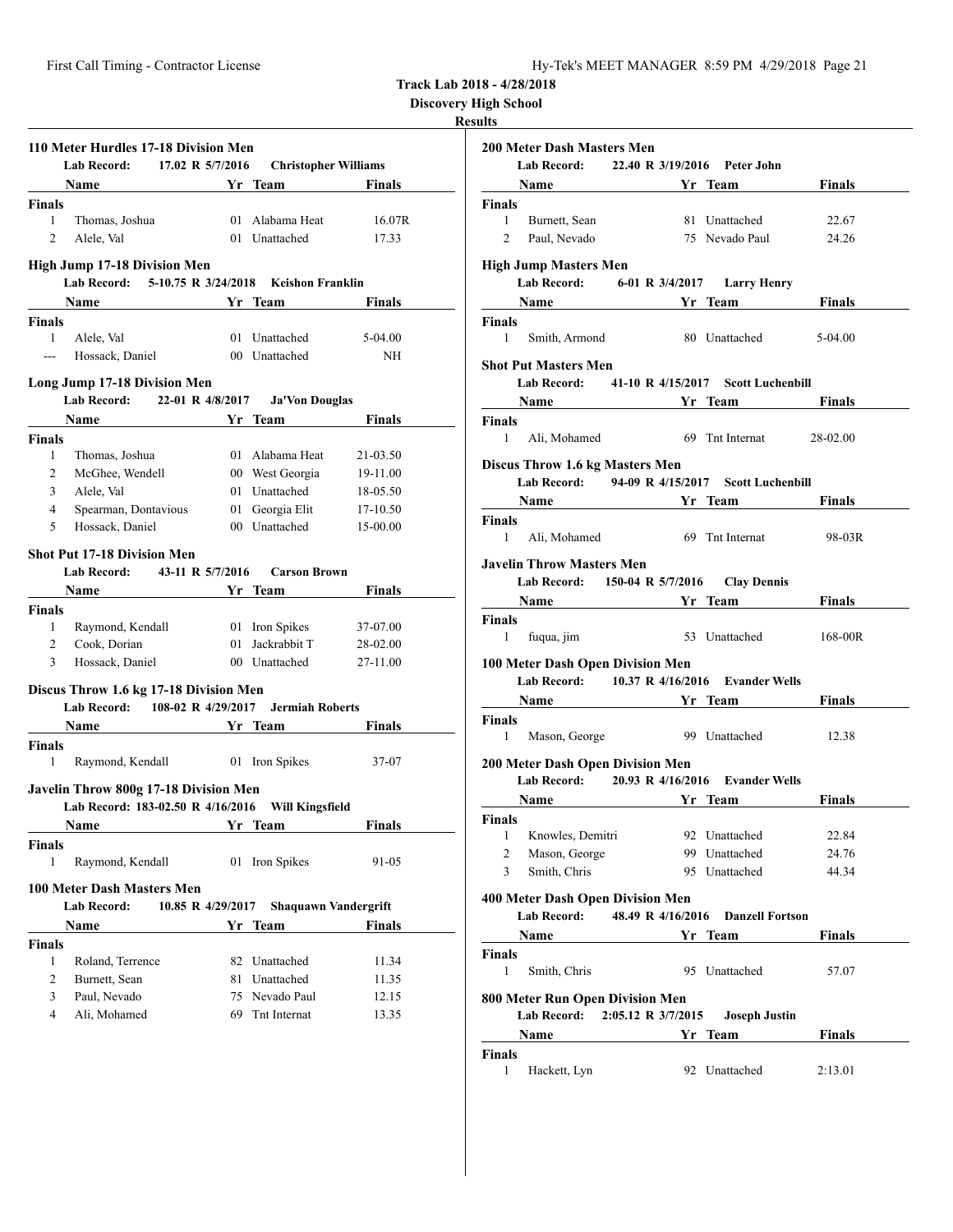**Discovery High School**

|                                                          | 110 Meter Hurdles 17-18 Division Men<br>Lab Record:<br>17.02 R $5/7/2016$               |    | <b>Christopher Williams</b> |                             |  |
|----------------------------------------------------------|-----------------------------------------------------------------------------------------|----|-----------------------------|-----------------------------|--|
|                                                          | Name                                                                                    |    | Yr Team                     | <b>Finals</b>               |  |
| <b>Finals</b>                                            |                                                                                         |    |                             |                             |  |
| 1                                                        | Thomas, Joshua                                                                          |    | 01 Alabama Heat             | 16.07R                      |  |
| 2                                                        | Alele, Val                                                                              |    | 01 Unattached               | 17.33                       |  |
|                                                          | High Jump 17-18 Division Men                                                            |    |                             |                             |  |
|                                                          | Lab Record: 5-10.75 R 3/24/2018 Keishon Franklin                                        |    |                             |                             |  |
|                                                          | Name Yr Team                                                                            |    |                             | <b>Finals</b>               |  |
| <b>Finals</b>                                            |                                                                                         |    |                             |                             |  |
| 1                                                        | Alele, Val                                                                              |    | 01 Unattached               | 5-04.00                     |  |
| <b><i><u>ALL</u></i></b>                                 | Hossack, Daniel                                                                         |    | 00 Unattached               | NH                          |  |
|                                                          |                                                                                         |    |                             |                             |  |
|                                                          | Long Jump 17-18 Division Men                                                            |    |                             |                             |  |
|                                                          | Lab Record: 22-01 R 4/8/2017 Ja'Von Douglas                                             |    |                             |                             |  |
|                                                          | Name                                                                                    |    | Yr Team                     | Finals                      |  |
| <b>Finals</b>                                            |                                                                                         |    |                             |                             |  |
| 1                                                        | Thomas, Joshua                                                                          |    | 01 Alabama Heat             | 21-03.50                    |  |
| $\overline{c}$                                           | McGhee, Wendell                                                                         |    | 00 West Georgia             | 19-11.00                    |  |
| 3                                                        | Alele, Val                                                                              |    | 01 Unattached               | 18-05.50                    |  |
| 4                                                        | Spearman, Dontavious                                                                    |    | 01 Georgia Elit             | 17-10.50                    |  |
| 5                                                        | Hossack, Daniel                                                                         |    | 00 Unattached               | 15-00.00                    |  |
|                                                          | <b>Shot Put 17-18 Division Men</b><br>Lab Record: 43-11 R 5/7/2016 Carson Brown<br>Name |    | Yr Team                     | <b>Finals</b>               |  |
|                                                          |                                                                                         |    |                             |                             |  |
| <b>Finals</b><br>1                                       |                                                                                         |    |                             |                             |  |
|                                                          | Raymond, Kendall                                                                        |    | 01 Iron Spikes              | 37-07.00                    |  |
| 2                                                        | Cook, Dorian                                                                            | 01 | Jackrabbit T                | 28-02.00                    |  |
| 3                                                        | Hossack, Daniel                                                                         |    | 00 Unattached               | 27-11.00                    |  |
|                                                          | Discus Throw 1.6 kg 17-18 Division Men                                                  |    |                             |                             |  |
| 108-02 R 4/29/2017 Jermiah Roberts<br><b>Lab Record:</b> |                                                                                         |    |                             |                             |  |
|                                                          | Name                                                                                    |    | Yr Team                     | <b>Finals</b>               |  |
| <b>Finals</b>                                            |                                                                                         |    |                             |                             |  |
| $\mathbf{1}$                                             | Raymond, Kendall 01 Iron Spikes                                                         |    |                             | 37-07                       |  |
|                                                          | Javelin Throw 800g 17-18 Division Men                                                   |    |                             |                             |  |
|                                                          | Lab Record: 183-02.50 R 4/16/2016 Will Kingsfield                                       |    |                             |                             |  |
|                                                          | Name Yr Team Finals                                                                     |    |                             |                             |  |
| <b>Finals</b>                                            |                                                                                         |    |                             |                             |  |
| 1                                                        | Raymond, Kendall                                                                        | 01 | Iron Spikes                 | 91-05                       |  |
|                                                          | 100 Meter Dash Masters Men                                                              |    |                             |                             |  |
|                                                          | 10.85 R 4/29/2017<br>Lab Record:                                                        |    |                             | <b>Shaquawn Vandergrift</b> |  |
|                                                          |                                                                                         |    |                             |                             |  |
|                                                          | Name                                                                                    |    | Yr Team                     | Finals                      |  |
| Finals                                                   |                                                                                         |    |                             |                             |  |
| 1                                                        | Roland, Terrence                                                                        | 82 | Unattached                  | 11.34                       |  |
| 2                                                        | Burnett, Sean                                                                           | 81 | Unattached                  | 11.35                       |  |
| 3                                                        | Paul, Nevado                                                                            |    | 75 Nevado Paul              | 12.15                       |  |
| 4                                                        | Ali, Mohamed                                                                            |    | 69 Tnt Internat             | 13.35                       |  |

| <b>200 Meter Dash Masters Men</b>                                                                     |                             |               |  |  |  |
|-------------------------------------------------------------------------------------------------------|-----------------------------|---------------|--|--|--|
| Lab Record: 22.40 R 3/19/2016 Peter John                                                              |                             |               |  |  |  |
| Name                                                                                                  |                             | <b>Finals</b> |  |  |  |
| <b>Finals</b>                                                                                         |                             |               |  |  |  |
| 1 Burnett, Sean                                                                                       | 81 Unattached               | 22.67         |  |  |  |
| $\mathbf{2}$<br>Paul, Nevado                                                                          | 75 Nevado Paul              | 24.26         |  |  |  |
| <b>High Jump Masters Men</b>                                                                          |                             |               |  |  |  |
| <b>Lab Record:</b>                                                                                    | 6-01 R 3/4/2017 Larry Henry |               |  |  |  |
| Name Yr Team                                                                                          |                             | <b>Finals</b> |  |  |  |
| <b>Finals</b><br>Smith, Armond<br>$1 \quad$                                                           | 80 Unattached               | 5-04.00       |  |  |  |
| <b>Shot Put Masters Men</b>                                                                           |                             |               |  |  |  |
| Lab Record: 41-10 R 4/15/2017 Scott Luchenbill                                                        |                             |               |  |  |  |
| <b>Name Solution Yr</b> Team                                                                          |                             | Finals        |  |  |  |
| <b>Finals</b><br>$\mathbf{1}$<br>Ali. Mohamed                                                         | 69 Tnt Internat 28-02.00    |               |  |  |  |
| <b>Discus Throw 1.6 kg Masters Men</b>                                                                |                             |               |  |  |  |
| Lab Record: 94-09 R 4/15/2017 Scott Luchenbill                                                        |                             |               |  |  |  |
| Name Yr Team                                                                                          |                             | Finals        |  |  |  |
| Finals                                                                                                |                             |               |  |  |  |
| $1 \quad$<br>Ali, Mohamed                                                                             | 69 Tnt Internat             | 98-03R        |  |  |  |
| <b>Javelin Throw Masters Men</b>                                                                      |                             |               |  |  |  |
| Lab Record: 150-04 R 5/7/2016                                                                         | <b>Clay Dennis</b>          |               |  |  |  |
| Name Yr Team                                                                                          |                             | Finals        |  |  |  |
| <b>Finals</b>                                                                                         |                             |               |  |  |  |
| 1<br>fuqua, jim                                                                                       | 53 Unattached               | $168-00R$     |  |  |  |
| 100 Meter Dash Open Division Men<br>Lab Record: 10.37 R 4/16/2016 Evander Wells                       |                             |               |  |  |  |
|                                                                                                       |                             | <b>Finals</b> |  |  |  |
| Name Yr Team                                                                                          |                             |               |  |  |  |
| <b>Finals</b><br>1<br>Mason, George                                                                   | 99 Unattached               | 12.38         |  |  |  |
| 200 Meter Dash Open Division Men                                                                      |                             |               |  |  |  |
| Lab Record: 20.93 R 4/16/2016 Evander Wells                                                           |                             |               |  |  |  |
| Name                                                                                                  | Yr Team                     | <b>Finals</b> |  |  |  |
| Finals                                                                                                |                             |               |  |  |  |
| Knowles, Demitri<br>1                                                                                 | 92 Unattached               | 22.84         |  |  |  |
| 2<br>Mason, George                                                                                    | 99 Unattached               | 24.76         |  |  |  |
| 3<br>Smith, Chris                                                                                     | 95 Unattached               | 44.34         |  |  |  |
|                                                                                                       |                             |               |  |  |  |
| 400 Meter Dash Open Division Men<br><b>Lab Record:</b><br>48.49 R 4/16/2016<br><b>Danzell Fortson</b> |                             |               |  |  |  |
| Name                                                                                                  | Yr Team                     | Finals        |  |  |  |
| Finals<br>Smith, Chris<br>1                                                                           | 95 Unattached               | 57.07         |  |  |  |
| 800 Meter Run Open Division Men                                                                       |                             |               |  |  |  |
| 2:05.12 R 3/7/2015<br><b>Lab Record:</b><br><b>Joseph Justin</b>                                      |                             |               |  |  |  |
| Name                                                                                                  | Yr Team                     | Finals        |  |  |  |
|                                                                                                       |                             |               |  |  |  |
| Finals<br>1<br>Hackett, Lyn                                                                           | 92 Unattached               | 2:13.01       |  |  |  |